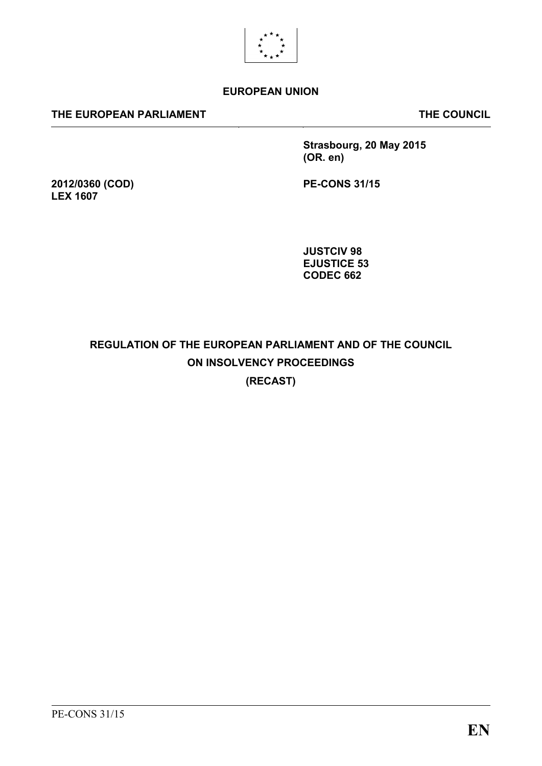

#### **EUROPEAN UNION**

#### **THE EUROPEAN PARLIAMENT THE COUNCIL**

**Strasbourg, 20 May 2015 (OR. en)**

**2012/0360 (COD) LEX 1607**

**PE-CONS 31/15**

**JUSTCIV 98 EJUSTICE 53 CODEC 662**

## **REGULATION OF THE EUROPEAN PARLIAMENT AND OF THE COUNCIL ON INSOLVENCY PROCEEDINGS (RECAST)**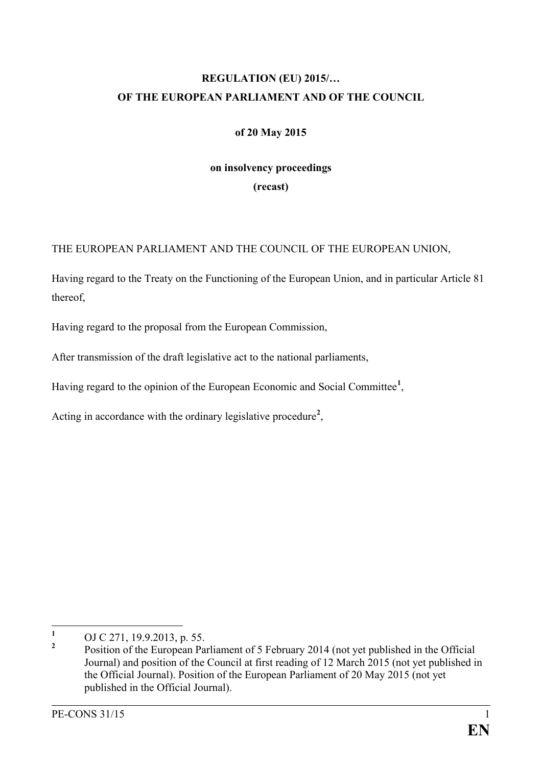## **REGULATION (EU) 2015/… OF THE EUROPEAN PARLIAMENT AND OF THE COUNCIL**

#### **of 20 May 2015**

## **on insolvency proceedings (recast)**

#### THE EUROPEAN PARLIAMENT AND THE COUNCIL OF THE EUROPEAN UNION,

Having regard to the Treaty on the Functioning of the European Union, and in particular Article 81 thereof,

Having regard to the proposal from the European Commission,

After transmission of the draft legislative act to the national parliaments,

Having regard to the opinion of the European Economic and Social Committee**[1](#page-1-0)** ,

Acting in accordance with the ordinary legislative procedure**[2](#page-1-1)** ,

<span id="page-1-0"></span><sup>&</sup>lt;sup>1</sup> OJ C 271, 19.9.2013, p. 55.  $\mathbf{1}$ 

<span id="page-1-1"></span>**<sup>2</sup>** Position of the European Parliament of 5 February 2014 (not yet published in the Official Journal) and position of the Council at first reading of 12 March 2015 (not yet published in the Official Journal). Position of the European Parliament of 20 May 2015 (not yet published in the Official Journal).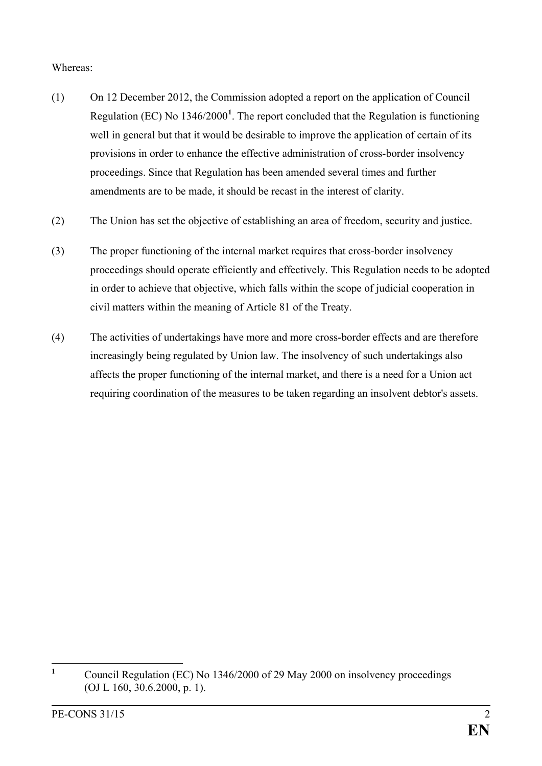#### Whereas:

- (1) On 12 December 2012, the Commission adopted a report on the application of Council Regulation (EC) No 1346/2000**[1](#page-2-0)** . The report concluded that the Regulation is functioning well in general but that it would be desirable to improve the application of certain of its provisions in order to enhance the effective administration of cross-border insolvency proceedings. Since that Regulation has been amended several times and further amendments are to be made, it should be recast in the interest of clarity.
- (2) The Union has set the objective of establishing an area of freedom, security and justice.
- (3) The proper functioning of the internal market requires that cross-border insolvency proceedings should operate efficiently and effectively. This Regulation needs to be adopted in order to achieve that objective, which falls within the scope of judicial cooperation in civil matters within the meaning of Article 81 of the Treaty.
- (4) The activities of undertakings have more and more cross-border effects and are therefore increasingly being regulated by Union law. The insolvency of such undertakings also affects the proper functioning of the internal market, and there is a need for a Union act requiring coordination of the measures to be taken regarding an insolvent debtor's assets.

<span id="page-2-0"></span>**<sup>1</sup>** Council Regulation (EC) No 1346/2000 of 29 May 2000 on insolvency proceedings (OJ L 160, 30.6.2000, p. 1).  $\mathbf{1}$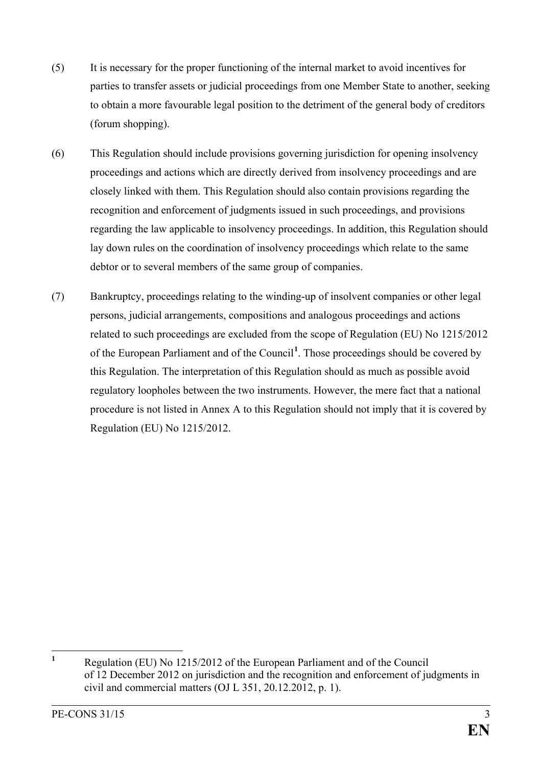- (5) It is necessary for the proper functioning of the internal market to avoid incentives for parties to transfer assets or judicial proceedings from one Member State to another, seeking to obtain a more favourable legal position to the detriment of the general body of creditors (forum shopping).
- (6) This Regulation should include provisions governing jurisdiction for opening insolvency proceedings and actions which are directly derived from insolvency proceedings and are closely linked with them. This Regulation should also contain provisions regarding the recognition and enforcement of judgments issued in such proceedings, and provisions regarding the law applicable to insolvency proceedings. In addition, this Regulation should lay down rules on the coordination of insolvency proceedings which relate to the same debtor or to several members of the same group of companies.
- (7) Bankruptcy, proceedings relating to the winding-up of insolvent companies or other legal persons, judicial arrangements, compositions and analogous proceedings and actions related to such proceedings are excluded from the scope of Regulation (EU) No 1215/2012 of the European Parliament and of the Council**[1](#page-3-0)** . Those proceedings should be covered by this Regulation. The interpretation of this Regulation should as much as possible avoid regulatory loopholes between the two instruments. However, the mere fact that a national procedure is not listed in Annex A to this Regulation should not imply that it is covered by Regulation (EU) No 1215/2012.

<span id="page-3-0"></span>**<sup>1</sup>** Regulation (EU) No 1215/2012 of the European Parliament and of the Council of 12 December 2012 on jurisdiction and the recognition and enforcement of judgments in civil and commercial matters (OJ L 351, 20.12.2012, p. 1).  $\mathbf{1}$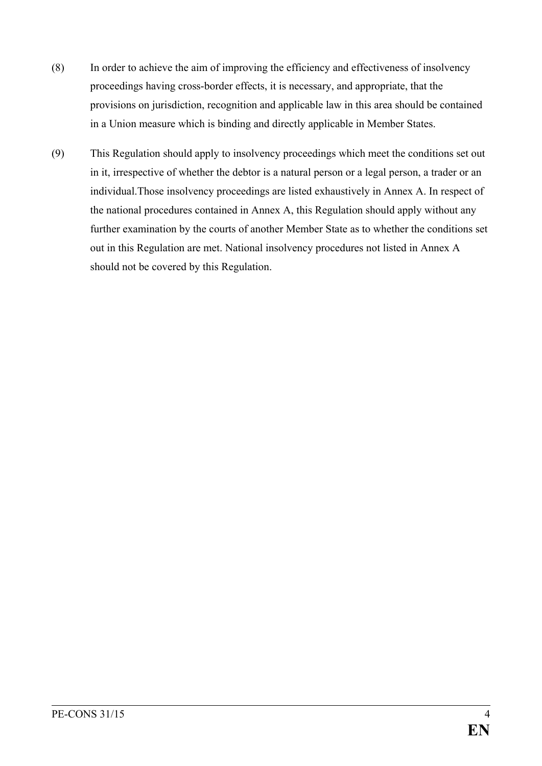- (8) In order to achieve the aim of improving the efficiency and effectiveness of insolvency proceedings having cross-border effects, it is necessary, and appropriate, that the provisions on jurisdiction, recognition and applicable law in this area should be contained in a Union measure which is binding and directly applicable in Member States.
- (9) This Regulation should apply to insolvency proceedings which meet the conditions set out in it, irrespective of whether the debtor is a natural person or a legal person, a trader or an individual.Those insolvency proceedings are listed exhaustively in Annex A. In respect of the national procedures contained in Annex A, this Regulation should apply without any further examination by the courts of another Member State as to whether the conditions set out in this Regulation are met. National insolvency procedures not listed in Annex A should not be covered by this Regulation.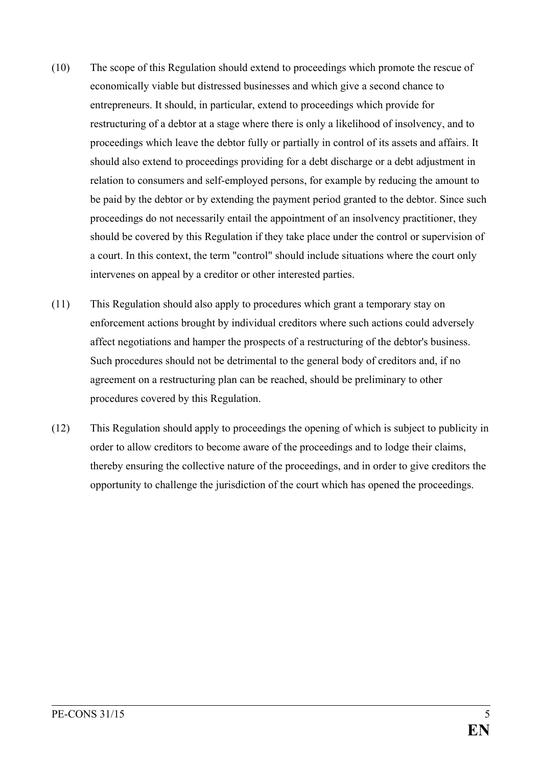- (10) The scope of this Regulation should extend to proceedings which promote the rescue of economically viable but distressed businesses and which give a second chance to entrepreneurs. It should, in particular, extend to proceedings which provide for restructuring of a debtor at a stage where there is only a likelihood of insolvency, and to proceedings which leave the debtor fully or partially in control of its assets and affairs. It should also extend to proceedings providing for a debt discharge or a debt adjustment in relation to consumers and self-employed persons, for example by reducing the amount to be paid by the debtor or by extending the payment period granted to the debtor. Since such proceedings do not necessarily entail the appointment of an insolvency practitioner, they should be covered by this Regulation if they take place under the control or supervision of a court. In this context, the term "control" should include situations where the court only intervenes on appeal by a creditor or other interested parties.
- (11) This Regulation should also apply to procedures which grant a temporary stay on enforcement actions brought by individual creditors where such actions could adversely affect negotiations and hamper the prospects of a restructuring of the debtor's business. Such procedures should not be detrimental to the general body of creditors and, if no agreement on a restructuring plan can be reached, should be preliminary to other procedures covered by this Regulation.
- (12) This Regulation should apply to proceedings the opening of which is subject to publicity in order to allow creditors to become aware of the proceedings and to lodge their claims, thereby ensuring the collective nature of the proceedings, and in order to give creditors the opportunity to challenge the jurisdiction of the court which has opened the proceedings.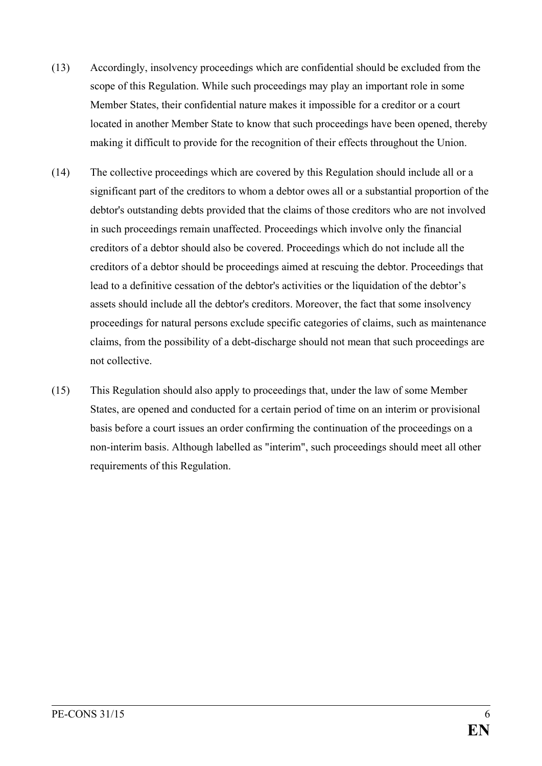- (13) Accordingly, insolvency proceedings which are confidential should be excluded from the scope of this Regulation. While such proceedings may play an important role in some Member States, their confidential nature makes it impossible for a creditor or a court located in another Member State to know that such proceedings have been opened, thereby making it difficult to provide for the recognition of their effects throughout the Union.
- (14) The collective proceedings which are covered by this Regulation should include all or a significant part of the creditors to whom a debtor owes all or a substantial proportion of the debtor's outstanding debts provided that the claims of those creditors who are not involved in such proceedings remain unaffected. Proceedings which involve only the financial creditors of a debtor should also be covered. Proceedings which do not include all the creditors of a debtor should be proceedings aimed at rescuing the debtor. Proceedings that lead to a definitive cessation of the debtor's activities or the liquidation of the debtor's assets should include all the debtor's creditors. Moreover, the fact that some insolvency proceedings for natural persons exclude specific categories of claims, such as maintenance claims, from the possibility of a debt-discharge should not mean that such proceedings are not collective.
- (15) This Regulation should also apply to proceedings that, under the law of some Member States, are opened and conducted for a certain period of time on an interim or provisional basis before a court issues an order confirming the continuation of the proceedings on a non-interim basis. Although labelled as "interim", such proceedings should meet all other requirements of this Regulation.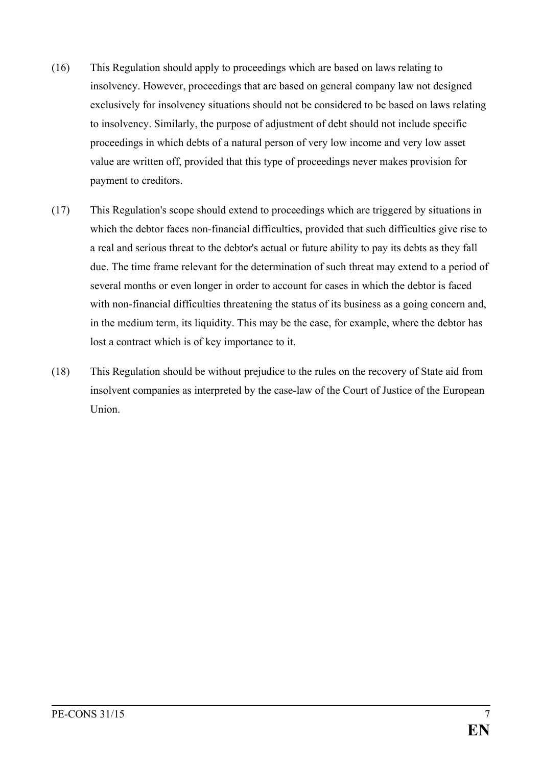- (16) This Regulation should apply to proceedings which are based on laws relating to insolvency. However, proceedings that are based on general company law not designed exclusively for insolvency situations should not be considered to be based on laws relating to insolvency. Similarly, the purpose of adjustment of debt should not include specific proceedings in which debts of a natural person of very low income and very low asset value are written off, provided that this type of proceedings never makes provision for payment to creditors.
- (17) This Regulation's scope should extend to proceedings which are triggered by situations in which the debtor faces non-financial difficulties, provided that such difficulties give rise to a real and serious threat to the debtor's actual or future ability to pay its debts as they fall due. The time frame relevant for the determination of such threat may extend to a period of several months or even longer in order to account for cases in which the debtor is faced with non-financial difficulties threatening the status of its business as a going concern and, in the medium term, its liquidity. This may be the case, for example, where the debtor has lost a contract which is of key importance to it.
- (18) This Regulation should be without prejudice to the rules on the recovery of State aid from insolvent companies as interpreted by the case-law of the Court of Justice of the European Union.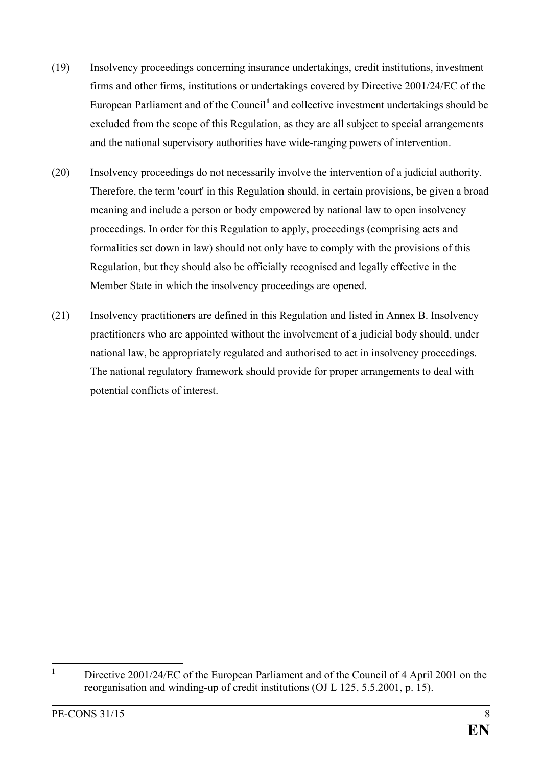- (19) Insolvency proceedings concerning insurance undertakings, credit institutions, investment firms and other firms, institutions or undertakings covered by Directive 2001/24/EC of the European Parliament and of the Council**[1](#page-8-0)** and collective investment undertakings should be excluded from the scope of this Regulation, as they are all subject to special arrangements and the national supervisory authorities have wide-ranging powers of intervention.
- (20) Insolvency proceedings do not necessarily involve the intervention of a judicial authority. Therefore, the term 'court' in this Regulation should, in certain provisions, be given a broad meaning and include a person or body empowered by national law to open insolvency proceedings. In order for this Regulation to apply, proceedings (comprising acts and formalities set down in law) should not only have to comply with the provisions of this Regulation, but they should also be officially recognised and legally effective in the Member State in which the insolvency proceedings are opened.
- (21) Insolvency practitioners are defined in this Regulation and listed in Annex B. Insolvency practitioners who are appointed without the involvement of a judicial body should, under national law, be appropriately regulated and authorised to act in insolvency proceedings. The national regulatory framework should provide for proper arrangements to deal with potential conflicts of interest.

<span id="page-8-0"></span>**<sup>1</sup>** Directive 2001/24/EC of the European Parliament and of the Council of 4 April 2001 on the reorganisation and winding-up of credit institutions (OJ L 125, 5.5.2001, p. 15).  $\mathbf{1}$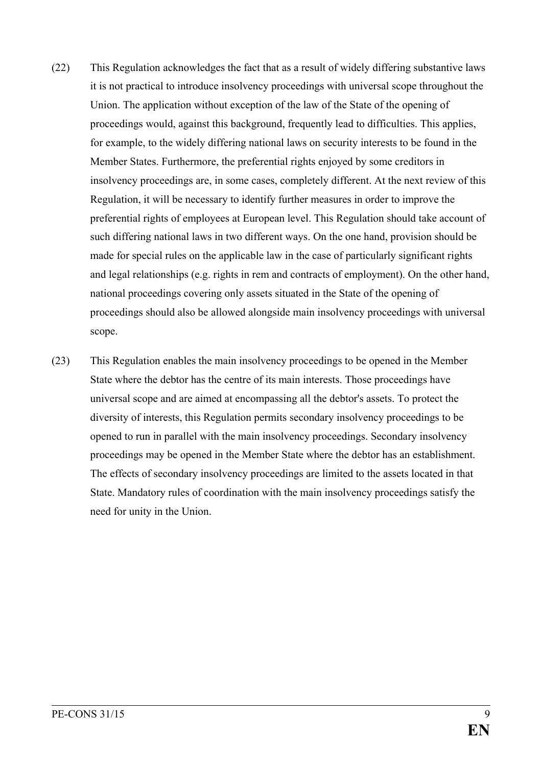- (22) This Regulation acknowledges the fact that as a result of widely differing substantive laws it is not practical to introduce insolvency proceedings with universal scope throughout the Union. The application without exception of the law of the State of the opening of proceedings would, against this background, frequently lead to difficulties. This applies, for example, to the widely differing national laws on security interests to be found in the Member States. Furthermore, the preferential rights enjoyed by some creditors in insolvency proceedings are, in some cases, completely different. At the next review of this Regulation, it will be necessary to identify further measures in order to improve the preferential rights of employees at European level. This Regulation should take account of such differing national laws in two different ways. On the one hand, provision should be made for special rules on the applicable law in the case of particularly significant rights and legal relationships (e.g. rights in rem and contracts of employment). On the other hand, national proceedings covering only assets situated in the State of the opening of proceedings should also be allowed alongside main insolvency proceedings with universal scope.
- (23) This Regulation enables the main insolvency proceedings to be opened in the Member State where the debtor has the centre of its main interests. Those proceedings have universal scope and are aimed at encompassing all the debtor's assets. To protect the diversity of interests, this Regulation permits secondary insolvency proceedings to be opened to run in parallel with the main insolvency proceedings. Secondary insolvency proceedings may be opened in the Member State where the debtor has an establishment. The effects of secondary insolvency proceedings are limited to the assets located in that State. Mandatory rules of coordination with the main insolvency proceedings satisfy the need for unity in the Union.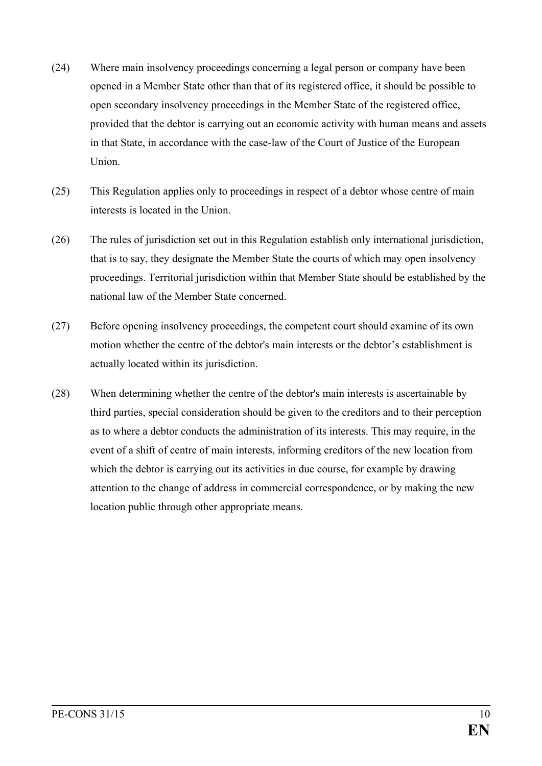- (24) Where main insolvency proceedings concerning a legal person or company have been opened in a Member State other than that of its registered office, it should be possible to open secondary insolvency proceedings in the Member State of the registered office, provided that the debtor is carrying out an economic activity with human means and assets in that State, in accordance with the case-law of the Court of Justice of the European Union.
- (25) This Regulation applies only to proceedings in respect of a debtor whose centre of main interests is located in the Union.
- (26) The rules of jurisdiction set out in this Regulation establish only international jurisdiction, that is to say, they designate the Member State the courts of which may open insolvency proceedings. Territorial jurisdiction within that Member State should be established by the national law of the Member State concerned.
- (27) Before opening insolvency proceedings, the competent court should examine of its own motion whether the centre of the debtor's main interests or the debtor's establishment is actually located within its jurisdiction.
- (28) When determining whether the centre of the debtor's main interests is ascertainable by third parties, special consideration should be given to the creditors and to their perception as to where a debtor conducts the administration of its interests. This may require, in the event of a shift of centre of main interests, informing creditors of the new location from which the debtor is carrying out its activities in due course, for example by drawing attention to the change of address in commercial correspondence, or by making the new location public through other appropriate means.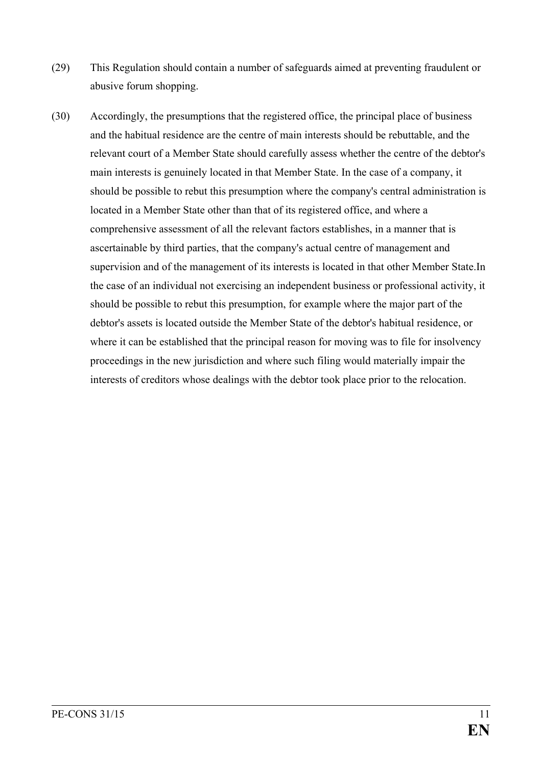- (29) This Regulation should contain a number of safeguards aimed at preventing fraudulent or abusive forum shopping.
- (30) Accordingly, the presumptions that the registered office, the principal place of business and the habitual residence are the centre of main interests should be rebuttable, and the relevant court of a Member State should carefully assess whether the centre of the debtor's main interests is genuinely located in that Member State. In the case of a company, it should be possible to rebut this presumption where the company's central administration is located in a Member State other than that of its registered office, and where a comprehensive assessment of all the relevant factors establishes, in a manner that is ascertainable by third parties, that the company's actual centre of management and supervision and of the management of its interests is located in that other Member State.In the case of an individual not exercising an independent business or professional activity, it should be possible to rebut this presumption, for example where the major part of the debtor's assets is located outside the Member State of the debtor's habitual residence, or where it can be established that the principal reason for moving was to file for insolvency proceedings in the new jurisdiction and where such filing would materially impair the interests of creditors whose dealings with the debtor took place prior to the relocation.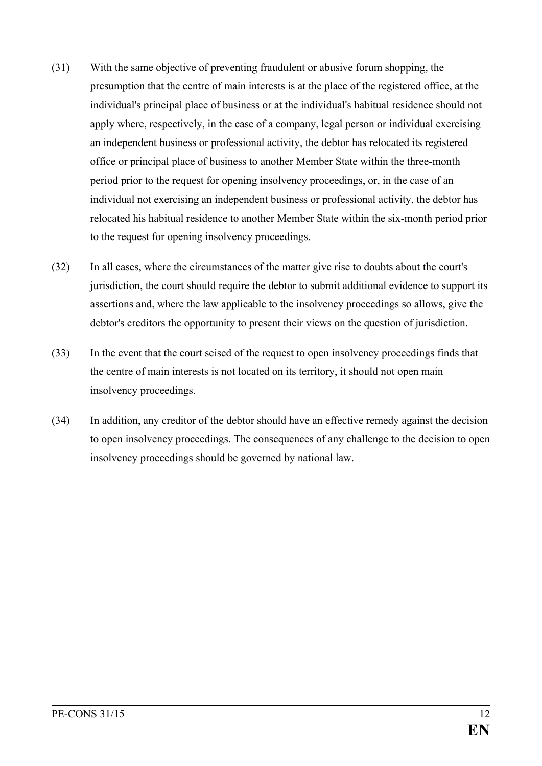- (31) With the same objective of preventing fraudulent or abusive forum shopping, the presumption that the centre of main interests is at the place of the registered office, at the individual's principal place of business or at the individual's habitual residence should not apply where, respectively, in the case of a company, legal person or individual exercising an independent business or professional activity, the debtor has relocated its registered office or principal place of business to another Member State within the three-month period prior to the request for opening insolvency proceedings, or, in the case of an individual not exercising an independent business or professional activity, the debtor has relocated his habitual residence to another Member State within the six-month period prior to the request for opening insolvency proceedings.
- (32) In all cases, where the circumstances of the matter give rise to doubts about the court's jurisdiction, the court should require the debtor to submit additional evidence to support its assertions and, where the law applicable to the insolvency proceedings so allows, give the debtor's creditors the opportunity to present their views on the question of jurisdiction.
- (33) In the event that the court seised of the request to open insolvency proceedings finds that the centre of main interests is not located on its territory, it should not open main insolvency proceedings.
- (34) In addition, any creditor of the debtor should have an effective remedy against the decision to open insolvency proceedings. The consequences of any challenge to the decision to open insolvency proceedings should be governed by national law.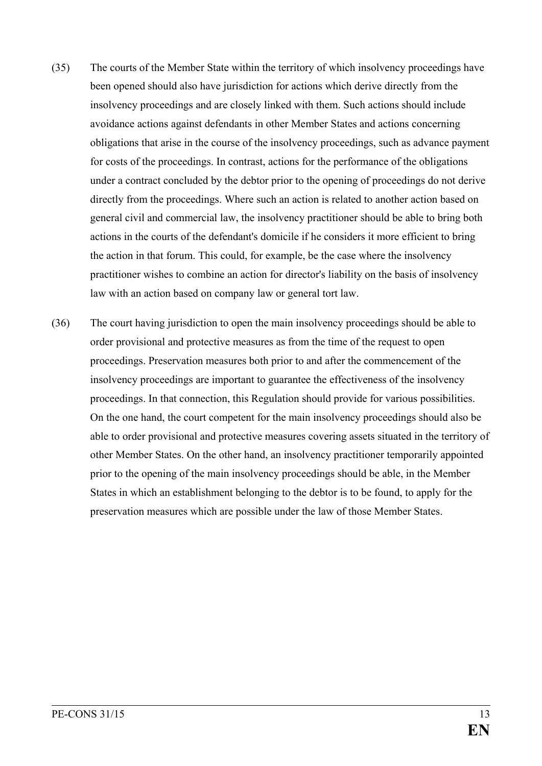- (35) The courts of the Member State within the territory of which insolvency proceedings have been opened should also have jurisdiction for actions which derive directly from the insolvency proceedings and are closely linked with them. Such actions should include avoidance actions against defendants in other Member States and actions concerning obligations that arise in the course of the insolvency proceedings, such as advance payment for costs of the proceedings. In contrast, actions for the performance of the obligations under a contract concluded by the debtor prior to the opening of proceedings do not derive directly from the proceedings. Where such an action is related to another action based on general civil and commercial law, the insolvency practitioner should be able to bring both actions in the courts of the defendant's domicile if he considers it more efficient to bring the action in that forum. This could, for example, be the case where the insolvency practitioner wishes to combine an action for director's liability on the basis of insolvency law with an action based on company law or general tort law.
- (36) The court having jurisdiction to open the main insolvency proceedings should be able to order provisional and protective measures as from the time of the request to open proceedings. Preservation measures both prior to and after the commencement of the insolvency proceedings are important to guarantee the effectiveness of the insolvency proceedings. In that connection, this Regulation should provide for various possibilities. On the one hand, the court competent for the main insolvency proceedings should also be able to order provisional and protective measures covering assets situated in the territory of other Member States. On the other hand, an insolvency practitioner temporarily appointed prior to the opening of the main insolvency proceedings should be able, in the Member States in which an establishment belonging to the debtor is to be found, to apply for the preservation measures which are possible under the law of those Member States.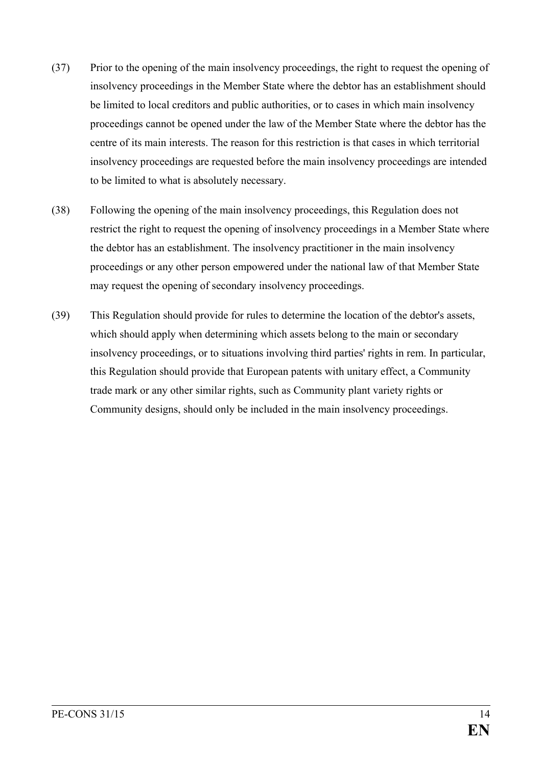- (37) Prior to the opening of the main insolvency proceedings, the right to request the opening of insolvency proceedings in the Member State where the debtor has an establishment should be limited to local creditors and public authorities, or to cases in which main insolvency proceedings cannot be opened under the law of the Member State where the debtor has the centre of its main interests. The reason for this restriction is that cases in which territorial insolvency proceedings are requested before the main insolvency proceedings are intended to be limited to what is absolutely necessary.
- (38) Following the opening of the main insolvency proceedings, this Regulation does not restrict the right to request the opening of insolvency proceedings in a Member State where the debtor has an establishment. The insolvency practitioner in the main insolvency proceedings or any other person empowered under the national law of that Member State may request the opening of secondary insolvency proceedings.
- (39) This Regulation should provide for rules to determine the location of the debtor's assets, which should apply when determining which assets belong to the main or secondary insolvency proceedings, or to situations involving third parties' rights in rem. In particular, this Regulation should provide that European patents with unitary effect, a Community trade mark or any other similar rights, such as Community plant variety rights or Community designs, should only be included in the main insolvency proceedings.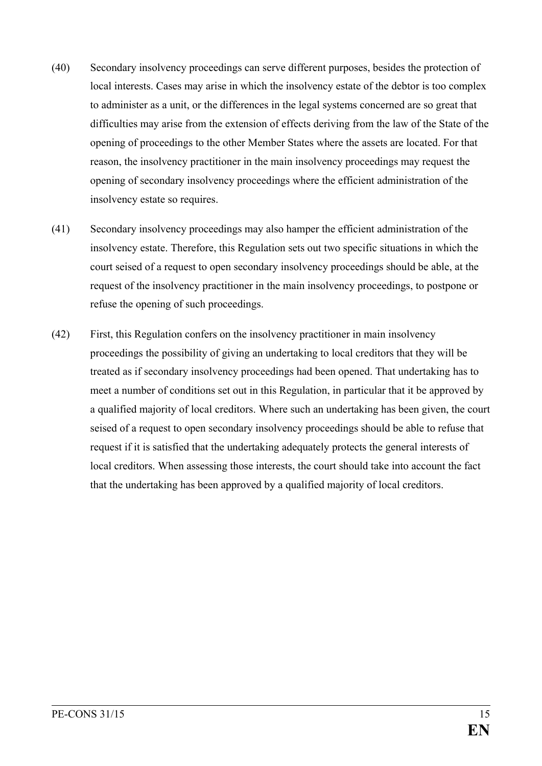- (40) Secondary insolvency proceedings can serve different purposes, besides the protection of local interests. Cases may arise in which the insolvency estate of the debtor is too complex to administer as a unit, or the differences in the legal systems concerned are so great that difficulties may arise from the extension of effects deriving from the law of the State of the opening of proceedings to the other Member States where the assets are located. For that reason, the insolvency practitioner in the main insolvency proceedings may request the opening of secondary insolvency proceedings where the efficient administration of the insolvency estate so requires.
- (41) Secondary insolvency proceedings may also hamper the efficient administration of the insolvency estate. Therefore, this Regulation sets out two specific situations in which the court seised of a request to open secondary insolvency proceedings should be able, at the request of the insolvency practitioner in the main insolvency proceedings, to postpone or refuse the opening of such proceedings.
- (42) First, this Regulation confers on the insolvency practitioner in main insolvency proceedings the possibility of giving an undertaking to local creditors that they will be treated as if secondary insolvency proceedings had been opened. That undertaking has to meet a number of conditions set out in this Regulation, in particular that it be approved by a qualified majority of local creditors. Where such an undertaking has been given, the court seised of a request to open secondary insolvency proceedings should be able to refuse that request if it is satisfied that the undertaking adequately protects the general interests of local creditors. When assessing those interests, the court should take into account the fact that the undertaking has been approved by a qualified majority of local creditors.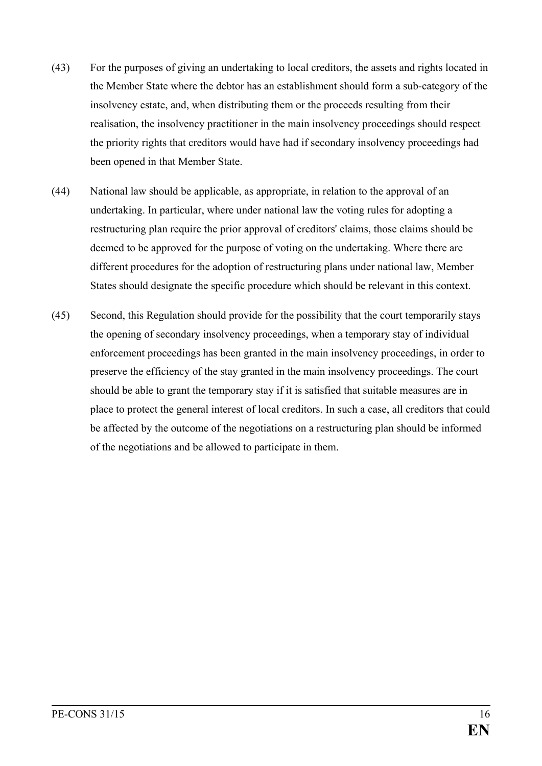- (43) For the purposes of giving an undertaking to local creditors, the assets and rights located in the Member State where the debtor has an establishment should form a sub-category of the insolvency estate, and, when distributing them or the proceeds resulting from their realisation, the insolvency practitioner in the main insolvency proceedings should respect the priority rights that creditors would have had if secondary insolvency proceedings had been opened in that Member State.
- (44) National law should be applicable, as appropriate, in relation to the approval of an undertaking. In particular, where under national law the voting rules for adopting a restructuring plan require the prior approval of creditors' claims, those claims should be deemed to be approved for the purpose of voting on the undertaking. Where there are different procedures for the adoption of restructuring plans under national law, Member States should designate the specific procedure which should be relevant in this context.
- (45) Second, this Regulation should provide for the possibility that the court temporarily stays the opening of secondary insolvency proceedings, when a temporary stay of individual enforcement proceedings has been granted in the main insolvency proceedings, in order to preserve the efficiency of the stay granted in the main insolvency proceedings. The court should be able to grant the temporary stay if it is satisfied that suitable measures are in place to protect the general interest of local creditors. In such a case, all creditors that could be affected by the outcome of the negotiations on a restructuring plan should be informed of the negotiations and be allowed to participate in them.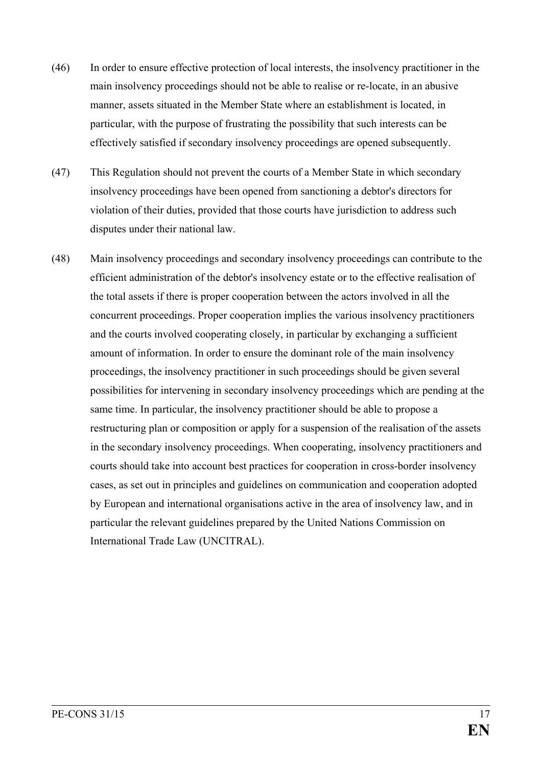- (46) In order to ensure effective protection of local interests, the insolvency practitioner in the main insolvency proceedings should not be able to realise or re-locate, in an abusive manner, assets situated in the Member State where an establishment is located, in particular, with the purpose of frustrating the possibility that such interests can be effectively satisfied if secondary insolvency proceedings are opened subsequently.
- (47) This Regulation should not prevent the courts of a Member State in which secondary insolvency proceedings have been opened from sanctioning a debtor's directors for violation of their duties, provided that those courts have jurisdiction to address such disputes under their national law.
- (48) Main insolvency proceedings and secondary insolvency proceedings can contribute to the efficient administration of the debtor's insolvency estate or to the effective realisation of the total assets if there is proper cooperation between the actors involved in all the concurrent proceedings. Proper cooperation implies the various insolvency practitioners and the courts involved cooperating closely, in particular by exchanging a sufficient amount of information. In order to ensure the dominant role of the main insolvency proceedings, the insolvency practitioner in such proceedings should be given several possibilities for intervening in secondary insolvency proceedings which are pending at the same time. In particular, the insolvency practitioner should be able to propose a restructuring plan or composition or apply for a suspension of the realisation of the assets in the secondary insolvency proceedings. When cooperating, insolvency practitioners and courts should take into account best practices for cooperation in cross-border insolvency cases, as set out in principles and guidelines on communication and cooperation adopted by European and international organisations active in the area of insolvency law, and in particular the relevant guidelines prepared by the United Nations Commission on International Trade Law (UNCITRAL).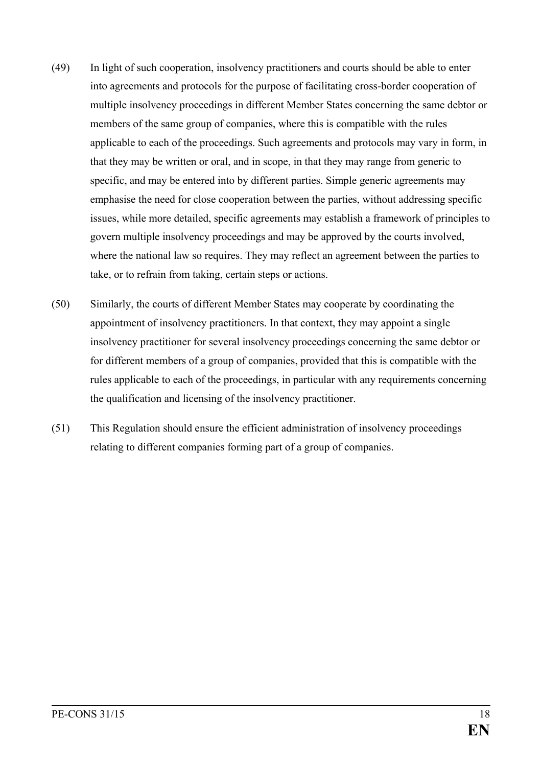- (49) In light of such cooperation, insolvency practitioners and courts should be able to enter into agreements and protocols for the purpose of facilitating cross-border cooperation of multiple insolvency proceedings in different Member States concerning the same debtor or members of the same group of companies, where this is compatible with the rules applicable to each of the proceedings. Such agreements and protocols may vary in form, in that they may be written or oral, and in scope, in that they may range from generic to specific, and may be entered into by different parties. Simple generic agreements may emphasise the need for close cooperation between the parties, without addressing specific issues, while more detailed, specific agreements may establish a framework of principles to govern multiple insolvency proceedings and may be approved by the courts involved, where the national law so requires. They may reflect an agreement between the parties to take, or to refrain from taking, certain steps or actions.
- (50) Similarly, the courts of different Member States may cooperate by coordinating the appointment of insolvency practitioners. In that context, they may appoint a single insolvency practitioner for several insolvency proceedings concerning the same debtor or for different members of a group of companies, provided that this is compatible with the rules applicable to each of the proceedings, in particular with any requirements concerning the qualification and licensing of the insolvency practitioner.
- (51) This Regulation should ensure the efficient administration of insolvency proceedings relating to different companies forming part of a group of companies.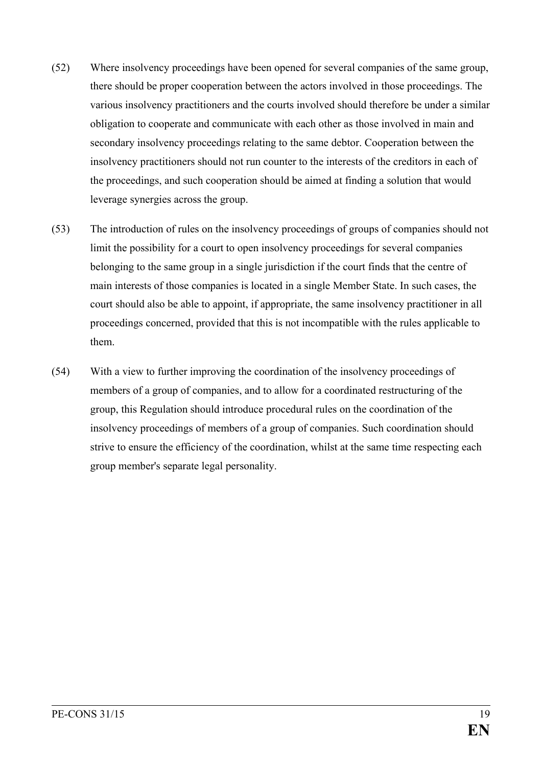- (52) Where insolvency proceedings have been opened for several companies of the same group, there should be proper cooperation between the actors involved in those proceedings. The various insolvency practitioners and the courts involved should therefore be under a similar obligation to cooperate and communicate with each other as those involved in main and secondary insolvency proceedings relating to the same debtor. Cooperation between the insolvency practitioners should not run counter to the interests of the creditors in each of the proceedings, and such cooperation should be aimed at finding a solution that would leverage synergies across the group.
- (53) The introduction of rules on the insolvency proceedings of groups of companies should not limit the possibility for a court to open insolvency proceedings for several companies belonging to the same group in a single jurisdiction if the court finds that the centre of main interests of those companies is located in a single Member State. In such cases, the court should also be able to appoint, if appropriate, the same insolvency practitioner in all proceedings concerned, provided that this is not incompatible with the rules applicable to them.
- (54) With a view to further improving the coordination of the insolvency proceedings of members of a group of companies, and to allow for a coordinated restructuring of the group, this Regulation should introduce procedural rules on the coordination of the insolvency proceedings of members of a group of companies. Such coordination should strive to ensure the efficiency of the coordination, whilst at the same time respecting each group member's separate legal personality.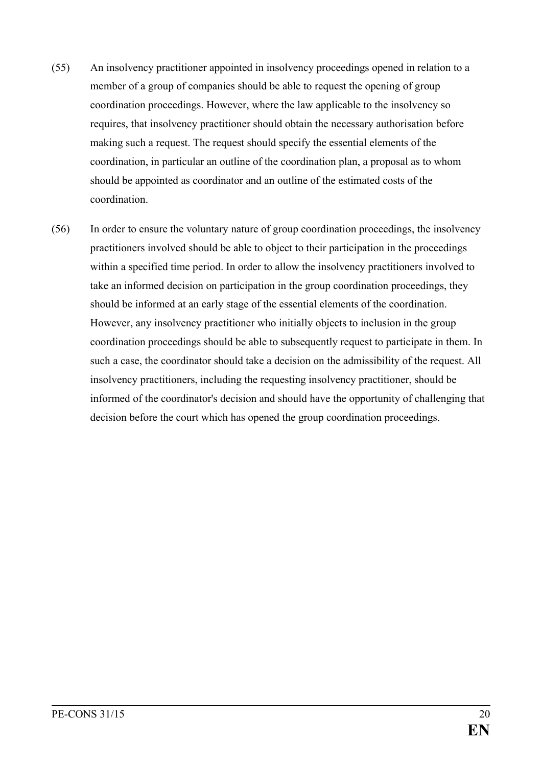- (55) An insolvency practitioner appointed in insolvency proceedings opened in relation to a member of a group of companies should be able to request the opening of group coordination proceedings. However, where the law applicable to the insolvency so requires, that insolvency practitioner should obtain the necessary authorisation before making such a request. The request should specify the essential elements of the coordination, in particular an outline of the coordination plan, a proposal as to whom should be appointed as coordinator and an outline of the estimated costs of the coordination.
- (56) In order to ensure the voluntary nature of group coordination proceedings, the insolvency practitioners involved should be able to object to their participation in the proceedings within a specified time period. In order to allow the insolvency practitioners involved to take an informed decision on participation in the group coordination proceedings, they should be informed at an early stage of the essential elements of the coordination. However, any insolvency practitioner who initially objects to inclusion in the group coordination proceedings should be able to subsequently request to participate in them. In such a case, the coordinator should take a decision on the admissibility of the request. All insolvency practitioners, including the requesting insolvency practitioner, should be informed of the coordinator's decision and should have the opportunity of challenging that decision before the court which has opened the group coordination proceedings.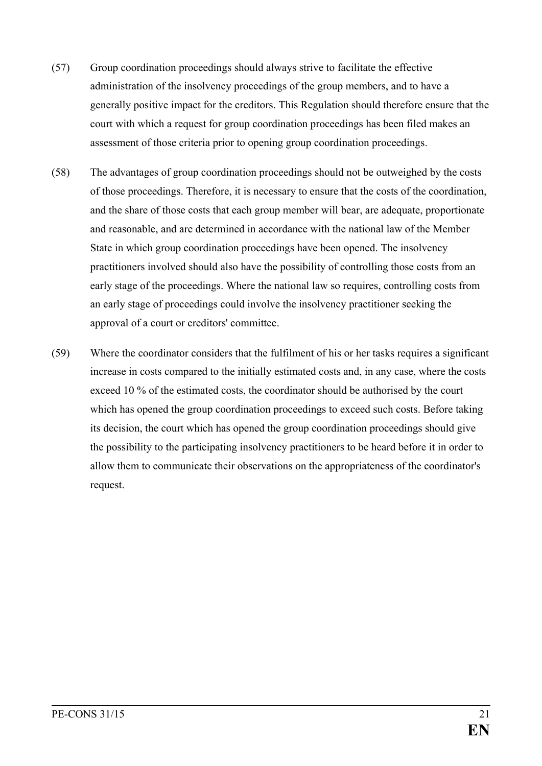- (57) Group coordination proceedings should always strive to facilitate the effective administration of the insolvency proceedings of the group members, and to have a generally positive impact for the creditors. This Regulation should therefore ensure that the court with which a request for group coordination proceedings has been filed makes an assessment of those criteria prior to opening group coordination proceedings.
- (58) The advantages of group coordination proceedings should not be outweighed by the costs of those proceedings. Therefore, it is necessary to ensure that the costs of the coordination, and the share of those costs that each group member will bear, are adequate, proportionate and reasonable, and are determined in accordance with the national law of the Member State in which group coordination proceedings have been opened. The insolvency practitioners involved should also have the possibility of controlling those costs from an early stage of the proceedings. Where the national law so requires, controlling costs from an early stage of proceedings could involve the insolvency practitioner seeking the approval of a court or creditors' committee.
- (59) Where the coordinator considers that the fulfilment of his or her tasks requires a significant increase in costs compared to the initially estimated costs and, in any case, where the costs exceed 10 % of the estimated costs, the coordinator should be authorised by the court which has opened the group coordination proceedings to exceed such costs. Before taking its decision, the court which has opened the group coordination proceedings should give the possibility to the participating insolvency practitioners to be heard before it in order to allow them to communicate their observations on the appropriateness of the coordinator's request.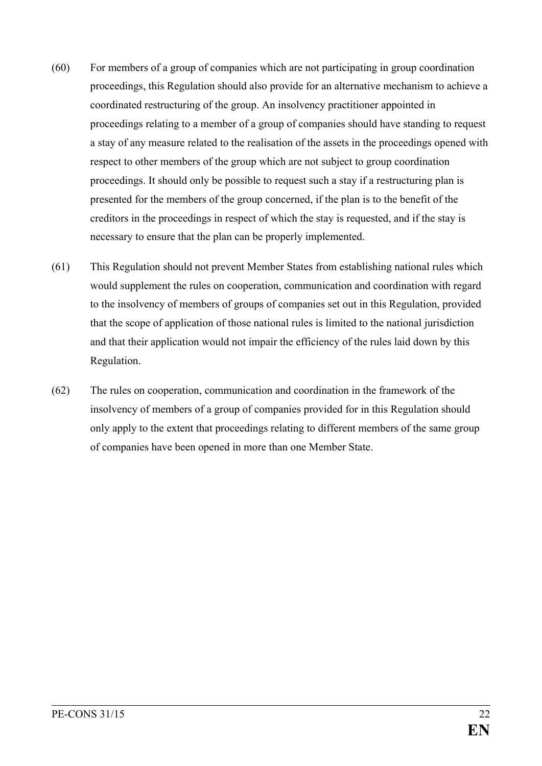- (60) For members of a group of companies which are not participating in group coordination proceedings, this Regulation should also provide for an alternative mechanism to achieve a coordinated restructuring of the group. An insolvency practitioner appointed in proceedings relating to a member of a group of companies should have standing to request a stay of any measure related to the realisation of the assets in the proceedings opened with respect to other members of the group which are not subject to group coordination proceedings. It should only be possible to request such a stay if a restructuring plan is presented for the members of the group concerned, if the plan is to the benefit of the creditors in the proceedings in respect of which the stay is requested, and if the stay is necessary to ensure that the plan can be properly implemented.
- (61) This Regulation should not prevent Member States from establishing national rules which would supplement the rules on cooperation, communication and coordination with regard to the insolvency of members of groups of companies set out in this Regulation, provided that the scope of application of those national rules is limited to the national jurisdiction and that their application would not impair the efficiency of the rules laid down by this Regulation.
- (62) The rules on cooperation, communication and coordination in the framework of the insolvency of members of a group of companies provided for in this Regulation should only apply to the extent that proceedings relating to different members of the same group of companies have been opened in more than one Member State.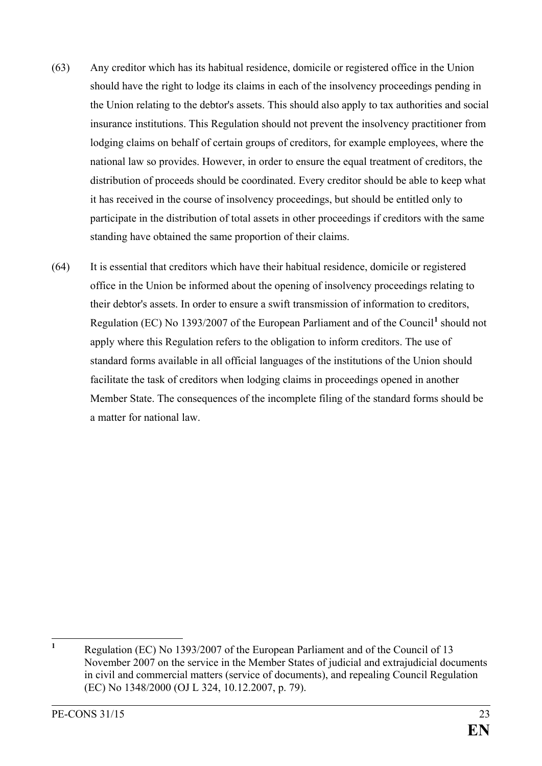- (63) Any creditor which has its habitual residence, domicile or registered office in the Union should have the right to lodge its claims in each of the insolvency proceedings pending in the Union relating to the debtor's assets. This should also apply to tax authorities and social insurance institutions. This Regulation should not prevent the insolvency practitioner from lodging claims on behalf of certain groups of creditors, for example employees, where the national law so provides. However, in order to ensure the equal treatment of creditors, the distribution of proceeds should be coordinated. Every creditor should be able to keep what it has received in the course of insolvency proceedings, but should be entitled only to participate in the distribution of total assets in other proceedings if creditors with the same standing have obtained the same proportion of their claims.
- (64) It is essential that creditors which have their habitual residence, domicile or registered office in the Union be informed about the opening of insolvency proceedings relating to their debtor's assets. In order to ensure a swift transmission of information to creditors, Regulation (EC) No 1393/2007 of the European Parliament and of the Council**[1](#page-23-0)** should not apply where this Regulation refers to the obligation to inform creditors. The use of standard forms available in all official languages of the institutions of the Union should facilitate the task of creditors when lodging claims in proceedings opened in another Member State. The consequences of the incomplete filing of the standard forms should be a matter for national law.

<span id="page-23-0"></span>**<sup>1</sup>** Regulation (EC) No 1393/2007 of the European Parliament and of the Council of 13 November 2007 on the service in the Member States of judicial and extrajudicial documents in civil and commercial matters (service of documents), and repealing Council Regulation (EC) No 1348/2000 (OJ L 324, 10.12.2007, p. 79).  $\mathbf{1}$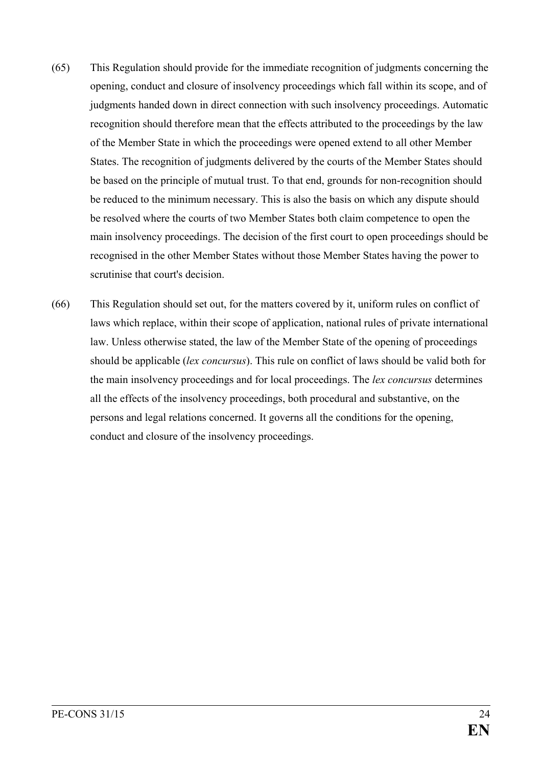- (65) This Regulation should provide for the immediate recognition of judgments concerning the opening, conduct and closure of insolvency proceedings which fall within its scope, and of judgments handed down in direct connection with such insolvency proceedings. Automatic recognition should therefore mean that the effects attributed to the proceedings by the law of the Member State in which the proceedings were opened extend to all other Member States. The recognition of judgments delivered by the courts of the Member States should be based on the principle of mutual trust. To that end, grounds for non-recognition should be reduced to the minimum necessary. This is also the basis on which any dispute should be resolved where the courts of two Member States both claim competence to open the main insolvency proceedings. The decision of the first court to open proceedings should be recognised in the other Member States without those Member States having the power to scrutinise that court's decision.
- (66) This Regulation should set out, for the matters covered by it, uniform rules on conflict of laws which replace, within their scope of application, national rules of private international law. Unless otherwise stated, the law of the Member State of the opening of proceedings should be applicable (*lex concursus*). This rule on conflict of laws should be valid both for the main insolvency proceedings and for local proceedings. The *lex concursus* determines all the effects of the insolvency proceedings, both procedural and substantive, on the persons and legal relations concerned. It governs all the conditions for the opening, conduct and closure of the insolvency proceedings.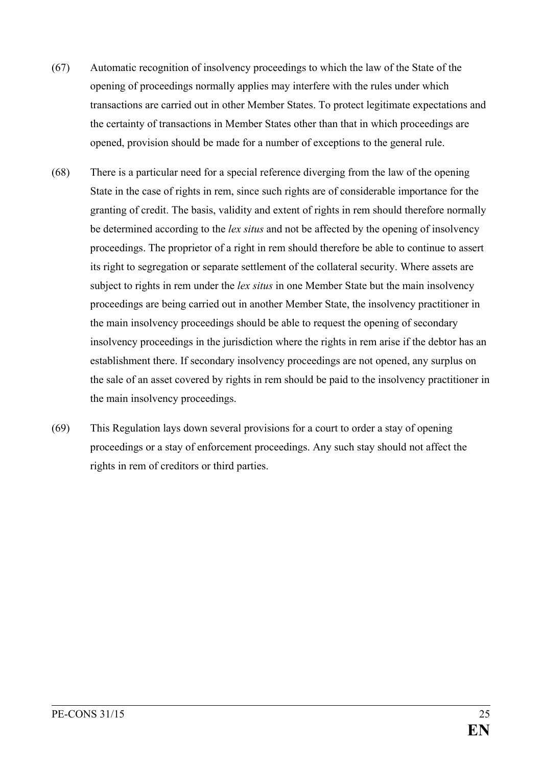- (67) Automatic recognition of insolvency proceedings to which the law of the State of the opening of proceedings normally applies may interfere with the rules under which transactions are carried out in other Member States. To protect legitimate expectations and the certainty of transactions in Member States other than that in which proceedings are opened, provision should be made for a number of exceptions to the general rule.
- (68) There is a particular need for a special reference diverging from the law of the opening State in the case of rights in rem, since such rights are of considerable importance for the granting of credit. The basis, validity and extent of rights in rem should therefore normally be determined according to the *lex situs* and not be affected by the opening of insolvency proceedings. The proprietor of a right in rem should therefore be able to continue to assert its right to segregation or separate settlement of the collateral security. Where assets are subject to rights in rem under the *lex situs* in one Member State but the main insolvency proceedings are being carried out in another Member State, the insolvency practitioner in the main insolvency proceedings should be able to request the opening of secondary insolvency proceedings in the jurisdiction where the rights in rem arise if the debtor has an establishment there. If secondary insolvency proceedings are not opened, any surplus on the sale of an asset covered by rights in rem should be paid to the insolvency practitioner in the main insolvency proceedings.
- (69) This Regulation lays down several provisions for a court to order a stay of opening proceedings or a stay of enforcement proceedings. Any such stay should not affect the rights in rem of creditors or third parties.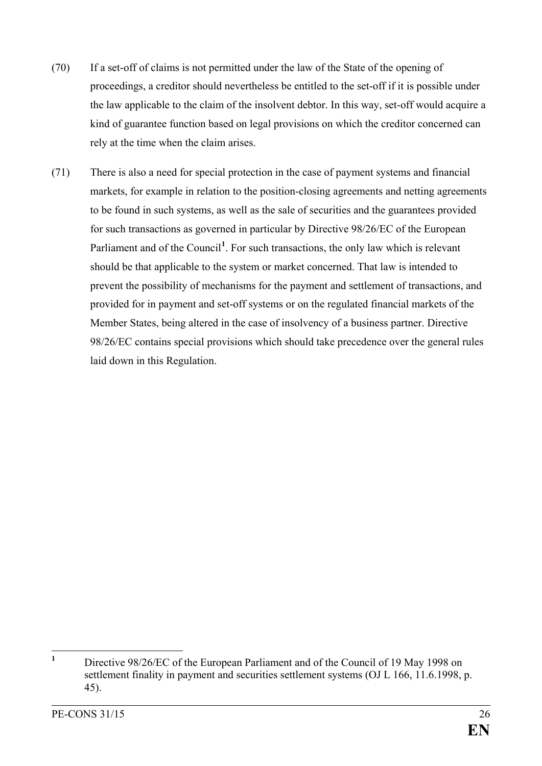- (70) If a set-off of claims is not permitted under the law of the State of the opening of proceedings, a creditor should nevertheless be entitled to the set-off if it is possible under the law applicable to the claim of the insolvent debtor. In this way, set-off would acquire a kind of guarantee function based on legal provisions on which the creditor concerned can rely at the time when the claim arises.
- (71) There is also a need for special protection in the case of payment systems and financial markets, for example in relation to the position-closing agreements and netting agreements to be found in such systems, as well as the sale of securities and the guarantees provided for such transactions as governed in particular by Directive 98/26/EC of the European Parliament and of the Council<sup>[1](#page-26-0)</sup>. For such transactions, the only law which is relevant should be that applicable to the system or market concerned. That law is intended to prevent the possibility of mechanisms for the payment and settlement of transactions, and provided for in payment and set-off systems or on the regulated financial markets of the Member States, being altered in the case of insolvency of a business partner. Directive 98/26/EC contains special provisions which should take precedence over the general rules laid down in this Regulation.

<span id="page-26-0"></span>**<sup>1</sup>** Directive 98/26/EC of the European Parliament and of the Council of 19 May 1998 on settlement finality in payment and securities settlement systems (OJ L 166, 11.6.1998, p. 45).  $\mathbf{1}$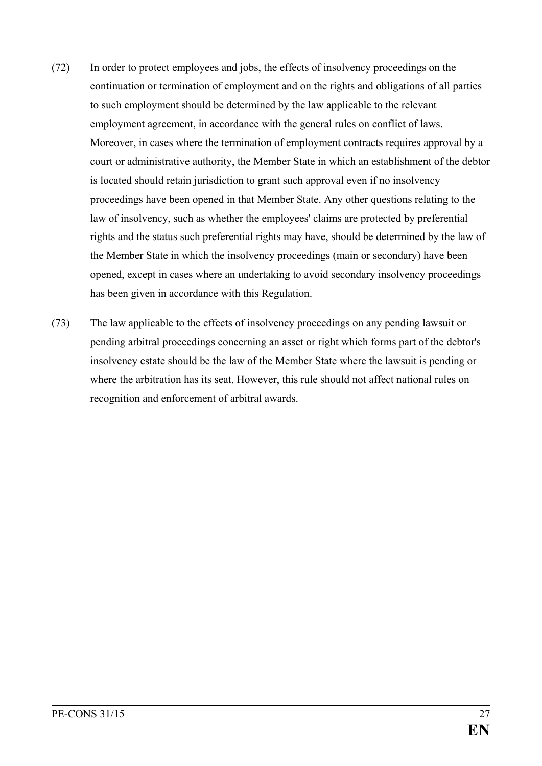- (72) In order to protect employees and jobs, the effects of insolvency proceedings on the continuation or termination of employment and on the rights and obligations of all parties to such employment should be determined by the law applicable to the relevant employment agreement, in accordance with the general rules on conflict of laws. Moreover, in cases where the termination of employment contracts requires approval by a court or administrative authority, the Member State in which an establishment of the debtor is located should retain jurisdiction to grant such approval even if no insolvency proceedings have been opened in that Member State. Any other questions relating to the law of insolvency, such as whether the employees' claims are protected by preferential rights and the status such preferential rights may have, should be determined by the law of the Member State in which the insolvency proceedings (main or secondary) have been opened, except in cases where an undertaking to avoid secondary insolvency proceedings has been given in accordance with this Regulation.
- (73) The law applicable to the effects of insolvency proceedings on any pending lawsuit or pending arbitral proceedings concerning an asset or right which forms part of the debtor's insolvency estate should be the law of the Member State where the lawsuit is pending or where the arbitration has its seat. However, this rule should not affect national rules on recognition and enforcement of arbitral awards.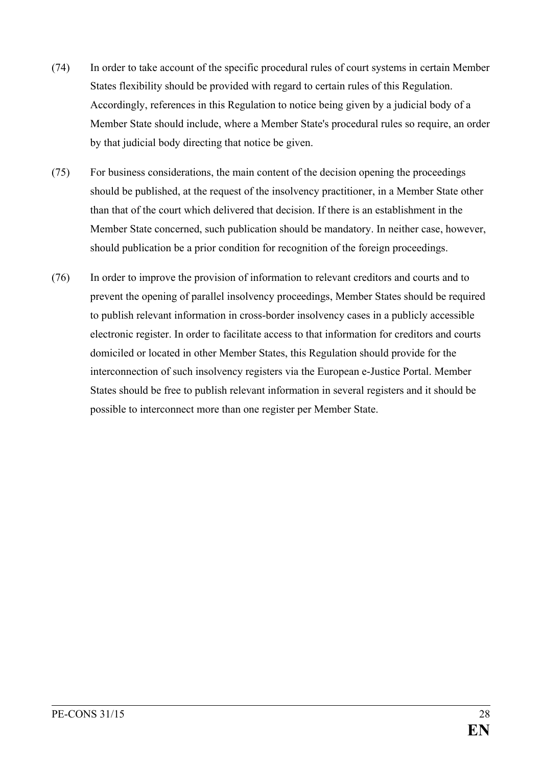- (74) In order to take account of the specific procedural rules of court systems in certain Member States flexibility should be provided with regard to certain rules of this Regulation. Accordingly, references in this Regulation to notice being given by a judicial body of a Member State should include, where a Member State's procedural rules so require, an order by that judicial body directing that notice be given.
- (75) For business considerations, the main content of the decision opening the proceedings should be published, at the request of the insolvency practitioner, in a Member State other than that of the court which delivered that decision. If there is an establishment in the Member State concerned, such publication should be mandatory. In neither case, however, should publication be a prior condition for recognition of the foreign proceedings.
- (76) In order to improve the provision of information to relevant creditors and courts and to prevent the opening of parallel insolvency proceedings, Member States should be required to publish relevant information in cross-border insolvency cases in a publicly accessible electronic register. In order to facilitate access to that information for creditors and courts domiciled or located in other Member States, this Regulation should provide for the interconnection of such insolvency registers via the European e-Justice Portal. Member States should be free to publish relevant information in several registers and it should be possible to interconnect more than one register per Member State.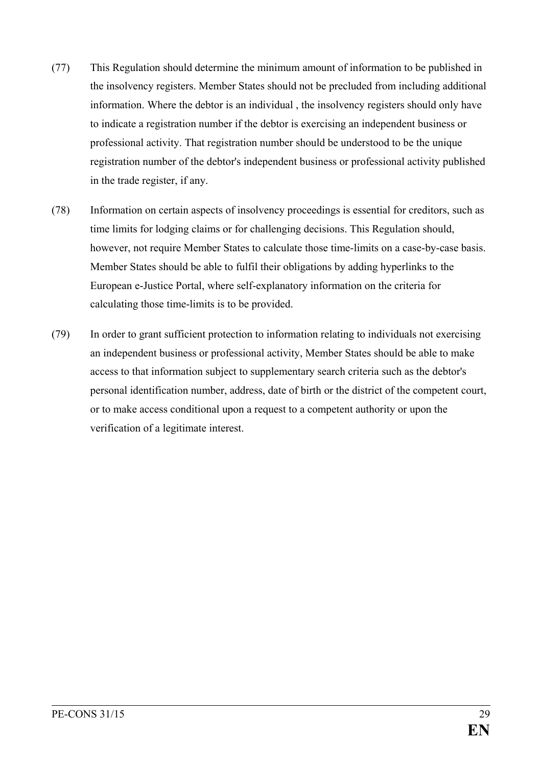- (77) This Regulation should determine the minimum amount of information to be published in the insolvency registers. Member States should not be precluded from including additional information. Where the debtor is an individual , the insolvency registers should only have to indicate a registration number if the debtor is exercising an independent business or professional activity. That registration number should be understood to be the unique registration number of the debtor's independent business or professional activity published in the trade register, if any.
- (78) Information on certain aspects of insolvency proceedings is essential for creditors, such as time limits for lodging claims or for challenging decisions. This Regulation should, however, not require Member States to calculate those time-limits on a case-by-case basis. Member States should be able to fulfil their obligations by adding hyperlinks to the European e-Justice Portal, where self-explanatory information on the criteria for calculating those time-limits is to be provided.
- (79) In order to grant sufficient protection to information relating to individuals not exercising an independent business or professional activity, Member States should be able to make access to that information subject to supplementary search criteria such as the debtor's personal identification number, address, date of birth or the district of the competent court, or to make access conditional upon a request to a competent authority or upon the verification of a legitimate interest.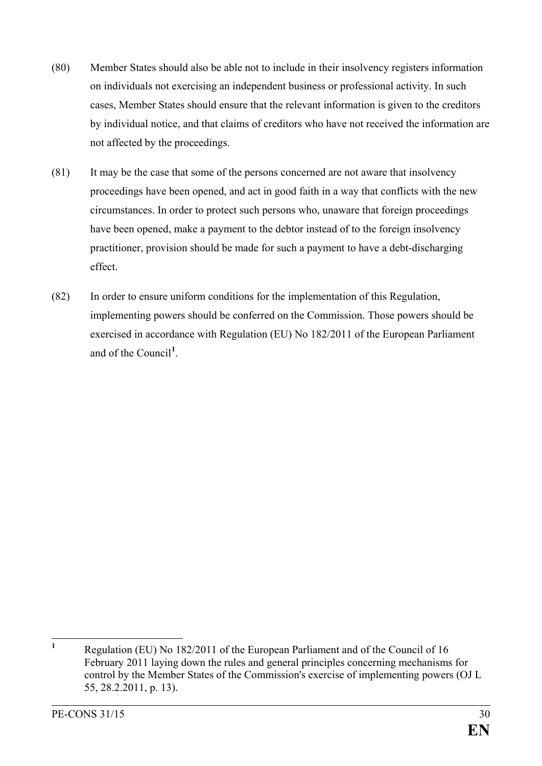- (80) Member States should also be able not to include in their insolvency registers information on individuals not exercising an independent business or professional activity. In such cases, Member States should ensure that the relevant information is given to the creditors by individual notice, and that claims of creditors who have not received the information are not affected by the proceedings.
- (81) It may be the case that some of the persons concerned are not aware that insolvency proceedings have been opened, and act in good faith in a way that conflicts with the new circumstances. In order to protect such persons who, unaware that foreign proceedings have been opened, make a payment to the debtor instead of to the foreign insolvency practitioner, provision should be made for such a payment to have a debt-discharging effect.
- (82) In order to ensure uniform conditions for the implementation of this Regulation, implementing powers should be conferred on the Commission. Those powers should be exercised in accordance with Regulation (EU) No 182/2011 of the European Parliament and of the Council**[1](#page-30-0)** .

<span id="page-30-0"></span>**<sup>1</sup>** Regulation (EU) No 182/2011 of the European Parliament and of the Council of 16 February 2011 laying down the rules and general principles concerning mechanisms for control by the Member States of the Commission's exercise of implementing powers (OJ L 55, 28.2.2011, p. 13).  $\mathbf{1}$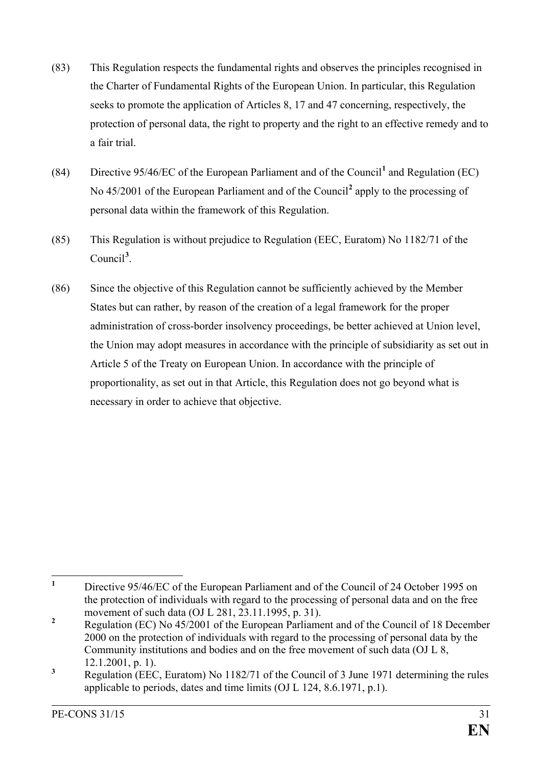- (83) This Regulation respects the fundamental rights and observes the principles recognised in the Charter of Fundamental Rights of the European Union. In particular, this Regulation seeks to promote the application of Articles 8, 17 and 47 concerning, respectively, the protection of personal data, the right to property and the right to an effective remedy and to a fair trial.
- (84) Directive 95/46/EC of the European Parliament and of the Council**[1](#page-31-0)** and Regulation (EC) No 45/2001 of the European Parliament and of the Council**[2](#page-31-1)** apply to the processing of personal data within the framework of this Regulation.
- (85) This Regulation is without prejudice to Regulation (EEC, Euratom) No 1182/71 of the Council<sup>[3](#page-31-2)</sup>.
- (86) Since the objective of this Regulation cannot be sufficiently achieved by the Member States but can rather, by reason of the creation of a legal framework for the proper administration of cross-border insolvency proceedings, be better achieved at Union level, the Union may adopt measures in accordance with the principle of subsidiarity as set out in Article 5 of the Treaty on European Union. In accordance with the principle of proportionality, as set out in that Article, this Regulation does not go beyond what is necessary in order to achieve that objective.

<span id="page-31-0"></span>**<sup>1</sup>** Directive 95/46/EC of the European Parliament and of the Council of 24 October 1995 on the protection of individuals with regard to the processing of personal data and on the free movement of such data (OJ L 281, 23.11.1995, p. 31).  $\mathbf{1}$ 

<span id="page-31-1"></span>novement of such data (OC 23.13.13.1995), p. 31). **2**<br>Regulation (EC) No 45/2001 of the European Parliament and of the Council of 18 December 2000 on the protection of individuals with regard to the processing of personal data by the Community institutions and bodies and on the free movement of such data (OJ L 8,

<span id="page-31-2"></span><sup>12.1.2001,</sup> p. 1).<br>**3** Regulation (EEC, Euratom) No 1182/71 of the Council of 3 June 1971 determining the rules applicable to periods, dates and time limits (OJ L 124, 8.6.1971, p.1).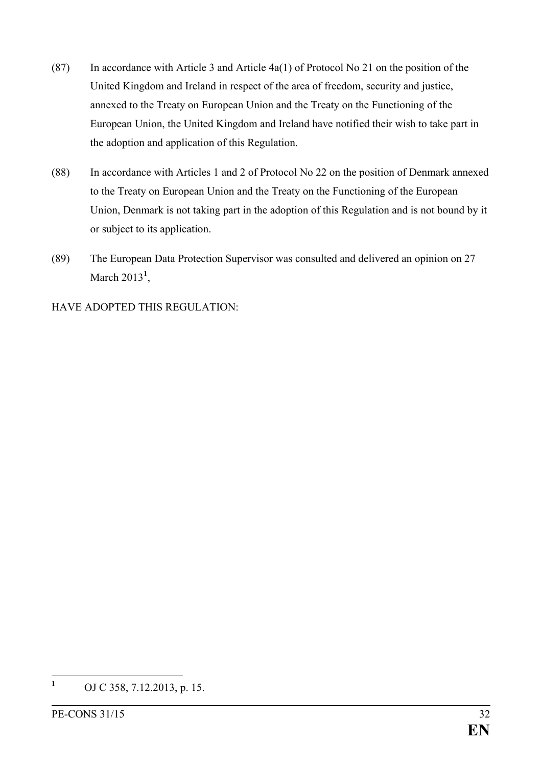- (87) In accordance with Article 3 and Article 4a(1) of Protocol No 21 on the position of the United Kingdom and Ireland in respect of the area of freedom, security and justice, annexed to the Treaty on European Union and the Treaty on the Functioning of the European Union, the United Kingdom and Ireland have notified their wish to take part in the adoption and application of this Regulation.
- (88) In accordance with Articles 1 and 2 of Protocol No 22 on the position of Denmark annexed to the Treaty on European Union and the Treaty on the Functioning of the European Union, Denmark is not taking part in the adoption of this Regulation and is not bound by it or subject to its application.
- (89) The European Data Protection Supervisor was consulted and delivered an opinion on 27 March 2013**[1](#page-32-0)** ,

HAVE ADOPTED THIS REGULATION:

<span id="page-32-0"></span>**<sup>1</sup>** OJ C 358, 7.12.2013, p. 15.  $\mathbf{1}$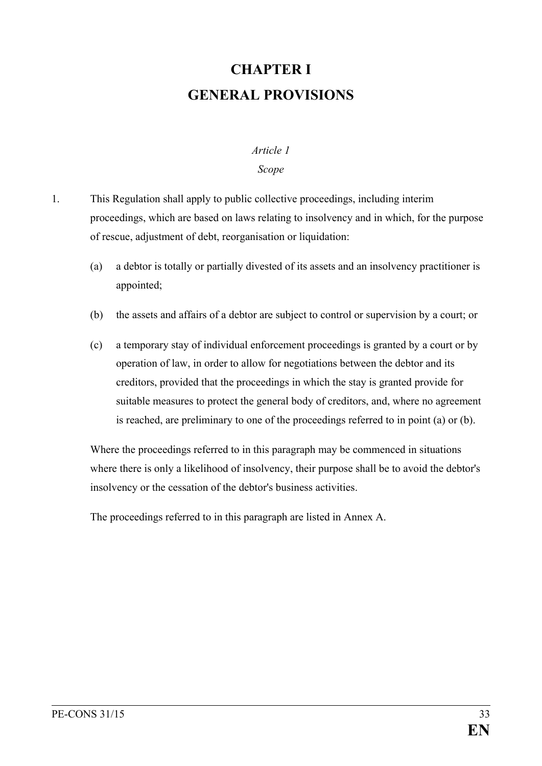# **CHAPTER I GENERAL PROVISIONS**

#### *Article 1*

#### *Scope*

- 1. This Regulation shall apply to public collective proceedings, including interim proceedings, which are based on laws relating to insolvency and in which, for the purpose of rescue, adjustment of debt, reorganisation or liquidation:
	- (a) a debtor is totally or partially divested of its assets and an insolvency practitioner is appointed;
	- (b) the assets and affairs of a debtor are subject to control or supervision by a court; or
	- (c) a temporary stay of individual enforcement proceedings is granted by a court or by operation of law, in order to allow for negotiations between the debtor and its creditors, provided that the proceedings in which the stay is granted provide for suitable measures to protect the general body of creditors, and, where no agreement is reached, are preliminary to one of the proceedings referred to in point (a) or (b).

Where the proceedings referred to in this paragraph may be commenced in situations where there is only a likelihood of insolvency, their purpose shall be to avoid the debtor's insolvency or the cessation of the debtor's business activities.

The proceedings referred to in this paragraph are listed in Annex A.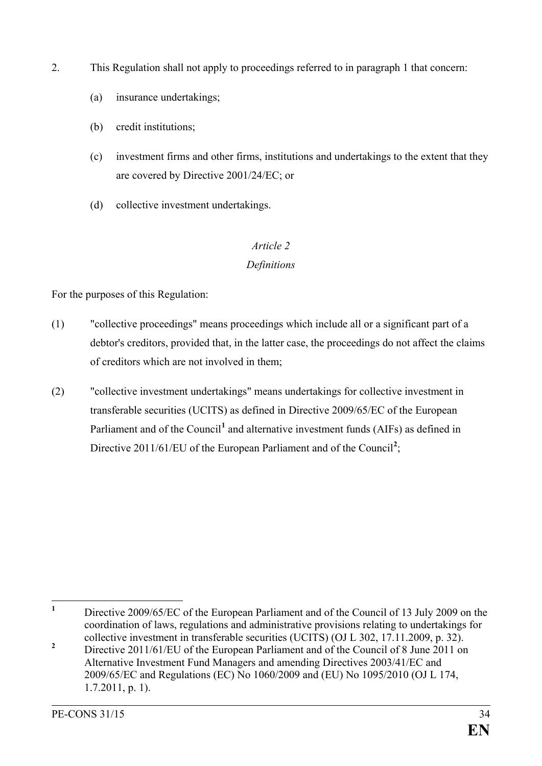- 2. This Regulation shall not apply to proceedings referred to in paragraph 1 that concern:
	- (a) insurance undertakings;
	- (b) credit institutions;
	- (c) investment firms and other firms, institutions and undertakings to the extent that they are covered by Directive 2001/24/EC; or
	- (d) collective investment undertakings.

#### *Article 2*

### *Definitions*

For the purposes of this Regulation:

- (1) "collective proceedings" means proceedings which include all or a significant part of a debtor's creditors, provided that, in the latter case, the proceedings do not affect the claims of creditors which are not involved in them;
- (2) "collective investment undertakings" means undertakings for collective investment in transferable securities (UCITS) as defined in Directive 2009/65/EC of the European Parliament and of the Council<sup>[1](#page-34-0)</sup> and alternative investment funds (AIFs) as defined in Directive [2](#page-34-1)011/61/EU of the European Parliament and of the Council<sup>2</sup>;

<span id="page-34-0"></span>**<sup>1</sup>** Directive 2009/65/EC of the European Parliament and of the Council of 13 July 2009 on the coordination of laws, regulations and administrative provisions relating to undertakings for collective investment in transferable securities (UCITS) (OJ L 302, 17.11.2009, p. 32).  $\mathbf{1}$ 

<span id="page-34-1"></span><sup>&</sup>lt;sup>2</sup> Directive 2011/61/EU of the European Parliament and of the Council of 8 June 2011 on Alternative Investment Fund Managers and amending Directives 2003/41/EC and 2009/65/EC and Regulations (EC) No 1060/2009 and (EU) No 1095/2010 (OJ L 174, 1.7.2011, p. 1).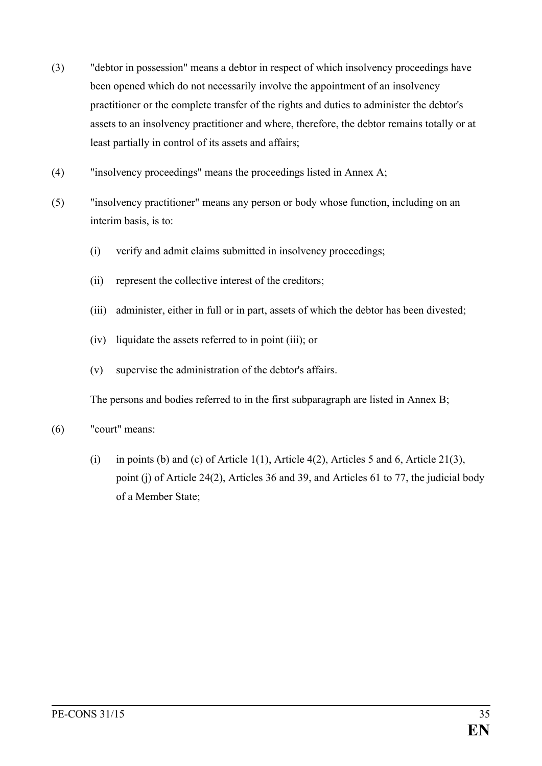- (3) "debtor in possession" means a debtor in respect of which insolvency proceedings have been opened which do not necessarily involve the appointment of an insolvency practitioner or the complete transfer of the rights and duties to administer the debtor's assets to an insolvency practitioner and where, therefore, the debtor remains totally or at least partially in control of its assets and affairs;
- (4) "insolvency proceedings" means the proceedings listed in Annex A;
- (5) "insolvency practitioner" means any person or body whose function, including on an interim basis, is to:
	- (i) verify and admit claims submitted in insolvency proceedings;
	- (ii) represent the collective interest of the creditors;
	- (iii) administer, either in full or in part, assets of which the debtor has been divested;
	- (iv) liquidate the assets referred to in point (iii); or
	- (v) supervise the administration of the debtor's affairs.

The persons and bodies referred to in the first subparagraph are listed in Annex B;

- (6) "court" means:
	- (i) in points (b) and (c) of Article 1(1), Article 4(2), Articles 5 and 6, Article 21(3), point (j) of Article 24(2), Articles 36 and 39, and Articles 61 to 77, the judicial body of a Member State;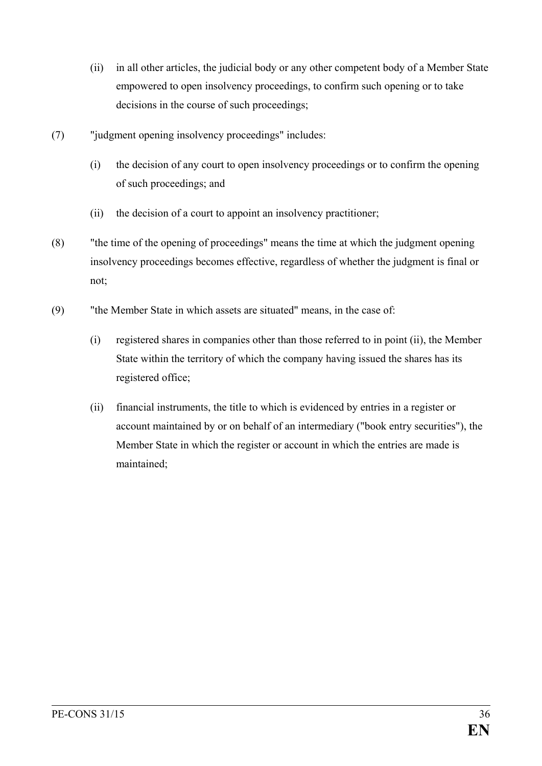- (ii) in all other articles, the judicial body or any other competent body of a Member State empowered to open insolvency proceedings, to confirm such opening or to take decisions in the course of such proceedings;
- (7) "judgment opening insolvency proceedings" includes:
	- (i) the decision of any court to open insolvency proceedings or to confirm the opening of such proceedings; and
	- (ii) the decision of a court to appoint an insolvency practitioner;
- (8) "the time of the opening of proceedings" means the time at which the judgment opening insolvency proceedings becomes effective, regardless of whether the judgment is final or not;
- (9) "the Member State in which assets are situated" means, in the case of:
	- (i) registered shares in companies other than those referred to in point (ii), the Member State within the territory of which the company having issued the shares has its registered office;
	- (ii) financial instruments, the title to which is evidenced by entries in a register or account maintained by or on behalf of an intermediary ("book entry securities"), the Member State in which the register or account in which the entries are made is maintained;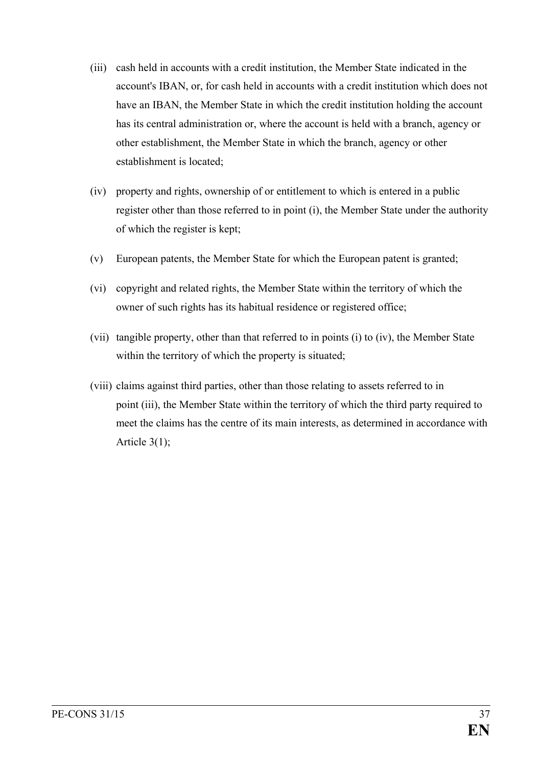- (iii) cash held in accounts with a credit institution, the Member State indicated in the account's IBAN, or, for cash held in accounts with a credit institution which does not have an IBAN, the Member State in which the credit institution holding the account has its central administration or, where the account is held with a branch, agency or other establishment, the Member State in which the branch, agency or other establishment is located;
- (iv) property and rights, ownership of or entitlement to which is entered in a public register other than those referred to in point (i), the Member State under the authority of which the register is kept;
- (v) European patents, the Member State for which the European patent is granted;
- (vi) copyright and related rights, the Member State within the territory of which the owner of such rights has its habitual residence or registered office;
- (vii) tangible property, other than that referred to in points (i) to (iv), the Member State within the territory of which the property is situated;
- (viii) claims against third parties, other than those relating to assets referred to in point (iii), the Member State within the territory of which the third party required to meet the claims has the centre of its main interests, as determined in accordance with Article  $3(1)$ ;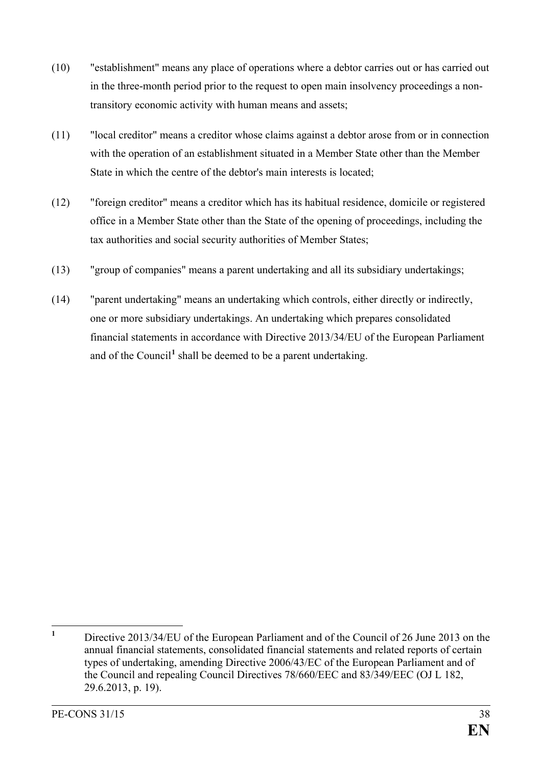- (10) "establishment" means any place of operations where a debtor carries out or has carried out in the three-month period prior to the request to open main insolvency proceedings a nontransitory economic activity with human means and assets;
- (11) "local creditor" means a creditor whose claims against a debtor arose from or in connection with the operation of an establishment situated in a Member State other than the Member State in which the centre of the debtor's main interests is located;
- (12) "foreign creditor" means a creditor which has its habitual residence, domicile or registered office in a Member State other than the State of the opening of proceedings, including the tax authorities and social security authorities of Member States;
- (13) "group of companies" means a parent undertaking and all its subsidiary undertakings;
- (14) "parent undertaking" means an undertaking which controls, either directly or indirectly, one or more subsidiary undertakings. An undertaking which prepares consolidated financial statements in accordance with Directive 2013/34/EU of the European Parliament and of the Council**[1](#page-38-0)** shall be deemed to be a parent undertaking.

<span id="page-38-0"></span>**<sup>1</sup>** Directive 2013/34/EU of the European Parliament and of the Council of 26 June 2013 on the annual financial statements, consolidated financial statements and related reports of certain types of undertaking, amending Directive 2006/43/EC of the European Parliament and of the Council and repealing Council Directives 78/660/EEC and 83/349/EEC (OJ L 182, 29.6.2013, p. 19).  $\mathbf{1}$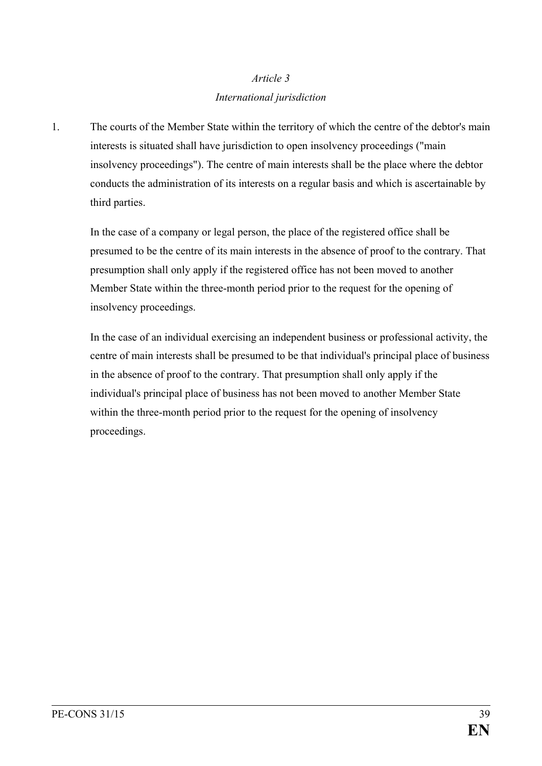# *Article 3 International jurisdiction*

1. The courts of the Member State within the territory of which the centre of the debtor's main interests is situated shall have jurisdiction to open insolvency proceedings ("main insolvency proceedings"). The centre of main interests shall be the place where the debtor conducts the administration of its interests on a regular basis and which is ascertainable by third parties.

In the case of a company or legal person, the place of the registered office shall be presumed to be the centre of its main interests in the absence of proof to the contrary. That presumption shall only apply if the registered office has not been moved to another Member State within the three-month period prior to the request for the opening of insolvency proceedings.

In the case of an individual exercising an independent business or professional activity, the centre of main interests shall be presumed to be that individual's principal place of business in the absence of proof to the contrary. That presumption shall only apply if the individual's principal place of business has not been moved to another Member State within the three-month period prior to the request for the opening of insolvency proceedings.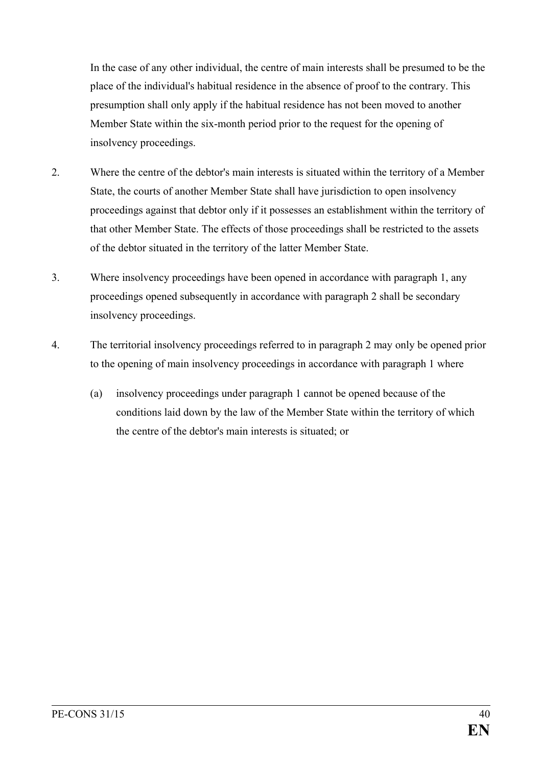In the case of any other individual, the centre of main interests shall be presumed to be the place of the individual's habitual residence in the absence of proof to the contrary. This presumption shall only apply if the habitual residence has not been moved to another Member State within the six-month period prior to the request for the opening of insolvency proceedings.

- 2. Where the centre of the debtor's main interests is situated within the territory of a Member State, the courts of another Member State shall have jurisdiction to open insolvency proceedings against that debtor only if it possesses an establishment within the territory of that other Member State. The effects of those proceedings shall be restricted to the assets of the debtor situated in the territory of the latter Member State.
- 3. Where insolvency proceedings have been opened in accordance with paragraph 1, any proceedings opened subsequently in accordance with paragraph 2 shall be secondary insolvency proceedings.
- 4. The territorial insolvency proceedings referred to in paragraph 2 may only be opened prior to the opening of main insolvency proceedings in accordance with paragraph 1 where
	- (a) insolvency proceedings under paragraph 1 cannot be opened because of the conditions laid down by the law of the Member State within the territory of which the centre of the debtor's main interests is situated; or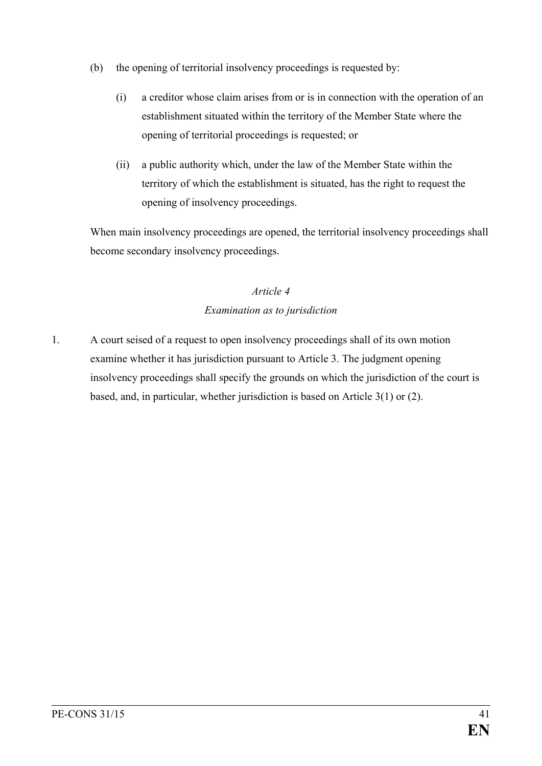- (b) the opening of territorial insolvency proceedings is requested by:
	- (i) a creditor whose claim arises from or is in connection with the operation of an establishment situated within the territory of the Member State where the opening of territorial proceedings is requested; or
	- (ii) a public authority which, under the law of the Member State within the territory of which the establishment is situated, has the right to request the opening of insolvency proceedings.

When main insolvency proceedings are opened, the territorial insolvency proceedings shall become secondary insolvency proceedings.

# *Article 4 Examination as to jurisdiction*

1. A court seised of a request to open insolvency proceedings shall of its own motion examine whether it has jurisdiction pursuant to Article 3. The judgment opening insolvency proceedings shall specify the grounds on which the jurisdiction of the court is based, and, in particular, whether jurisdiction is based on Article 3(1) or (2).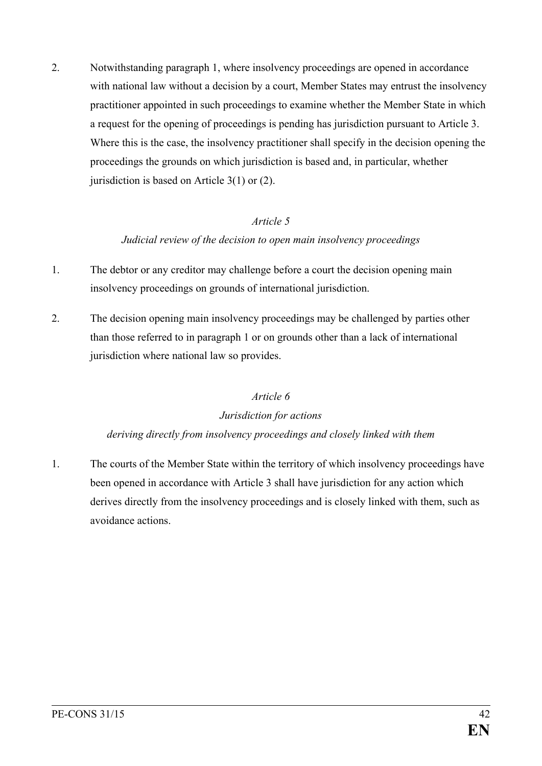2. Notwithstanding paragraph 1, where insolvency proceedings are opened in accordance with national law without a decision by a court, Member States may entrust the insolvency practitioner appointed in such proceedings to examine whether the Member State in which a request for the opening of proceedings is pending has jurisdiction pursuant to Article 3. Where this is the case, the insolvency practitioner shall specify in the decision opening the proceedings the grounds on which jurisdiction is based and, in particular, whether jurisdiction is based on Article 3(1) or (2).

### *Article 5*

#### *Judicial review of the decision to open main insolvency proceedings*

- 1. The debtor or any creditor may challenge before a court the decision opening main insolvency proceedings on grounds of international jurisdiction.
- 2. The decision opening main insolvency proceedings may be challenged by parties other than those referred to in paragraph 1 or on grounds other than a lack of international jurisdiction where national law so provides.

#### *Article 6*

## *Jurisdiction for actions*

### *deriving directly from insolvency proceedings and closely linked with them*

1. The courts of the Member State within the territory of which insolvency proceedings have been opened in accordance with Article 3 shall have jurisdiction for any action which derives directly from the insolvency proceedings and is closely linked with them, such as avoidance actions.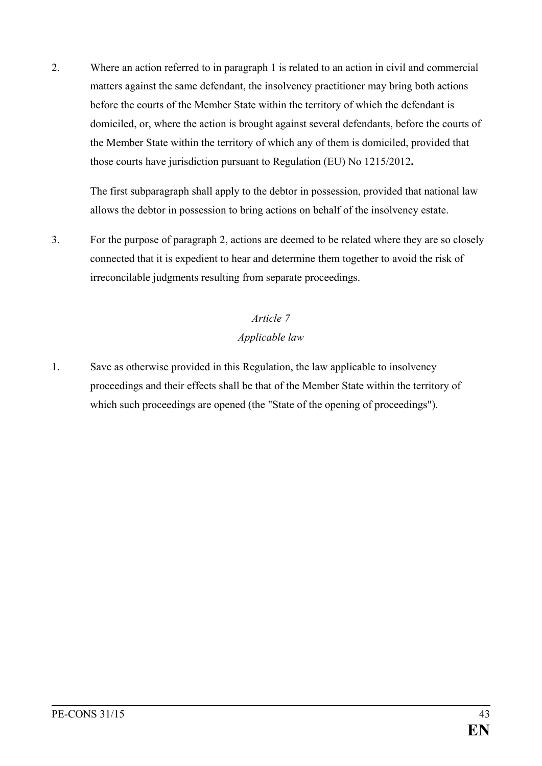2. Where an action referred to in paragraph 1 is related to an action in civil and commercial matters against the same defendant, the insolvency practitioner may bring both actions before the courts of the Member State within the territory of which the defendant is domiciled, or, where the action is brought against several defendants, before the courts of the Member State within the territory of which any of them is domiciled, provided that those courts have jurisdiction pursuant to Regulation (EU) No 1215/2012**.**

The first subparagraph shall apply to the debtor in possession, provided that national law allows the debtor in possession to bring actions on behalf of the insolvency estate.

3. For the purpose of paragraph 2, actions are deemed to be related where they are so closely connected that it is expedient to hear and determine them together to avoid the risk of irreconcilable judgments resulting from separate proceedings.

# *Article 7 Applicable law*

1. Save as otherwise provided in this Regulation, the law applicable to insolvency proceedings and their effects shall be that of the Member State within the territory of which such proceedings are opened (the "State of the opening of proceedings").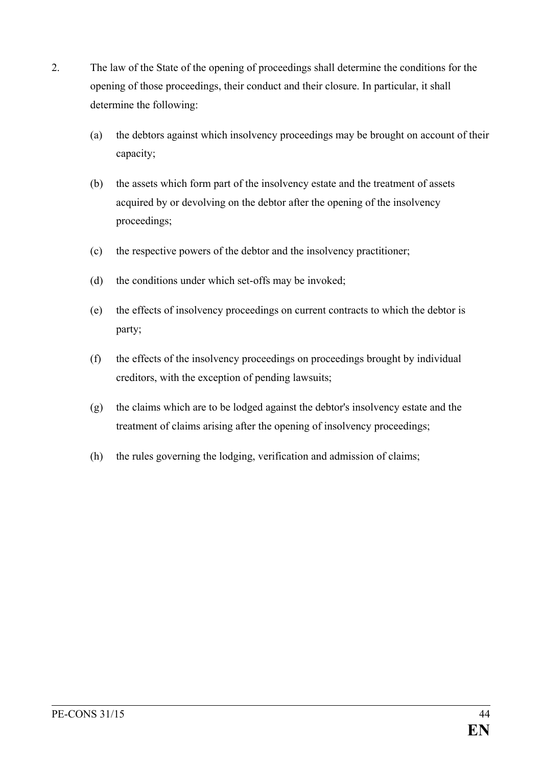- 2. The law of the State of the opening of proceedings shall determine the conditions for the opening of those proceedings, their conduct and their closure. In particular, it shall determine the following:
	- (a) the debtors against which insolvency proceedings may be brought on account of their capacity;
	- (b) the assets which form part of the insolvency estate and the treatment of assets acquired by or devolving on the debtor after the opening of the insolvency proceedings;
	- (c) the respective powers of the debtor and the insolvency practitioner;
	- (d) the conditions under which set-offs may be invoked;
	- (e) the effects of insolvency proceedings on current contracts to which the debtor is party;
	- (f) the effects of the insolvency proceedings on proceedings brought by individual creditors, with the exception of pending lawsuits;
	- (g) the claims which are to be lodged against the debtor's insolvency estate and the treatment of claims arising after the opening of insolvency proceedings;
	- (h) the rules governing the lodging, verification and admission of claims;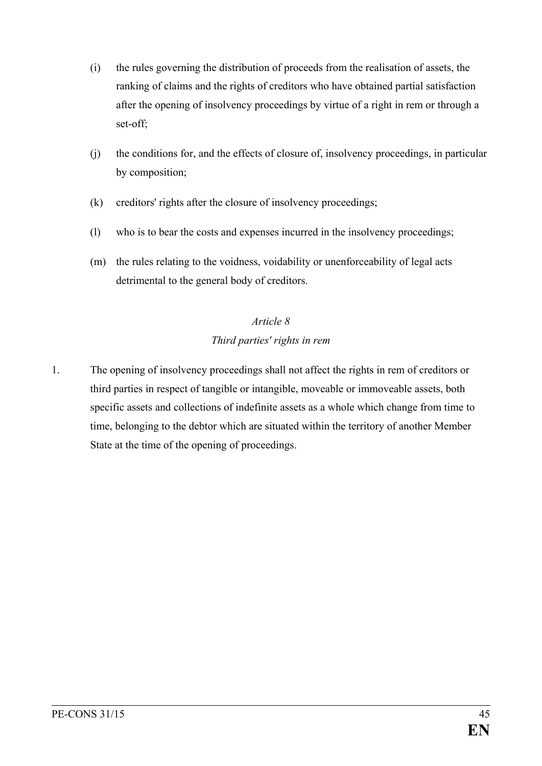- (i) the rules governing the distribution of proceeds from the realisation of assets, the ranking of claims and the rights of creditors who have obtained partial satisfaction after the opening of insolvency proceedings by virtue of a right in rem or through a set-off;
- (j) the conditions for, and the effects of closure of, insolvency proceedings, in particular by composition;
- (k) creditors' rights after the closure of insolvency proceedings;
- (l) who is to bear the costs and expenses incurred in the insolvency proceedings;
- (m) the rules relating to the voidness, voidability or unenforceability of legal acts detrimental to the general body of creditors.

# *Article 8 Third parties' rights in rem*

1. The opening of insolvency proceedings shall not affect the rights in rem of creditors or third parties in respect of tangible or intangible, moveable or immoveable assets, both specific assets and collections of indefinite assets as a whole which change from time to time, belonging to the debtor which are situated within the territory of another Member State at the time of the opening of proceedings.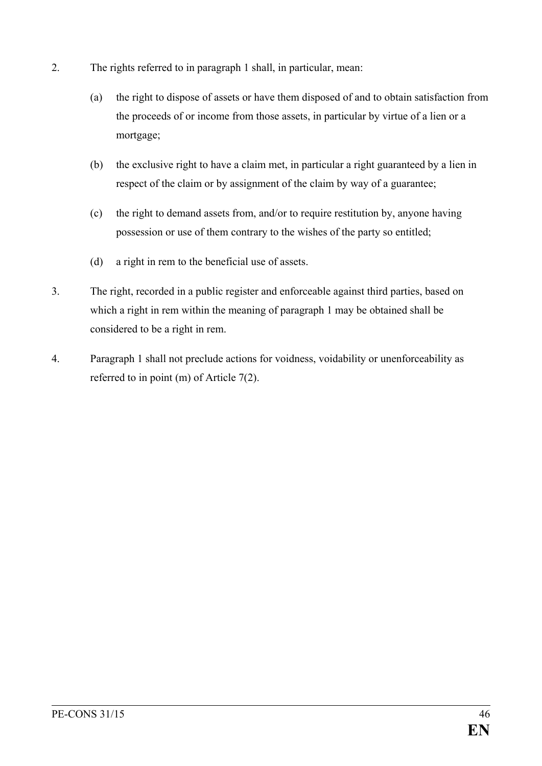- 2. The rights referred to in paragraph 1 shall, in particular, mean:
	- (a) the right to dispose of assets or have them disposed of and to obtain satisfaction from the proceeds of or income from those assets, in particular by virtue of a lien or a mortgage;
	- (b) the exclusive right to have a claim met, in particular a right guaranteed by a lien in respect of the claim or by assignment of the claim by way of a guarantee;
	- (c) the right to demand assets from, and/or to require restitution by, anyone having possession or use of them contrary to the wishes of the party so entitled;
	- (d) a right in rem to the beneficial use of assets.
- 3. The right, recorded in a public register and enforceable against third parties, based on which a right in rem within the meaning of paragraph 1 may be obtained shall be considered to be a right in rem.
- 4. Paragraph 1 shall not preclude actions for voidness, voidability or unenforceability as referred to in point (m) of Article 7(2).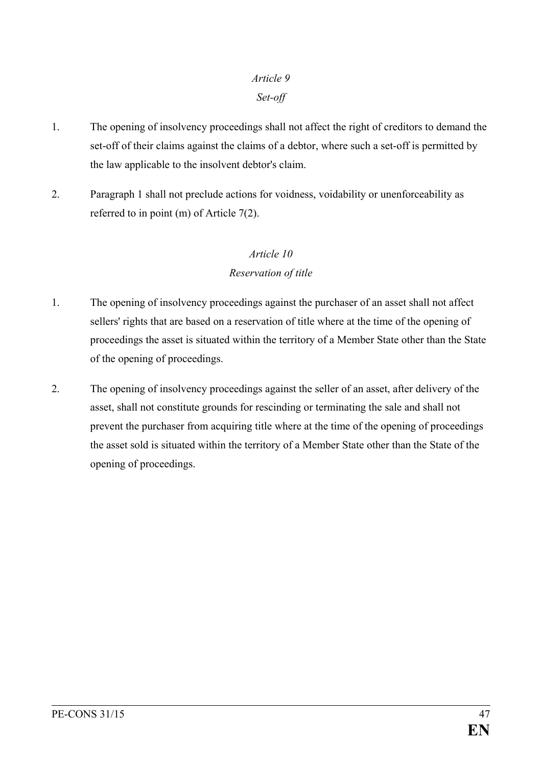## *Article 9 Set-off*

- 1. The opening of insolvency proceedings shall not affect the right of creditors to demand the set-off of their claims against the claims of a debtor, where such a set-off is permitted by the law applicable to the insolvent debtor's claim.
- 2. Paragraph 1 shall not preclude actions for voidness, voidability or unenforceability as referred to in point (m) of Article 7(2).

### *Article 10*

### *Reservation of title*

- 1. The opening of insolvency proceedings against the purchaser of an asset shall not affect sellers' rights that are based on a reservation of title where at the time of the opening of proceedings the asset is situated within the territory of a Member State other than the State of the opening of proceedings.
- 2. The opening of insolvency proceedings against the seller of an asset, after delivery of the asset, shall not constitute grounds for rescinding or terminating the sale and shall not prevent the purchaser from acquiring title where at the time of the opening of proceedings the asset sold is situated within the territory of a Member State other than the State of the opening of proceedings.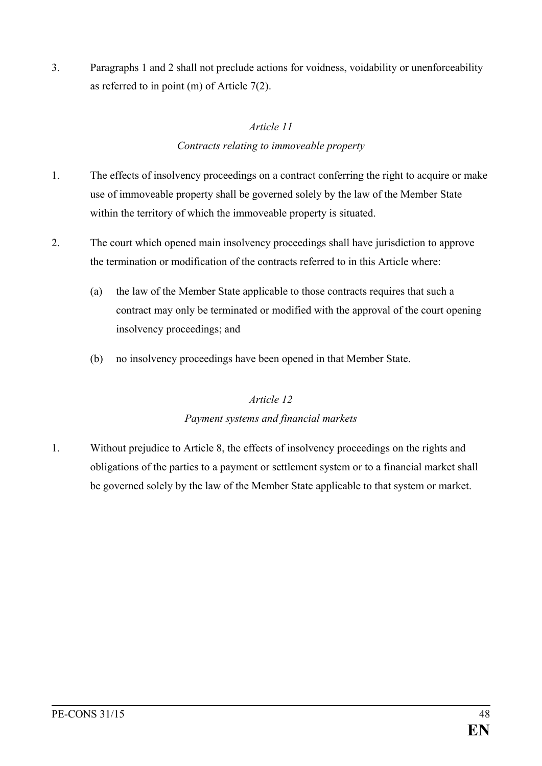3. Paragraphs 1 and 2 shall not preclude actions for voidness, voidability or unenforceability as referred to in point (m) of Article 7(2).

### *Article 11*

### *Contracts relating to immoveable property*

- 1. The effects of insolvency proceedings on a contract conferring the right to acquire or make use of immoveable property shall be governed solely by the law of the Member State within the territory of which the immoveable property is situated.
- 2. The court which opened main insolvency proceedings shall have jurisdiction to approve the termination or modification of the contracts referred to in this Article where:
	- (a) the law of the Member State applicable to those contracts requires that such a contract may only be terminated or modified with the approval of the court opening insolvency proceedings; and
	- (b) no insolvency proceedings have been opened in that Member State.

# *Article 12*

### *Payment systems and financial markets*

1. Without prejudice to Article 8, the effects of insolvency proceedings on the rights and obligations of the parties to a payment or settlement system or to a financial market shall be governed solely by the law of the Member State applicable to that system or market.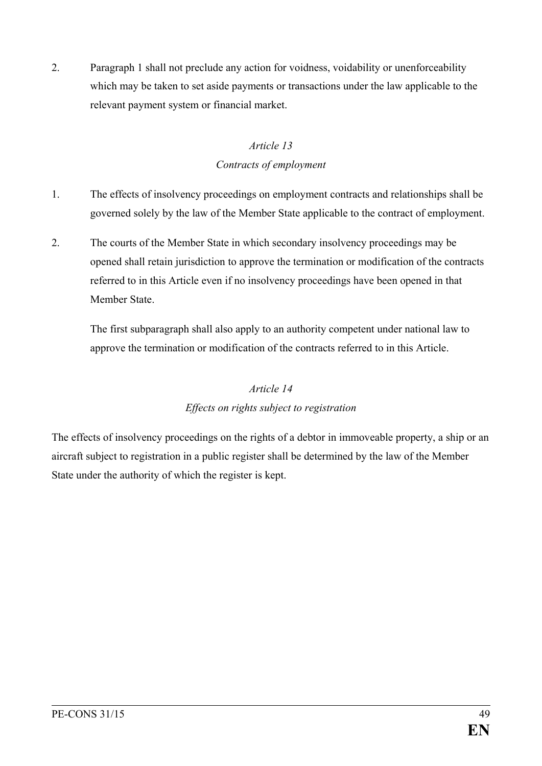2. Paragraph 1 shall not preclude any action for voidness, voidability or unenforceability which may be taken to set aside payments or transactions under the law applicable to the relevant payment system or financial market.

# *Article 13 Contracts of employment*

- 1. The effects of insolvency proceedings on employment contracts and relationships shall be governed solely by the law of the Member State applicable to the contract of employment.
- 2. The courts of the Member State in which secondary insolvency proceedings may be opened shall retain jurisdiction to approve the termination or modification of the contracts referred to in this Article even if no insolvency proceedings have been opened in that Member State.

The first subparagraph shall also apply to an authority competent under national law to approve the termination or modification of the contracts referred to in this Article.

### *Article 14*

### *Effects on rights subject to registration*

The effects of insolvency proceedings on the rights of a debtor in immoveable property, a ship or an aircraft subject to registration in a public register shall be determined by the law of the Member State under the authority of which the register is kept.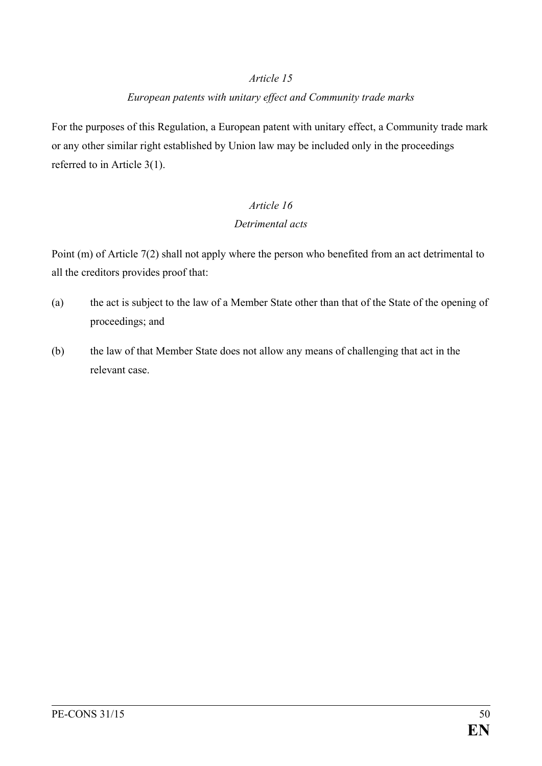### *European patents with unitary effect and Community trade marks*

For the purposes of this Regulation, a European patent with unitary effect, a Community trade mark or any other similar right established by Union law may be included only in the proceedings referred to in Article 3(1).

### *Article 16*

### *Detrimental acts*

Point (m) of Article 7(2) shall not apply where the person who benefited from an act detrimental to all the creditors provides proof that:

- (a) the act is subject to the law of a Member State other than that of the State of the opening of proceedings; and
- (b) the law of that Member State does not allow any means of challenging that act in the relevant case.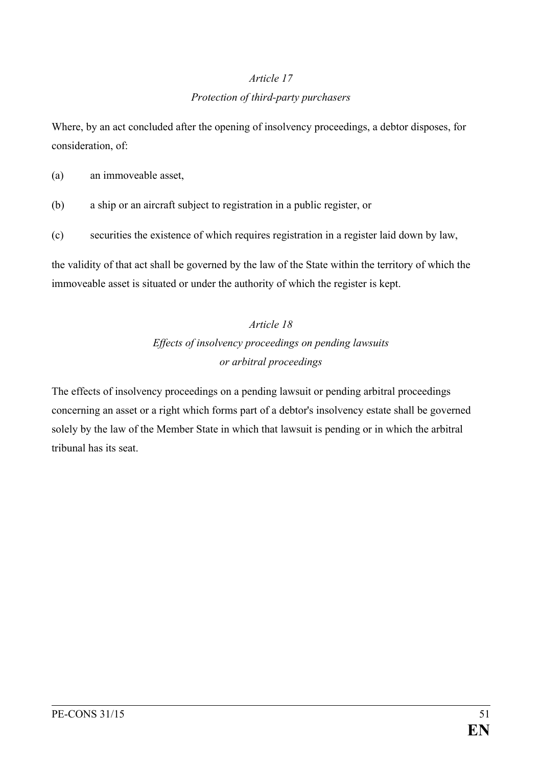### *Protection of third-party purchasers*

Where, by an act concluded after the opening of insolvency proceedings, a debtor disposes, for consideration, of:

(a) an immoveable asset,

- (b) a ship or an aircraft subject to registration in a public register, or
- (c) securities the existence of which requires registration in a register laid down by law,

the validity of that act shall be governed by the law of the State within the territory of which the immoveable asset is situated or under the authority of which the register is kept.

# *Article 18 Effects of insolvency proceedings on pending lawsuits or arbitral proceedings*

The effects of insolvency proceedings on a pending lawsuit or pending arbitral proceedings concerning an asset or a right which forms part of a debtor's insolvency estate shall be governed solely by the law of the Member State in which that lawsuit is pending or in which the arbitral tribunal has its seat.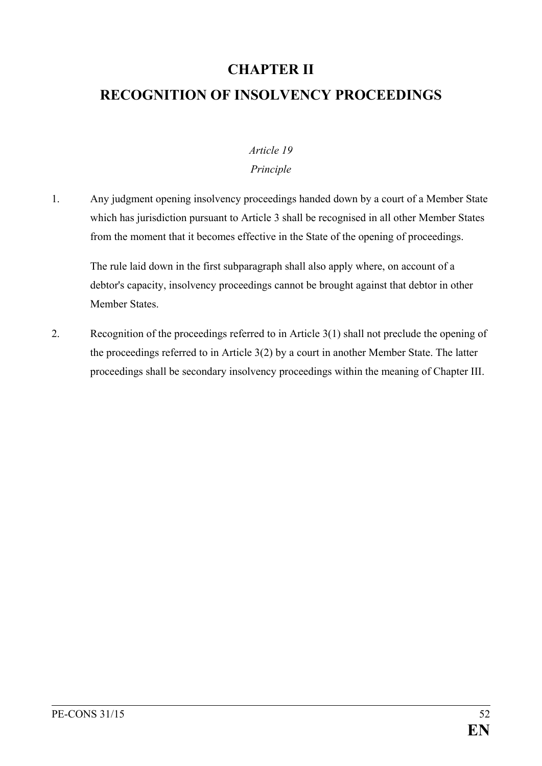# **CHAPTER II RECOGNITION OF INSOLVENCY PROCEEDINGS**

# *Article 19*

### *Principle*

1. Any judgment opening insolvency proceedings handed down by a court of a Member State which has jurisdiction pursuant to Article 3 shall be recognised in all other Member States from the moment that it becomes effective in the State of the opening of proceedings.

The rule laid down in the first subparagraph shall also apply where, on account of a debtor's capacity, insolvency proceedings cannot be brought against that debtor in other Member States.

2. Recognition of the proceedings referred to in Article 3(1) shall not preclude the opening of the proceedings referred to in Article 3(2) by a court in another Member State. The latter proceedings shall be secondary insolvency proceedings within the meaning of Chapter III.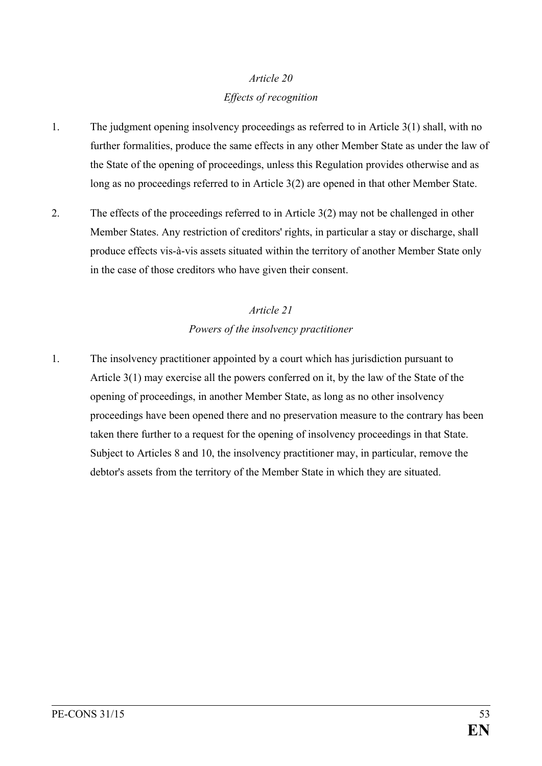# *Article 20 Effects of recognition*

- 1. The judgment opening insolvency proceedings as referred to in Article 3(1) shall, with no further formalities, produce the same effects in any other Member State as under the law of the State of the opening of proceedings, unless this Regulation provides otherwise and as long as no proceedings referred to in Article 3(2) are opened in that other Member State.
- 2. The effects of the proceedings referred to in Article 3(2) may not be challenged in other Member States. Any restriction of creditors' rights, in particular a stay or discharge, shall produce effects vis-à-vis assets situated within the territory of another Member State only in the case of those creditors who have given their consent.

# *Article 21 Powers of the insolvency practitioner*

1. The insolvency practitioner appointed by a court which has jurisdiction pursuant to Article 3(1) may exercise all the powers conferred on it, by the law of the State of the opening of proceedings, in another Member State, as long as no other insolvency proceedings have been opened there and no preservation measure to the contrary has been taken there further to a request for the opening of insolvency proceedings in that State. Subject to Articles 8 and 10, the insolvency practitioner may, in particular, remove the debtor's assets from the territory of the Member State in which they are situated.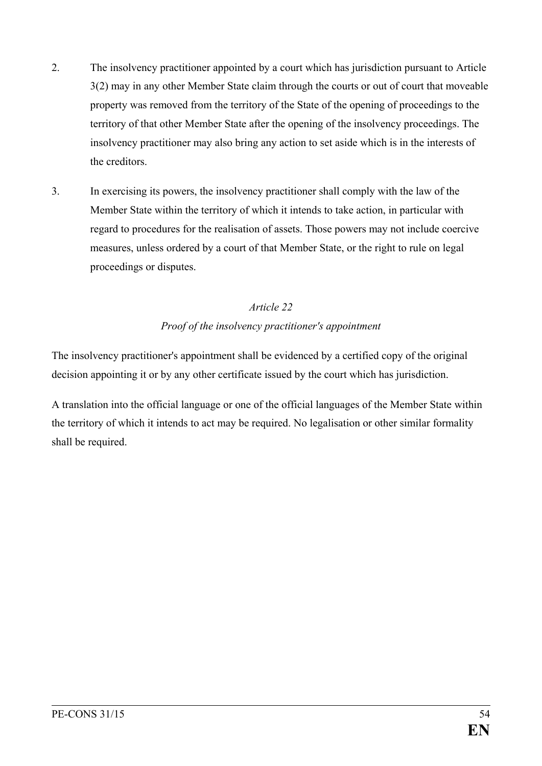- 2. The insolvency practitioner appointed by a court which has jurisdiction pursuant to Article 3(2) may in any other Member State claim through the courts or out of court that moveable property was removed from the territory of the State of the opening of proceedings to the territory of that other Member State after the opening of the insolvency proceedings. The insolvency practitioner may also bring any action to set aside which is in the interests of the creditors.
- 3. In exercising its powers, the insolvency practitioner shall comply with the law of the Member State within the territory of which it intends to take action, in particular with regard to procedures for the realisation of assets. Those powers may not include coercive measures, unless ordered by a court of that Member State, or the right to rule on legal proceedings or disputes.

### *Proof of the insolvency practitioner's appointment*

The insolvency practitioner's appointment shall be evidenced by a certified copy of the original decision appointing it or by any other certificate issued by the court which has jurisdiction.

A translation into the official language or one of the official languages of the Member State within the territory of which it intends to act may be required. No legalisation or other similar formality shall be required.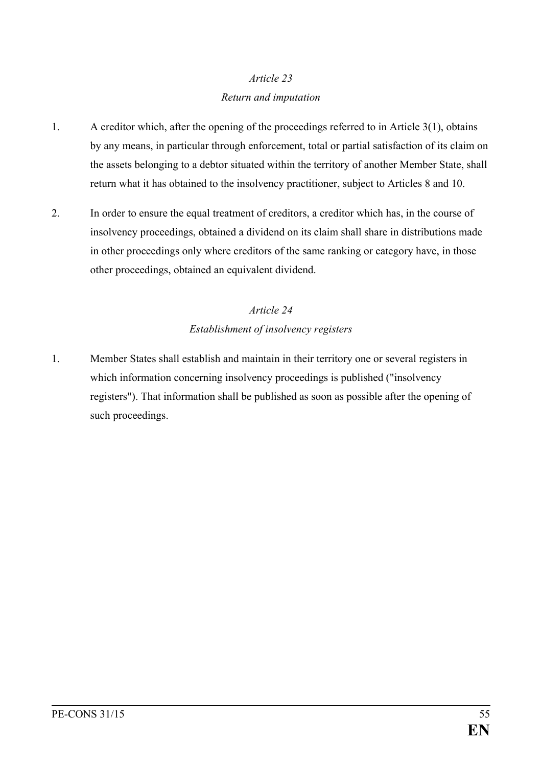# *Article 23 Return and imputation*

- 1. A creditor which, after the opening of the proceedings referred to in Article 3(1), obtains by any means, in particular through enforcement, total or partial satisfaction of its claim on the assets belonging to a debtor situated within the territory of another Member State, shall return what it has obtained to the insolvency practitioner, subject to Articles 8 and 10.
- 2. In order to ensure the equal treatment of creditors, a creditor which has, in the course of insolvency proceedings, obtained a dividend on its claim shall share in distributions made in other proceedings only where creditors of the same ranking or category have, in those other proceedings, obtained an equivalent dividend.

# *Article 24 Establishment of insolvency registers*

1. Member States shall establish and maintain in their territory one or several registers in which information concerning insolvency proceedings is published ("insolvency registers"). That information shall be published as soon as possible after the opening of such proceedings.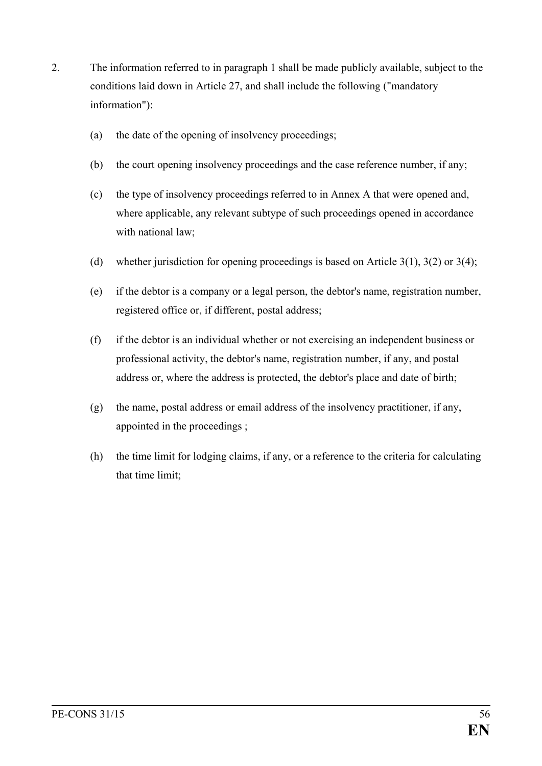- 2. The information referred to in paragraph 1 shall be made publicly available, subject to the conditions laid down in Article 27, and shall include the following ("mandatory information"):
	- (a) the date of the opening of insolvency proceedings;
	- (b) the court opening insolvency proceedings and the case reference number, if any;
	- (c) the type of insolvency proceedings referred to in Annex A that were opened and, where applicable, any relevant subtype of such proceedings opened in accordance with national law;
	- (d) whether jurisdiction for opening proceedings is based on Article  $3(1)$ ,  $3(2)$  or  $3(4)$ ;
	- (e) if the debtor is a company or a legal person, the debtor's name, registration number, registered office or, if different, postal address;
	- (f) if the debtor is an individual whether or not exercising an independent business or professional activity, the debtor's name, registration number, if any, and postal address or, where the address is protected, the debtor's place and date of birth;
	- (g) the name, postal address or email address of the insolvency practitioner, if any, appointed in the proceedings ;
	- (h) the time limit for lodging claims, if any, or a reference to the criteria for calculating that time limit;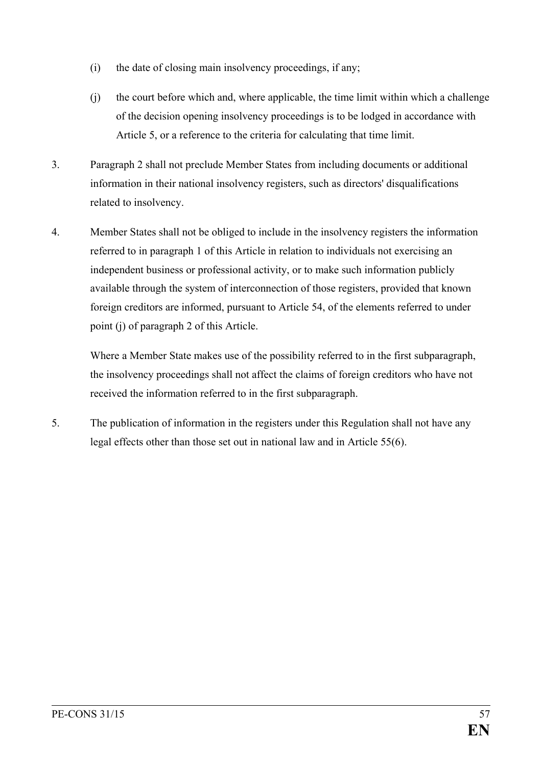- (i) the date of closing main insolvency proceedings, if any;
- (j) the court before which and, where applicable, the time limit within which a challenge of the decision opening insolvency proceedings is to be lodged in accordance with Article 5, or a reference to the criteria for calculating that time limit.
- 3. Paragraph 2 shall not preclude Member States from including documents or additional information in their national insolvency registers, such as directors' disqualifications related to insolvency.
- 4. Member States shall not be obliged to include in the insolvency registers the information referred to in paragraph 1 of this Article in relation to individuals not exercising an independent business or professional activity, or to make such information publicly available through the system of interconnection of those registers, provided that known foreign creditors are informed, pursuant to Article 54, of the elements referred to under point (j) of paragraph 2 of this Article.

Where a Member State makes use of the possibility referred to in the first subparagraph, the insolvency proceedings shall not affect the claims of foreign creditors who have not received the information referred to in the first subparagraph.

5. The publication of information in the registers under this Regulation shall not have any legal effects other than those set out in national law and in Article 55(6).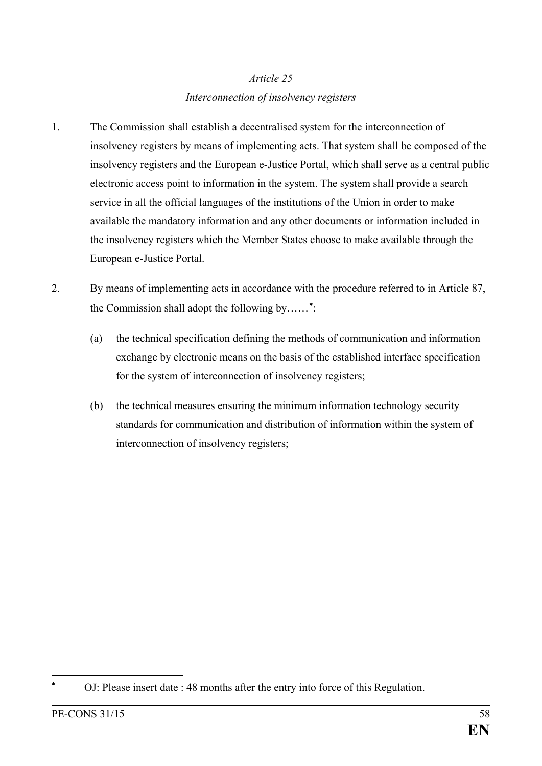# *Article 25 Interconnection of insolvency registers*

- 1. The Commission shall establish a decentralised system for the interconnection of insolvency registers by means of implementing acts. That system shall be composed of the insolvency registers and the European e-Justice Portal, which shall serve as a central public electronic access point to information in the system. The system shall provide a search service in all the official languages of the institutions of the Union in order to make available the mandatory information and any other documents or information included in the insolvency registers which the Member States choose to make available through the European e-Justice Portal.
- 2. By means of implementing acts in accordance with the procedure referred to in Article 87, the Commission shall adopt the following by…...\*:
	- (a) the technical specification defining the methods of communication and information exchange by electronic means on the basis of the established interface specification for the system of interconnection of insolvency registers;
	- (b) the technical measures ensuring the minimum information technology security standards for communication and distribution of information within the system of interconnection of insolvency registers;

<span id="page-58-0"></span>OJ: Please insert date : 48 months after the entry into force of this Regulation.  $\overline{a}$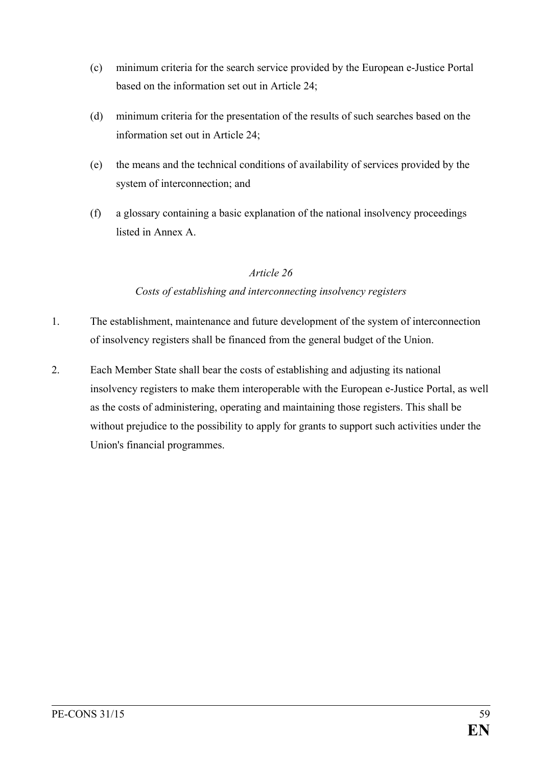- (c) minimum criteria for the search service provided by the European e-Justice Portal based on the information set out in Article 24;
- (d) minimum criteria for the presentation of the results of such searches based on the information set out in Article 24;
- (e) the means and the technical conditions of availability of services provided by the system of interconnection; and
- (f) a glossary containing a basic explanation of the national insolvency proceedings listed in Annex A.

### *Costs of establishing and interconnecting insolvency registers*

- 1. The establishment, maintenance and future development of the system of interconnection of insolvency registers shall be financed from the general budget of the Union.
- 2. Each Member State shall bear the costs of establishing and adjusting its national insolvency registers to make them interoperable with the European e-Justice Portal, as well as the costs of administering, operating and maintaining those registers. This shall be without prejudice to the possibility to apply for grants to support such activities under the Union's financial programmes.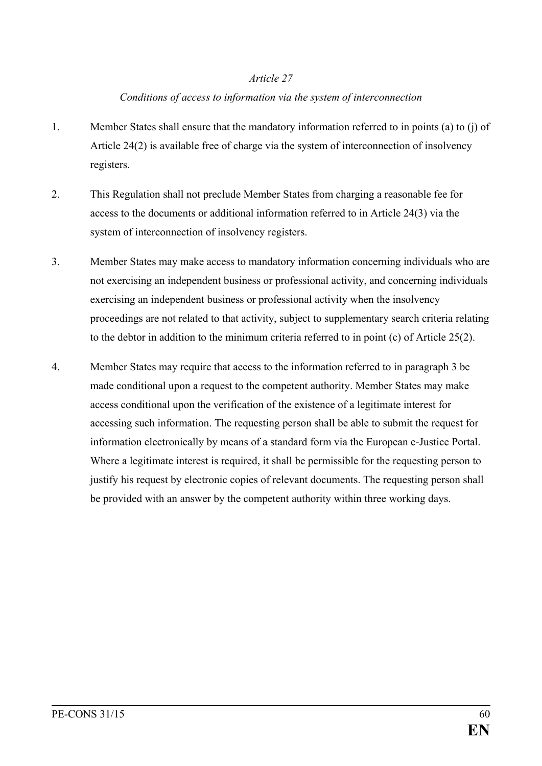#### *Conditions of access to information via the system of interconnection*

- 1. Member States shall ensure that the mandatory information referred to in points (a) to (j) of Article 24(2) is available free of charge via the system of interconnection of insolvency registers.
- 2. This Regulation shall not preclude Member States from charging a reasonable fee for access to the documents or additional information referred to in Article 24(3) via the system of interconnection of insolvency registers.
- 3. Member States may make access to mandatory information concerning individuals who are not exercising an independent business or professional activity, and concerning individuals exercising an independent business or professional activity when the insolvency proceedings are not related to that activity, subject to supplementary search criteria relating to the debtor in addition to the minimum criteria referred to in point (c) of Article 25(2).
- 4. Member States may require that access to the information referred to in paragraph 3 be made conditional upon a request to the competent authority. Member States may make access conditional upon the verification of the existence of a legitimate interest for accessing such information. The requesting person shall be able to submit the request for information electronically by means of a standard form via the European e-Justice Portal. Where a legitimate interest is required, it shall be permissible for the requesting person to justify his request by electronic copies of relevant documents. The requesting person shall be provided with an answer by the competent authority within three working days.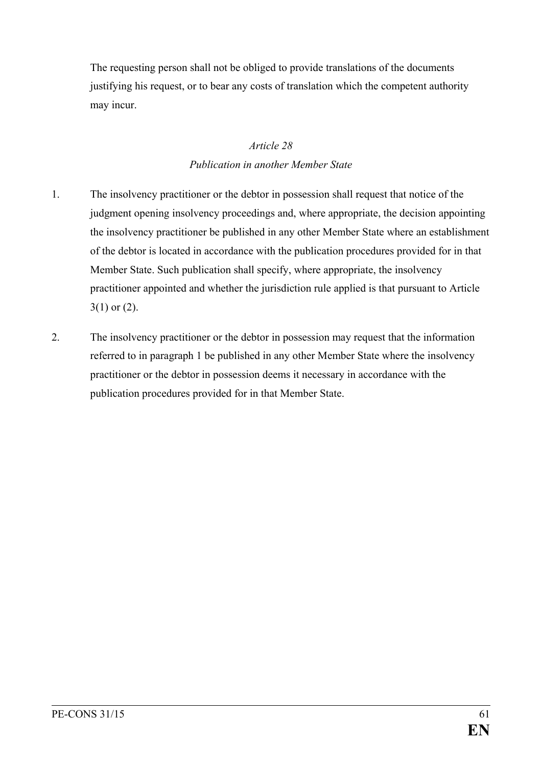The requesting person shall not be obliged to provide translations of the documents justifying his request, or to bear any costs of translation which the competent authority may incur.

# *Article 28*

### *Publication in another Member State*

- 1. The insolvency practitioner or the debtor in possession shall request that notice of the judgment opening insolvency proceedings and, where appropriate, the decision appointing the insolvency practitioner be published in any other Member State where an establishment of the debtor is located in accordance with the publication procedures provided for in that Member State. Such publication shall specify, where appropriate, the insolvency practitioner appointed and whether the jurisdiction rule applied is that pursuant to Article  $3(1)$  or  $(2)$ .
- 2. The insolvency practitioner or the debtor in possession may request that the information referred to in paragraph 1 be published in any other Member State where the insolvency practitioner or the debtor in possession deems it necessary in accordance with the publication procedures provided for in that Member State.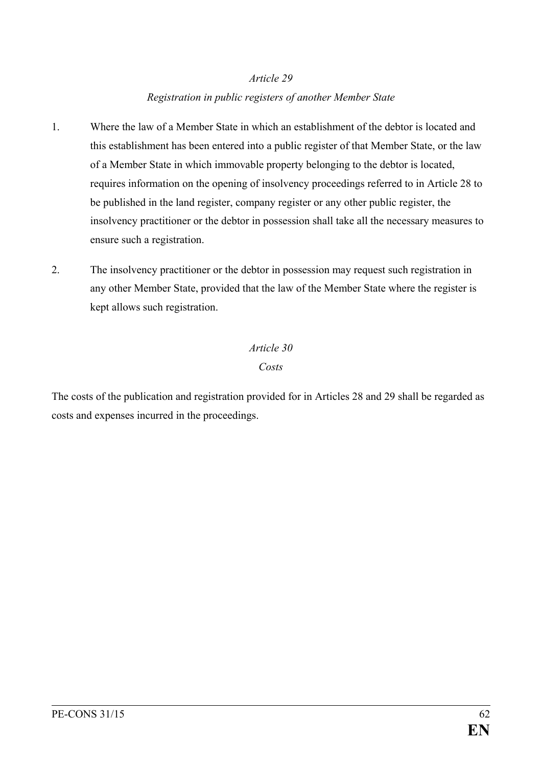### *Registration in public registers of another Member State*

- 1. Where the law of a Member State in which an establishment of the debtor is located and this establishment has been entered into a public register of that Member State, or the law of a Member State in which immovable property belonging to the debtor is located, requires information on the opening of insolvency proceedings referred to in Article 28 to be published in the land register, company register or any other public register, the insolvency practitioner or the debtor in possession shall take all the necessary measures to ensure such a registration.
- 2. The insolvency practitioner or the debtor in possession may request such registration in any other Member State, provided that the law of the Member State where the register is kept allows such registration.

## *Article 30 Costs*

The costs of the publication and registration provided for in Articles 28 and 29 shall be regarded as costs and expenses incurred in the proceedings.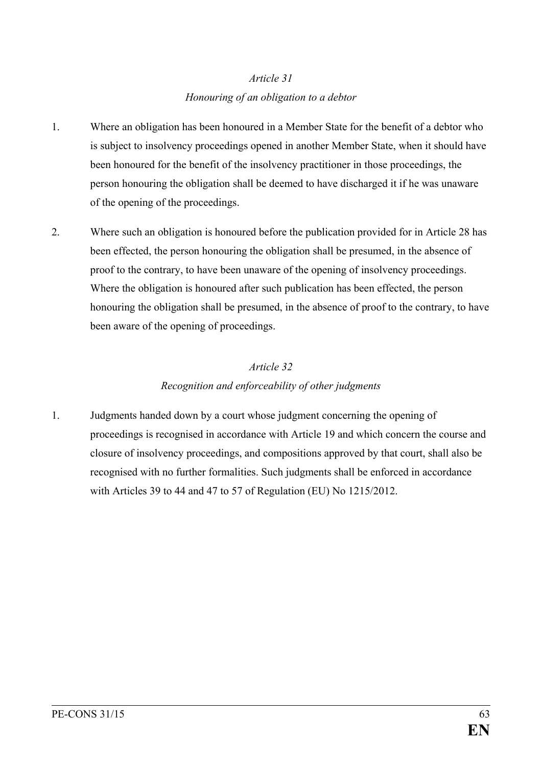# *Article 31 Honouring of an obligation to a debtor*

- 1. Where an obligation has been honoured in a Member State for the benefit of a debtor who is subject to insolvency proceedings opened in another Member State, when it should have been honoured for the benefit of the insolvency practitioner in those proceedings, the person honouring the obligation shall be deemed to have discharged it if he was unaware of the opening of the proceedings.
- 2. Where such an obligation is honoured before the publication provided for in Article 28 has been effected, the person honouring the obligation shall be presumed, in the absence of proof to the contrary, to have been unaware of the opening of insolvency proceedings. Where the obligation is honoured after such publication has been effected, the person honouring the obligation shall be presumed, in the absence of proof to the contrary, to have been aware of the opening of proceedings.

#### *Article 32*

### *Recognition and enforceability of other judgments*

1. Judgments handed down by a court whose judgment concerning the opening of proceedings is recognised in accordance with Article 19 and which concern the course and closure of insolvency proceedings, and compositions approved by that court, shall also be recognised with no further formalities. Such judgments shall be enforced in accordance with Articles 39 to 44 and 47 to 57 of Regulation (EU) No 1215/2012.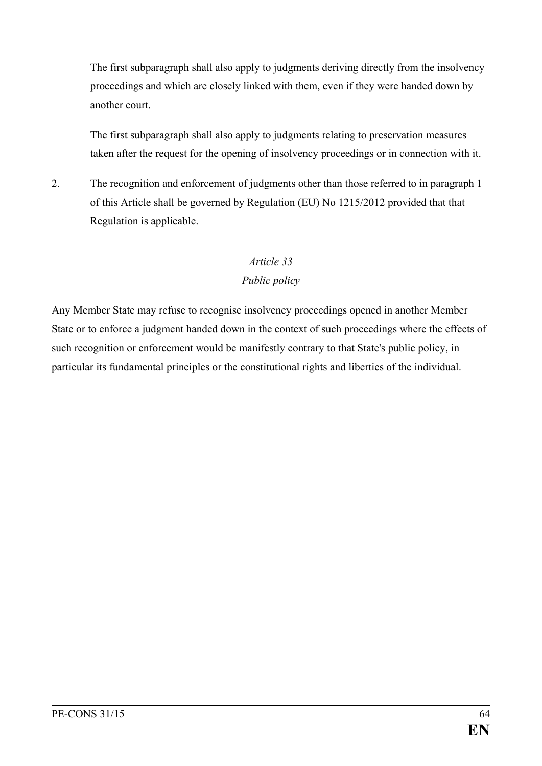The first subparagraph shall also apply to judgments deriving directly from the insolvency proceedings and which are closely linked with them, even if they were handed down by another court.

The first subparagraph shall also apply to judgments relating to preservation measures taken after the request for the opening of insolvency proceedings or in connection with it.

2. The recognition and enforcement of judgments other than those referred to in paragraph 1 of this Article shall be governed by Regulation (EU) No 1215/2012 provided that that Regulation is applicable.

### *Article 33*

### *Public policy*

Any Member State may refuse to recognise insolvency proceedings opened in another Member State or to enforce a judgment handed down in the context of such proceedings where the effects of such recognition or enforcement would be manifestly contrary to that State's public policy, in particular its fundamental principles or the constitutional rights and liberties of the individual.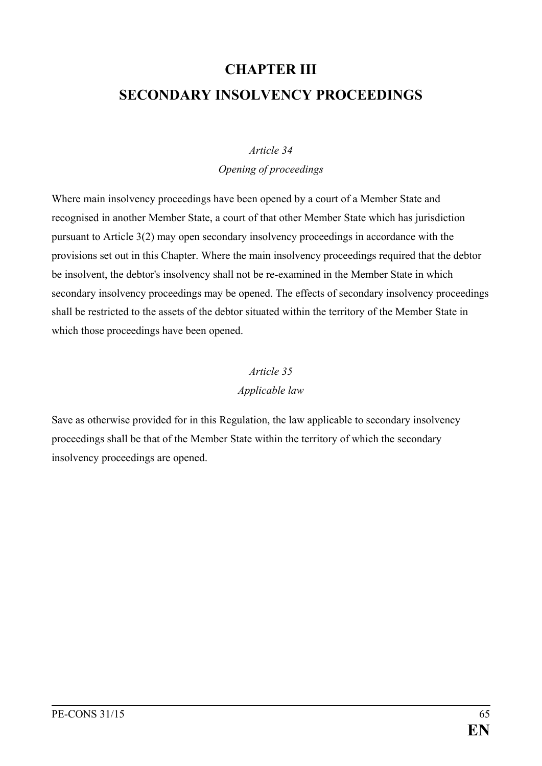# **CHAPTER III SECONDARY INSOLVENCY PROCEEDINGS**

### *Article 34*

*Opening of proceedings*

Where main insolvency proceedings have been opened by a court of a Member State and recognised in another Member State, a court of that other Member State which has jurisdiction pursuant to Article 3(2) may open secondary insolvency proceedings in accordance with the provisions set out in this Chapter. Where the main insolvency proceedings required that the debtor be insolvent, the debtor's insolvency shall not be re-examined in the Member State in which secondary insolvency proceedings may be opened. The effects of secondary insolvency proceedings shall be restricted to the assets of the debtor situated within the territory of the Member State in which those proceedings have been opened.

### *Article 35*

### *Applicable law*

Save as otherwise provided for in this Regulation, the law applicable to secondary insolvency proceedings shall be that of the Member State within the territory of which the secondary insolvency proceedings are opened.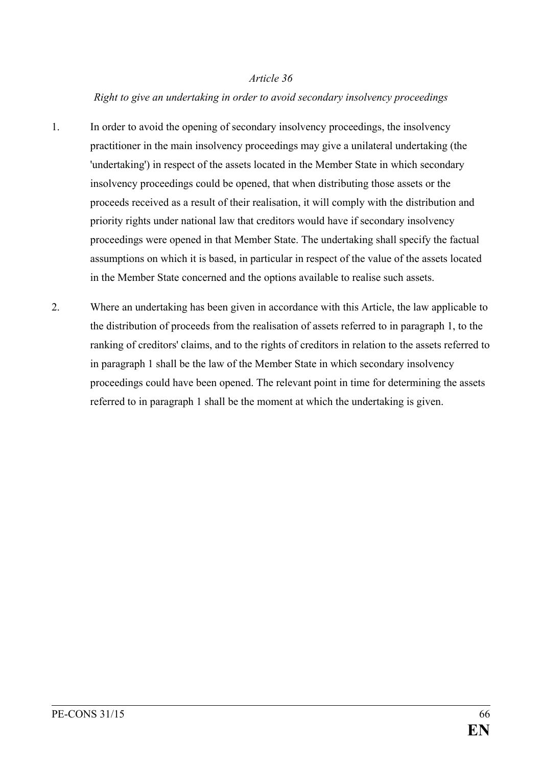#### *Right to give an undertaking in order to avoid secondary insolvency proceedings*

- 1. In order to avoid the opening of secondary insolvency proceedings, the insolvency practitioner in the main insolvency proceedings may give a unilateral undertaking (the 'undertaking') in respect of the assets located in the Member State in which secondary insolvency proceedings could be opened, that when distributing those assets or the proceeds received as a result of their realisation, it will comply with the distribution and priority rights under national law that creditors would have if secondary insolvency proceedings were opened in that Member State. The undertaking shall specify the factual assumptions on which it is based, in particular in respect of the value of the assets located in the Member State concerned and the options available to realise such assets.
- 2. Where an undertaking has been given in accordance with this Article, the law applicable to the distribution of proceeds from the realisation of assets referred to in paragraph 1, to the ranking of creditors' claims, and to the rights of creditors in relation to the assets referred to in paragraph 1 shall be the law of the Member State in which secondary insolvency proceedings could have been opened. The relevant point in time for determining the assets referred to in paragraph 1 shall be the moment at which the undertaking is given.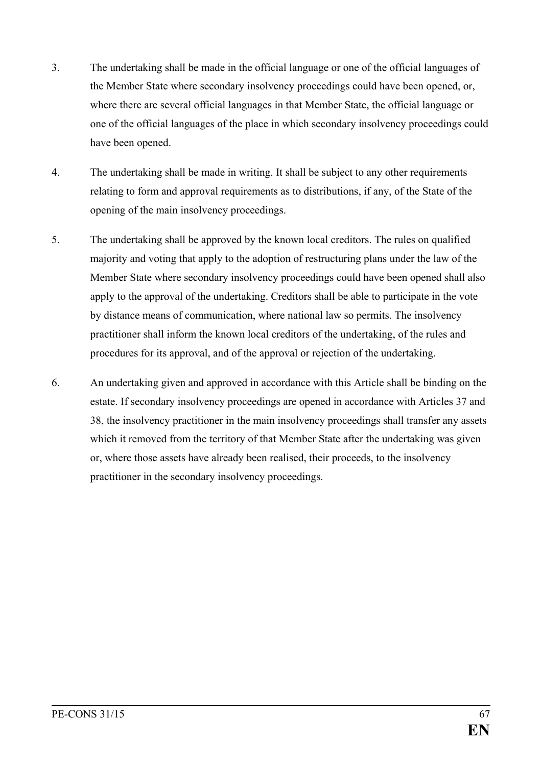- 3. The undertaking shall be made in the official language or one of the official languages of the Member State where secondary insolvency proceedings could have been opened, or, where there are several official languages in that Member State, the official language or one of the official languages of the place in which secondary insolvency proceedings could have been opened.
- 4. The undertaking shall be made in writing. It shall be subject to any other requirements relating to form and approval requirements as to distributions, if any, of the State of the opening of the main insolvency proceedings.
- 5. The undertaking shall be approved by the known local creditors. The rules on qualified majority and voting that apply to the adoption of restructuring plans under the law of the Member State where secondary insolvency proceedings could have been opened shall also apply to the approval of the undertaking. Creditors shall be able to participate in the vote by distance means of communication, where national law so permits. The insolvency practitioner shall inform the known local creditors of the undertaking, of the rules and procedures for its approval, and of the approval or rejection of the undertaking.
- 6. An undertaking given and approved in accordance with this Article shall be binding on the estate. If secondary insolvency proceedings are opened in accordance with Articles 37 and 38, the insolvency practitioner in the main insolvency proceedings shall transfer any assets which it removed from the territory of that Member State after the undertaking was given or, where those assets have already been realised, their proceeds, to the insolvency practitioner in the secondary insolvency proceedings.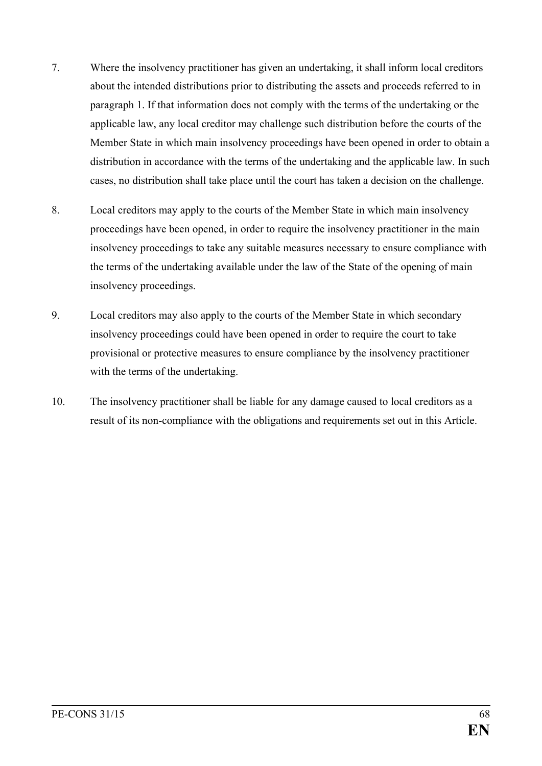- 7. Where the insolvency practitioner has given an undertaking, it shall inform local creditors about the intended distributions prior to distributing the assets and proceeds referred to in paragraph 1. If that information does not comply with the terms of the undertaking or the applicable law, any local creditor may challenge such distribution before the courts of the Member State in which main insolvency proceedings have been opened in order to obtain a distribution in accordance with the terms of the undertaking and the applicable law. In such cases, no distribution shall take place until the court has taken a decision on the challenge.
- 8. Local creditors may apply to the courts of the Member State in which main insolvency proceedings have been opened, in order to require the insolvency practitioner in the main insolvency proceedings to take any suitable measures necessary to ensure compliance with the terms of the undertaking available under the law of the State of the opening of main insolvency proceedings.
- 9. Local creditors may also apply to the courts of the Member State in which secondary insolvency proceedings could have been opened in order to require the court to take provisional or protective measures to ensure compliance by the insolvency practitioner with the terms of the undertaking.
- 10. The insolvency practitioner shall be liable for any damage caused to local creditors as a result of its non-compliance with the obligations and requirements set out in this Article.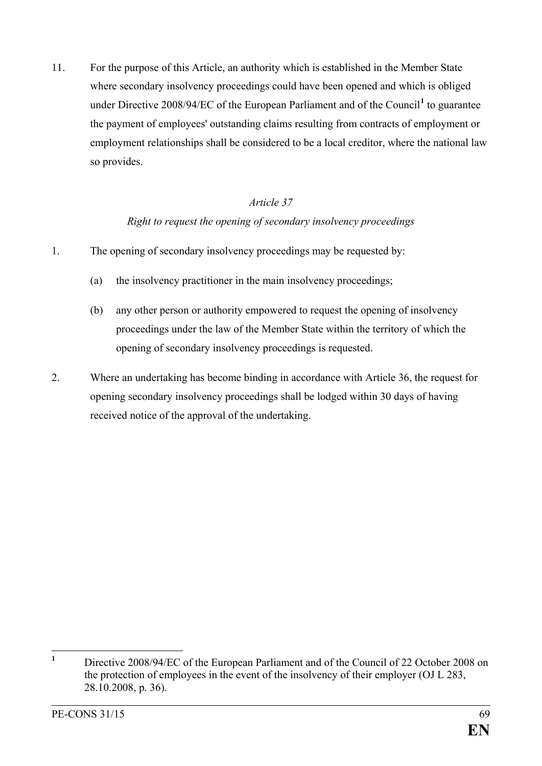11. For the purpose of this Article, an authority which is established in the Member State where secondary insolvency proceedings could have been opened and which is obliged under Directive 2008/94/EC of the European Parliament and of the Council**[1](#page-69-0)** to guarantee the payment of employees' outstanding claims resulting from contracts of employment or employment relationships shall be considered to be a local creditor, where the national law so provides.

### *Article 37*

### *Right to request the opening of secondary insolvency proceedings*

- 1. The opening of secondary insolvency proceedings may be requested by:
	- (a) the insolvency practitioner in the main insolvency proceedings;
	- (b) any other person or authority empowered to request the opening of insolvency proceedings under the law of the Member State within the territory of which the opening of secondary insolvency proceedings is requested.
- 2. Where an undertaking has become binding in accordance with Article 36, the request for opening secondary insolvency proceedings shall be lodged within 30 days of having received notice of the approval of the undertaking.

<span id="page-69-0"></span>**<sup>1</sup>** Directive 2008/94/EC of the European Parliament and of the Council of 22 October 2008 on the protection of employees in the event of the insolvency of their employer (OJ L 283, 28.10.2008, p. 36).  $\mathbf{1}$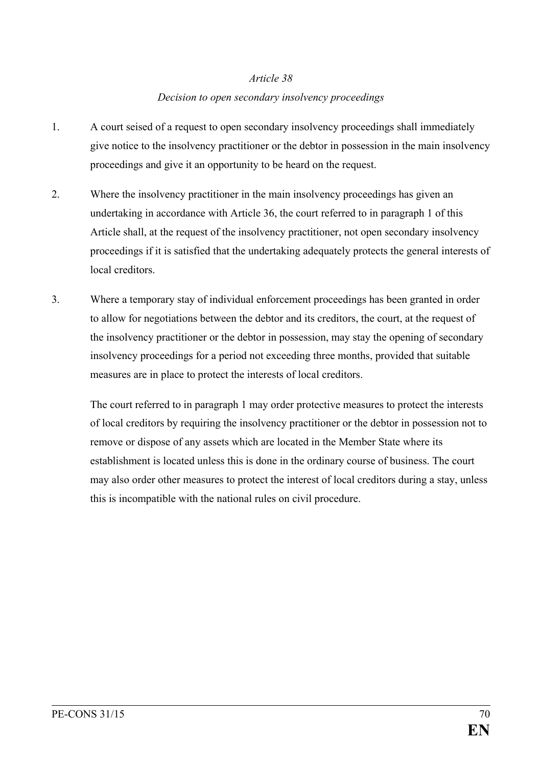#### *Decision to open secondary insolvency proceedings*

- 1. A court seised of a request to open secondary insolvency proceedings shall immediately give notice to the insolvency practitioner or the debtor in possession in the main insolvency proceedings and give it an opportunity to be heard on the request.
- 2. Where the insolvency practitioner in the main insolvency proceedings has given an undertaking in accordance with Article 36, the court referred to in paragraph 1 of this Article shall, at the request of the insolvency practitioner, not open secondary insolvency proceedings if it is satisfied that the undertaking adequately protects the general interests of local creditors.
- 3. Where a temporary stay of individual enforcement proceedings has been granted in order to allow for negotiations between the debtor and its creditors, the court, at the request of the insolvency practitioner or the debtor in possession, may stay the opening of secondary insolvency proceedings for a period not exceeding three months, provided that suitable measures are in place to protect the interests of local creditors.

The court referred to in paragraph 1 may order protective measures to protect the interests of local creditors by requiring the insolvency practitioner or the debtor in possession not to remove or dispose of any assets which are located in the Member State where its establishment is located unless this is done in the ordinary course of business. The court may also order other measures to protect the interest of local creditors during a stay, unless this is incompatible with the national rules on civil procedure.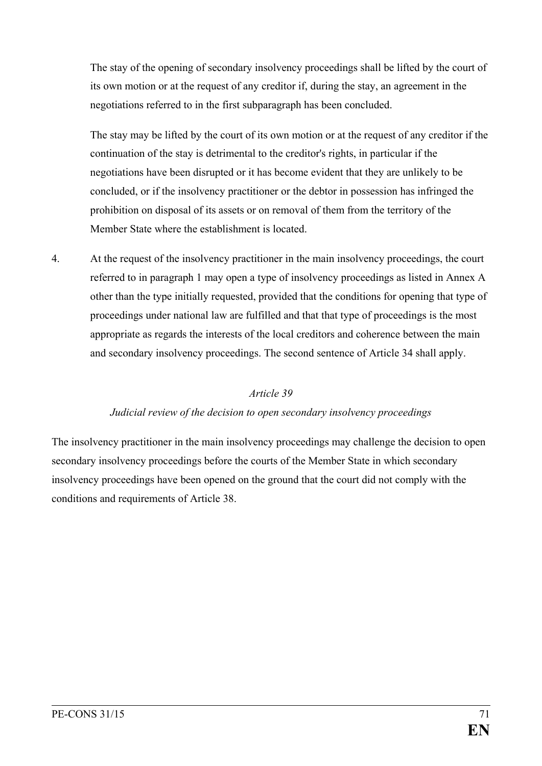The stay of the opening of secondary insolvency proceedings shall be lifted by the court of its own motion or at the request of any creditor if, during the stay, an agreement in the negotiations referred to in the first subparagraph has been concluded.

The stay may be lifted by the court of its own motion or at the request of any creditor if the continuation of the stay is detrimental to the creditor's rights, in particular if the negotiations have been disrupted or it has become evident that they are unlikely to be concluded, or if the insolvency practitioner or the debtor in possession has infringed the prohibition on disposal of its assets or on removal of them from the territory of the Member State where the establishment is located.

4. At the request of the insolvency practitioner in the main insolvency proceedings, the court referred to in paragraph 1 may open a type of insolvency proceedings as listed in Annex A other than the type initially requested, provided that the conditions for opening that type of proceedings under national law are fulfilled and that that type of proceedings is the most appropriate as regards the interests of the local creditors and coherence between the main and secondary insolvency proceedings. The second sentence of Article 34 shall apply.

### *Article 39*

### *Judicial review of the decision to open secondary insolvency proceedings*

The insolvency practitioner in the main insolvency proceedings may challenge the decision to open secondary insolvency proceedings before the courts of the Member State in which secondary insolvency proceedings have been opened on the ground that the court did not comply with the conditions and requirements of Article 38.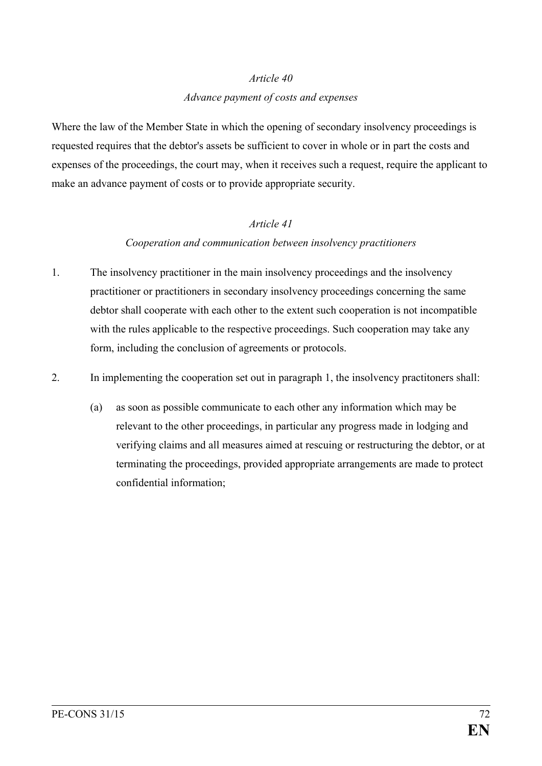#### *Advance payment of costs and expenses*

Where the law of the Member State in which the opening of secondary insolvency proceedings is requested requires that the debtor's assets be sufficient to cover in whole or in part the costs and expenses of the proceedings, the court may, when it receives such a request, require the applicant to make an advance payment of costs or to provide appropriate security.

#### *Article 41*

### *Cooperation and communication between insolvency practitioners*

- 1. The insolvency practitioner in the main insolvency proceedings and the insolvency practitioner or practitioners in secondary insolvency proceedings concerning the same debtor shall cooperate with each other to the extent such cooperation is not incompatible with the rules applicable to the respective proceedings. Such cooperation may take any form, including the conclusion of agreements or protocols.
- 2. In implementing the cooperation set out in paragraph 1, the insolvency practitoners shall:
	- (a) as soon as possible communicate to each other any information which may be relevant to the other proceedings, in particular any progress made in lodging and verifying claims and all measures aimed at rescuing or restructuring the debtor, or at terminating the proceedings, provided appropriate arrangements are made to protect confidential information;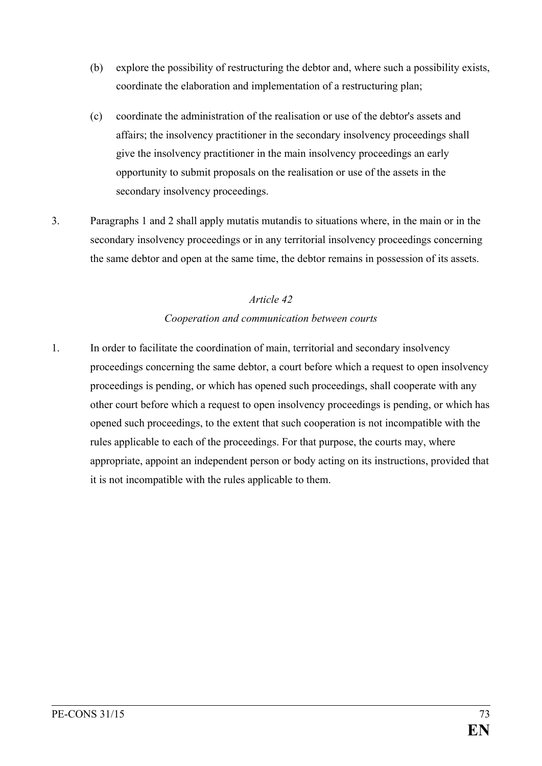- (b) explore the possibility of restructuring the debtor and, where such a possibility exists, coordinate the elaboration and implementation of a restructuring plan;
- (c) coordinate the administration of the realisation or use of the debtor's assets and affairs; the insolvency practitioner in the secondary insolvency proceedings shall give the insolvency practitioner in the main insolvency proceedings an early opportunity to submit proposals on the realisation or use of the assets in the secondary insolvency proceedings.
- 3. Paragraphs 1 and 2 shall apply mutatis mutandis to situations where, in the main or in the secondary insolvency proceedings or in any territorial insolvency proceedings concerning the same debtor and open at the same time, the debtor remains in possession of its assets.

# *Cooperation and communication between courts*

1. In order to facilitate the coordination of main, territorial and secondary insolvency proceedings concerning the same debtor, a court before which a request to open insolvency proceedings is pending, or which has opened such proceedings, shall cooperate with any other court before which a request to open insolvency proceedings is pending, or which has opened such proceedings, to the extent that such cooperation is not incompatible with the rules applicable to each of the proceedings. For that purpose, the courts may, where appropriate, appoint an independent person or body acting on its instructions, provided that it is not incompatible with the rules applicable to them.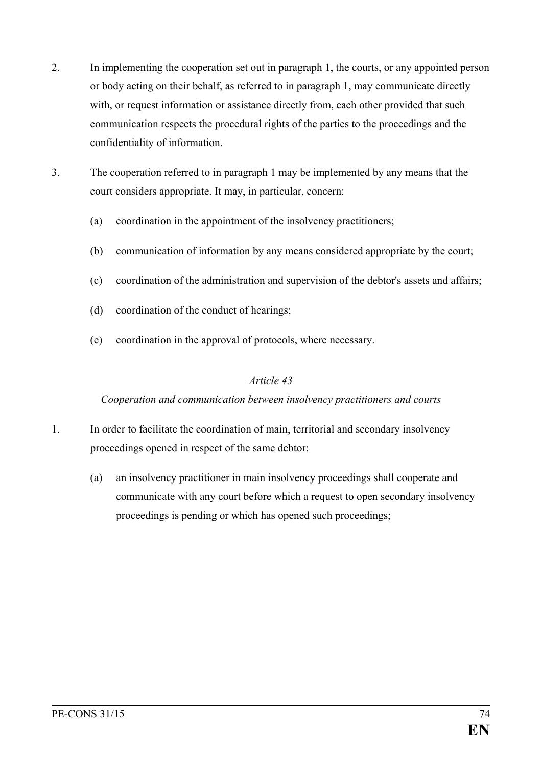- 2. In implementing the cooperation set out in paragraph 1, the courts, or any appointed person or body acting on their behalf, as referred to in paragraph 1, may communicate directly with, or request information or assistance directly from, each other provided that such communication respects the procedural rights of the parties to the proceedings and the confidentiality of information.
- 3. The cooperation referred to in paragraph 1 may be implemented by any means that the court considers appropriate. It may, in particular, concern:
	- (a) coordination in the appointment of the insolvency practitioners;
	- (b) communication of information by any means considered appropriate by the court;
	- (c) coordination of the administration and supervision of the debtor's assets and affairs;
	- (d) coordination of the conduct of hearings;
	- (e) coordination in the approval of protocols, where necessary.

#### *Cooperation and communication between insolvency practitioners and courts*

- 1. In order to facilitate the coordination of main, territorial and secondary insolvency proceedings opened in respect of the same debtor:
	- (a) an insolvency practitioner in main insolvency proceedings shall cooperate and communicate with any court before which a request to open secondary insolvency proceedings is pending or which has opened such proceedings;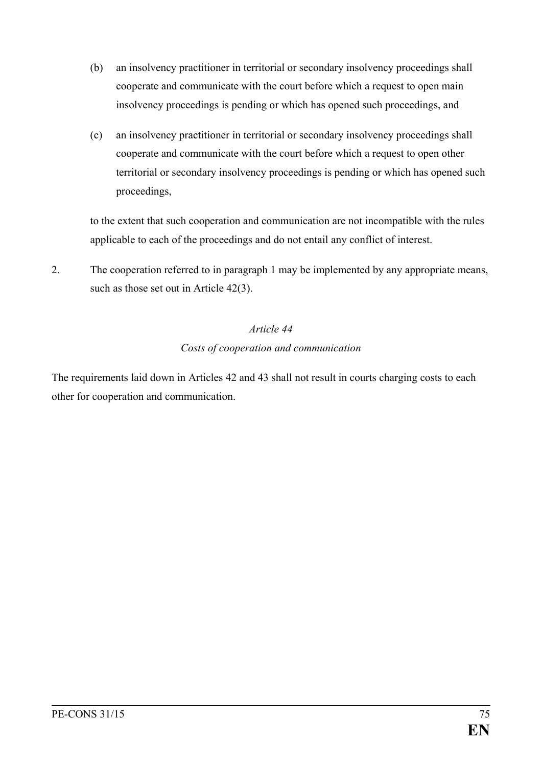- (b) an insolvency practitioner in territorial or secondary insolvency proceedings shall cooperate and communicate with the court before which a request to open main insolvency proceedings is pending or which has opened such proceedings, and
- (c) an insolvency practitioner in territorial or secondary insolvency proceedings shall cooperate and communicate with the court before which a request to open other territorial or secondary insolvency proceedings is pending or which has opened such proceedings,

to the extent that such cooperation and communication are not incompatible with the rules applicable to each of the proceedings and do not entail any conflict of interest.

2. The cooperation referred to in paragraph 1 may be implemented by any appropriate means, such as those set out in Article 42(3).

# *Article 44 Costs of cooperation and communication*

The requirements laid down in Articles 42 and 43 shall not result in courts charging costs to each other for cooperation and communication.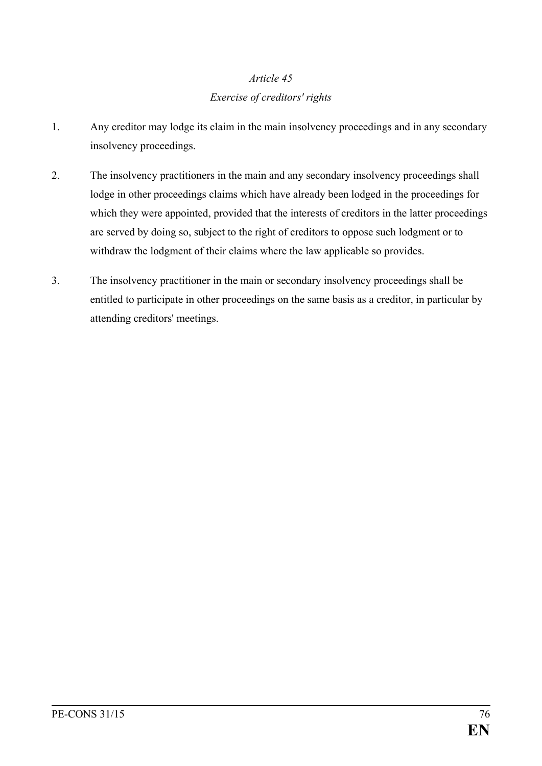# *Exercise of creditors' rights*

- 1. Any creditor may lodge its claim in the main insolvency proceedings and in any secondary insolvency proceedings.
- 2. The insolvency practitioners in the main and any secondary insolvency proceedings shall lodge in other proceedings claims which have already been lodged in the proceedings for which they were appointed, provided that the interests of creditors in the latter proceedings are served by doing so, subject to the right of creditors to oppose such lodgment or to withdraw the lodgment of their claims where the law applicable so provides.
- 3. The insolvency practitioner in the main or secondary insolvency proceedings shall be entitled to participate in other proceedings on the same basis as a creditor, in particular by attending creditors' meetings.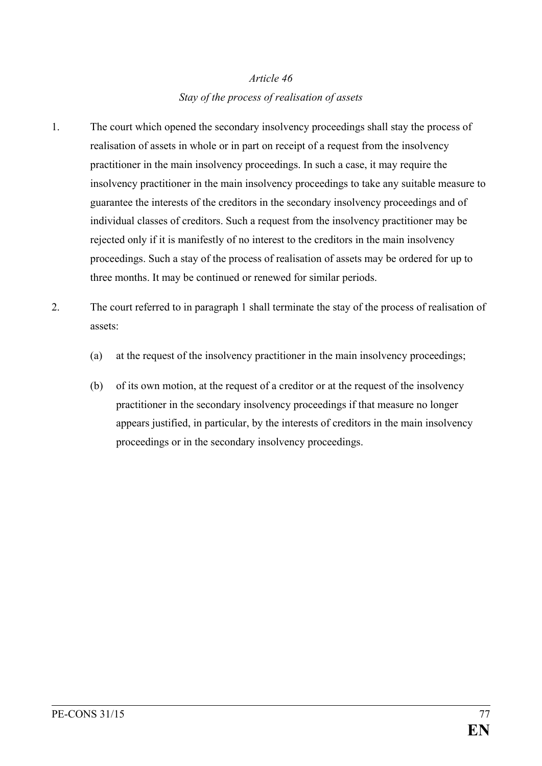# *Article 46 Stay of the process of realisation of assets*

- 1. The court which opened the secondary insolvency proceedings shall stay the process of realisation of assets in whole or in part on receipt of a request from the insolvency practitioner in the main insolvency proceedings. In such a case, it may require the insolvency practitioner in the main insolvency proceedings to take any suitable measure to guarantee the interests of the creditors in the secondary insolvency proceedings and of individual classes of creditors. Such a request from the insolvency practitioner may be rejected only if it is manifestly of no interest to the creditors in the main insolvency proceedings. Such a stay of the process of realisation of assets may be ordered for up to three months. It may be continued or renewed for similar periods.
- 2. The court referred to in paragraph 1 shall terminate the stay of the process of realisation of assets:
	- (a) at the request of the insolvency practitioner in the main insolvency proceedings;
	- (b) of its own motion, at the request of a creditor or at the request of the insolvency practitioner in the secondary insolvency proceedings if that measure no longer appears justified, in particular, by the interests of creditors in the main insolvency proceedings or in the secondary insolvency proceedings.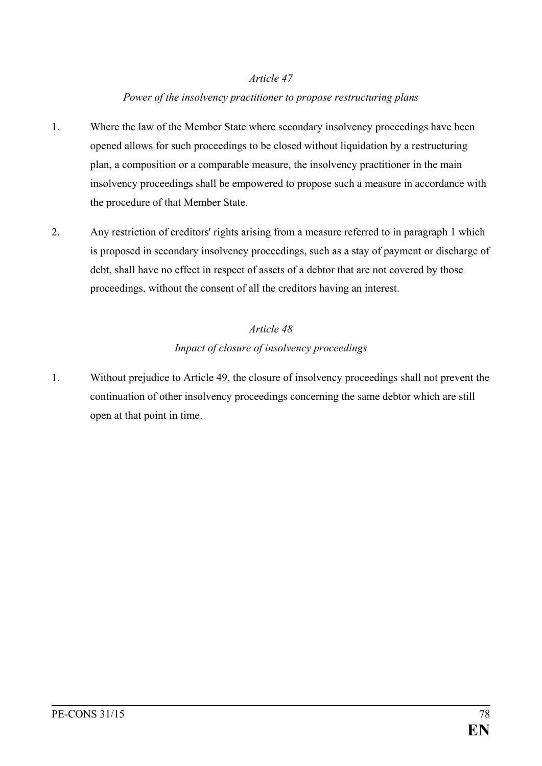### *Power of the insolvency practitioner to propose restructuring plans*

- 1. Where the law of the Member State where secondary insolvency proceedings have been opened allows for such proceedings to be closed without liquidation by a restructuring plan, a composition or a comparable measure, the insolvency practitioner in the main insolvency proceedings shall be empowered to propose such a measure in accordance with the procedure of that Member State.
- 2. Any restriction of creditors' rights arising from a measure referred to in paragraph 1 which is proposed in secondary insolvency proceedings, such as a stay of payment or discharge of debt, shall have no effect in respect of assets of a debtor that are not covered by those proceedings, without the consent of all the creditors having an interest.

# *Article 48 Impact of closure of insolvency proceedings*

1. Without prejudice to Article 49, the closure of insolvency proceedings shall not prevent the continuation of other insolvency proceedings concerning the same debtor which are still open at that point in time.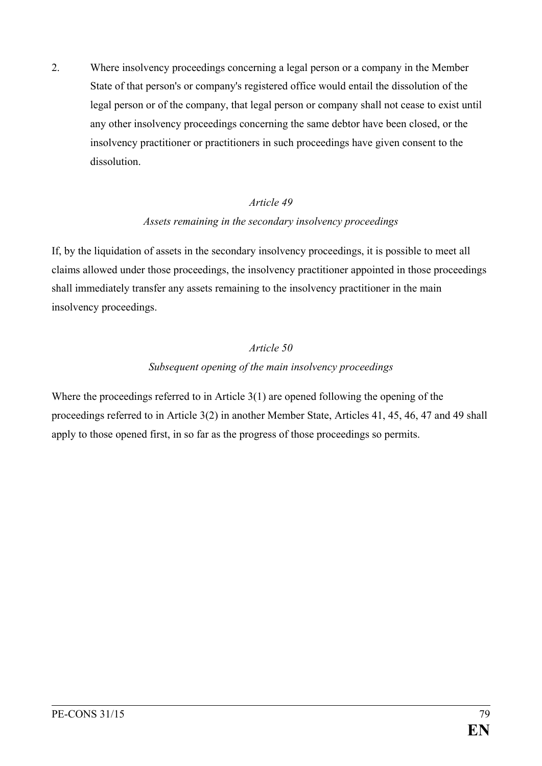2. Where insolvency proceedings concerning a legal person or a company in the Member State of that person's or company's registered office would entail the dissolution of the legal person or of the company, that legal person or company shall not cease to exist until any other insolvency proceedings concerning the same debtor have been closed, or the insolvency practitioner or practitioners in such proceedings have given consent to the dissolution.

# *Article 49*

### *Assets remaining in the secondary insolvency proceedings*

If, by the liquidation of assets in the secondary insolvency proceedings, it is possible to meet all claims allowed under those proceedings, the insolvency practitioner appointed in those proceedings shall immediately transfer any assets remaining to the insolvency practitioner in the main insolvency proceedings.

# *Article 50 Subsequent opening of the main insolvency proceedings*

Where the proceedings referred to in Article 3(1) are opened following the opening of the proceedings referred to in Article 3(2) in another Member State, Articles 41, 45, 46, 47 and 49 shall apply to those opened first, in so far as the progress of those proceedings so permits.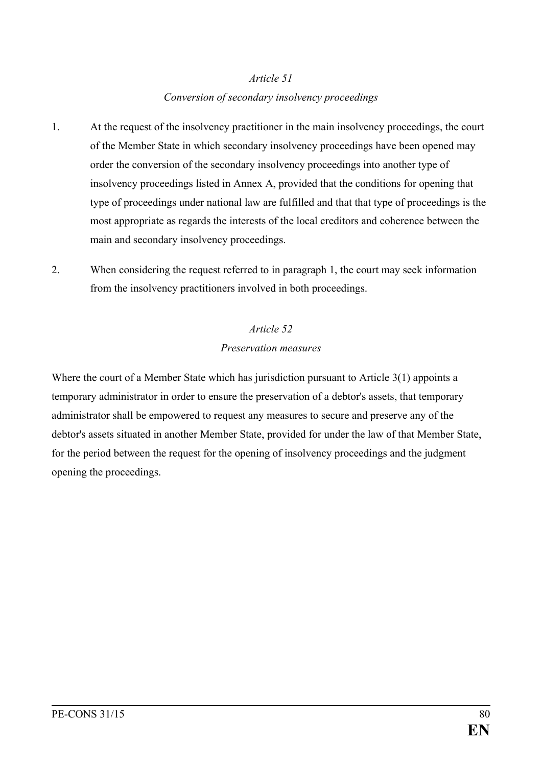## *Conversion of secondary insolvency proceedings*

- 1. At the request of the insolvency practitioner in the main insolvency proceedings, the court of the Member State in which secondary insolvency proceedings have been opened may order the conversion of the secondary insolvency proceedings into another type of insolvency proceedings listed in Annex A, provided that the conditions for opening that type of proceedings under national law are fulfilled and that that type of proceedings is the most appropriate as regards the interests of the local creditors and coherence between the main and secondary insolvency proceedings.
- 2. When considering the request referred to in paragraph 1, the court may seek information from the insolvency practitioners involved in both proceedings.

# *Article 52 Preservation measures*

Where the court of a Member State which has jurisdiction pursuant to Article 3(1) appoints a temporary administrator in order to ensure the preservation of a debtor's assets, that temporary administrator shall be empowered to request any measures to secure and preserve any of the debtor's assets situated in another Member State, provided for under the law of that Member State, for the period between the request for the opening of insolvency proceedings and the judgment opening the proceedings.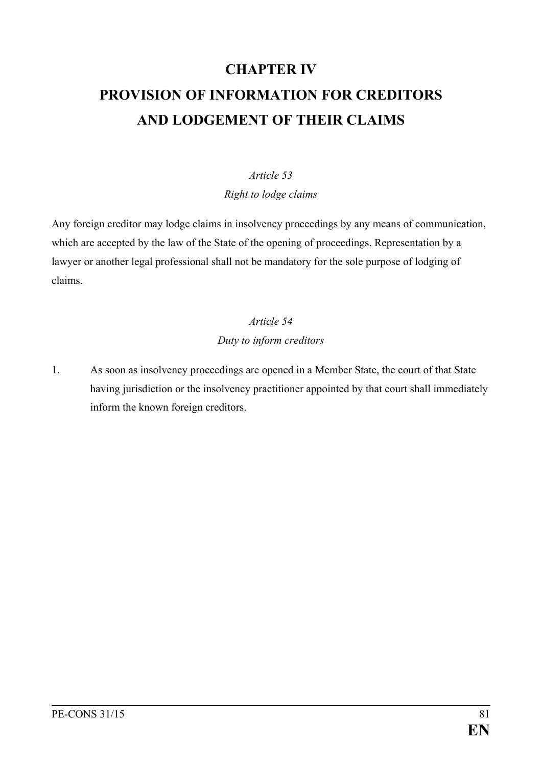# **CHAPTER IV PROVISION OF INFORMATION FOR CREDITORS AND LODGEMENT OF THEIR CLAIMS**

## *Article 53*

*Right to lodge claims*

Any foreign creditor may lodge claims in insolvency proceedings by any means of communication, which are accepted by the law of the State of the opening of proceedings. Representation by a lawyer or another legal professional shall not be mandatory for the sole purpose of lodging of claims.

# *Article 54 Duty to inform creditors*

1. As soon as insolvency proceedings are opened in a Member State, the court of that State having jurisdiction or the insolvency practitioner appointed by that court shall immediately inform the known foreign creditors.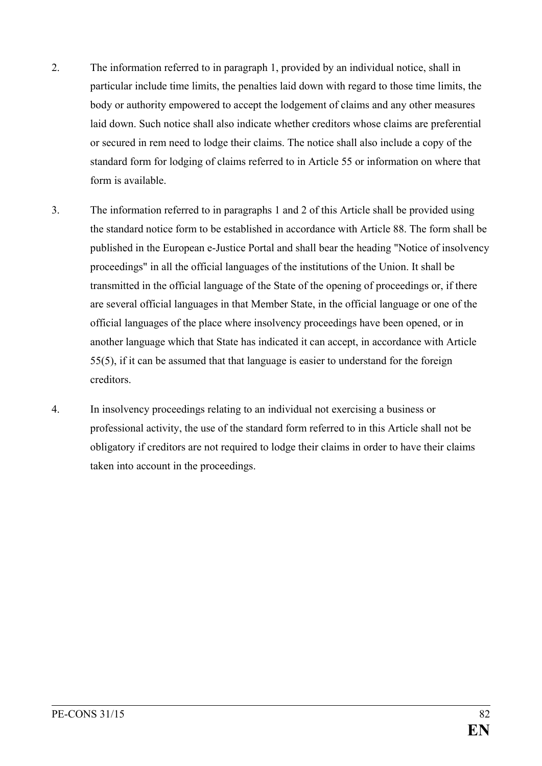- 2. The information referred to in paragraph 1, provided by an individual notice, shall in particular include time limits, the penalties laid down with regard to those time limits, the body or authority empowered to accept the lodgement of claims and any other measures laid down. Such notice shall also indicate whether creditors whose claims are preferential or secured in rem need to lodge their claims. The notice shall also include a copy of the standard form for lodging of claims referred to in Article 55 or information on where that form is available.
- 3. The information referred to in paragraphs 1 and 2 of this Article shall be provided using the standard notice form to be established in accordance with Article 88. The form shall be published in the European e-Justice Portal and shall bear the heading "Notice of insolvency proceedings" in all the official languages of the institutions of the Union. It shall be transmitted in the official language of the State of the opening of proceedings or, if there are several official languages in that Member State, in the official language or one of the official languages of the place where insolvency proceedings have been opened, or in another language which that State has indicated it can accept, in accordance with Article 55(5), if it can be assumed that that language is easier to understand for the foreign creditors.
- 4. In insolvency proceedings relating to an individual not exercising a business or professional activity, the use of the standard form referred to in this Article shall not be obligatory if creditors are not required to lodge their claims in order to have their claims taken into account in the proceedings.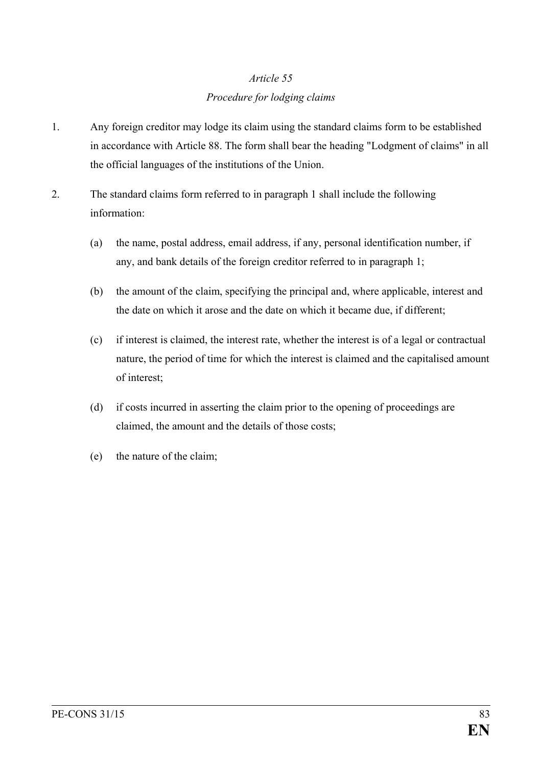# *Article 55 Procedure for lodging claims*

- 1. Any foreign creditor may lodge its claim using the standard claims form to be established in accordance with Article 88. The form shall bear the heading "Lodgment of claims" in all the official languages of the institutions of the Union.
- 2. The standard claims form referred to in paragraph 1 shall include the following information:
	- (a) the name, postal address, email address, if any, personal identification number, if any, and bank details of the foreign creditor referred to in paragraph 1;
	- (b) the amount of the claim, specifying the principal and, where applicable, interest and the date on which it arose and the date on which it became due, if different;
	- (c) if interest is claimed, the interest rate, whether the interest is of a legal or contractual nature, the period of time for which the interest is claimed and the capitalised amount of interest;
	- (d) if costs incurred in asserting the claim prior to the opening of proceedings are claimed, the amount and the details of those costs;
	- (e) the nature of the claim;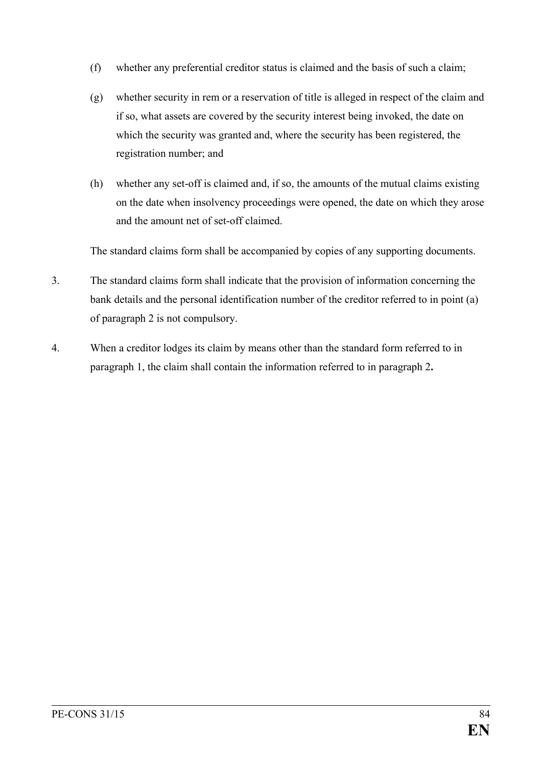- (f) whether any preferential creditor status is claimed and the basis of such a claim;
- (g) whether security in rem or a reservation of title is alleged in respect of the claim and if so, what assets are covered by the security interest being invoked, the date on which the security was granted and, where the security has been registered, the registration number; and
- (h) whether any set-off is claimed and, if so, the amounts of the mutual claims existing on the date when insolvency proceedings were opened, the date on which they arose and the amount net of set-off claimed.

The standard claims form shall be accompanied by copies of any supporting documents.

- 3. The standard claims form shall indicate that the provision of information concerning the bank details and the personal identification number of the creditor referred to in point (a) of paragraph 2 is not compulsory.
- 4. When a creditor lodges its claim by means other than the standard form referred to in paragraph 1, the claim shall contain the information referred to in paragraph 2**.**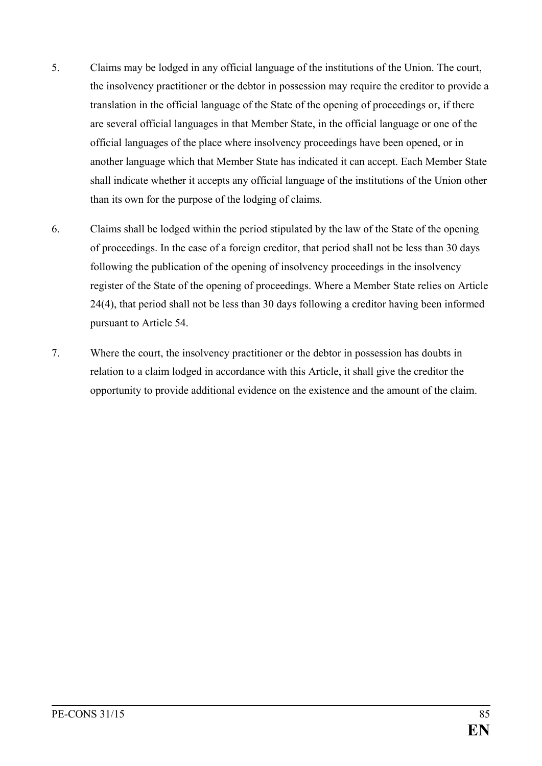- 5. Claims may be lodged in any official language of the institutions of the Union. The court, the insolvency practitioner or the debtor in possession may require the creditor to provide a translation in the official language of the State of the opening of proceedings or, if there are several official languages in that Member State, in the official language or one of the official languages of the place where insolvency proceedings have been opened, or in another language which that Member State has indicated it can accept. Each Member State shall indicate whether it accepts any official language of the institutions of the Union other than its own for the purpose of the lodging of claims.
- 6. Claims shall be lodged within the period stipulated by the law of the State of the opening of proceedings. In the case of a foreign creditor, that period shall not be less than 30 days following the publication of the opening of insolvency proceedings in the insolvency register of the State of the opening of proceedings. Where a Member State relies on Article 24(4), that period shall not be less than 30 days following a creditor having been informed pursuant to Article 54.
- 7. Where the court, the insolvency practitioner or the debtor in possession has doubts in relation to a claim lodged in accordance with this Article, it shall give the creditor the opportunity to provide additional evidence on the existence and the amount of the claim.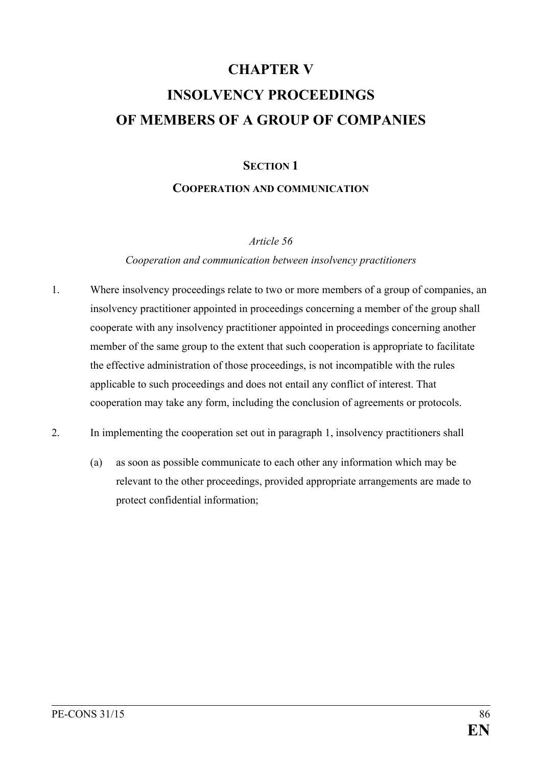# **CHAPTER V INSOLVENCY PROCEEDINGS OF MEMBERS OF A GROUP OF COMPANIES**

# **SECTION 1**

# **COOPERATION AND COMMUNICATION**

#### *Article 56*

*Cooperation and communication between insolvency practitioners*

- 1. Where insolvency proceedings relate to two or more members of a group of companies, an insolvency practitioner appointed in proceedings concerning a member of the group shall cooperate with any insolvency practitioner appointed in proceedings concerning another member of the same group to the extent that such cooperation is appropriate to facilitate the effective administration of those proceedings, is not incompatible with the rules applicable to such proceedings and does not entail any conflict of interest. That cooperation may take any form, including the conclusion of agreements or protocols.
- 2. In implementing the cooperation set out in paragraph 1, insolvency practitioners shall
	- (a) as soon as possible communicate to each other any information which may be relevant to the other proceedings, provided appropriate arrangements are made to protect confidential information;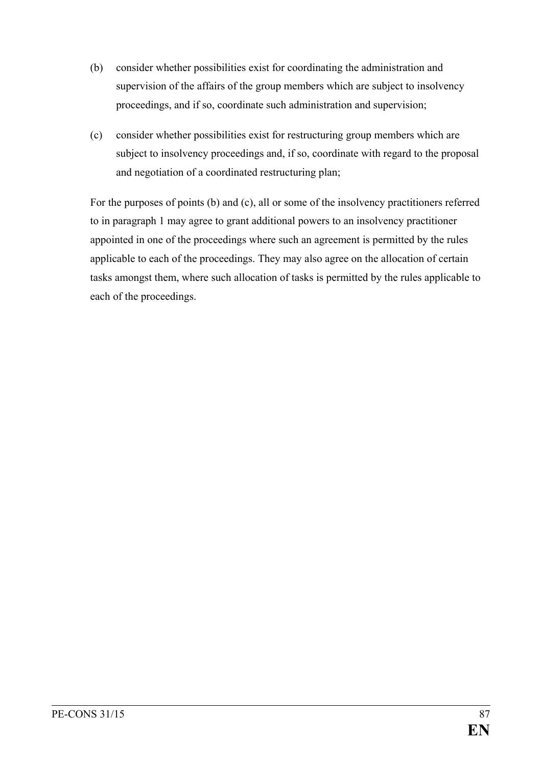- (b) consider whether possibilities exist for coordinating the administration and supervision of the affairs of the group members which are subject to insolvency proceedings, and if so, coordinate such administration and supervision;
- (c) consider whether possibilities exist for restructuring group members which are subject to insolvency proceedings and, if so, coordinate with regard to the proposal and negotiation of a coordinated restructuring plan;

For the purposes of points (b) and (c), all or some of the insolvency practitioners referred to in paragraph 1 may agree to grant additional powers to an insolvency practitioner appointed in one of the proceedings where such an agreement is permitted by the rules applicable to each of the proceedings. They may also agree on the allocation of certain tasks amongst them, where such allocation of tasks is permitted by the rules applicable to each of the proceedings.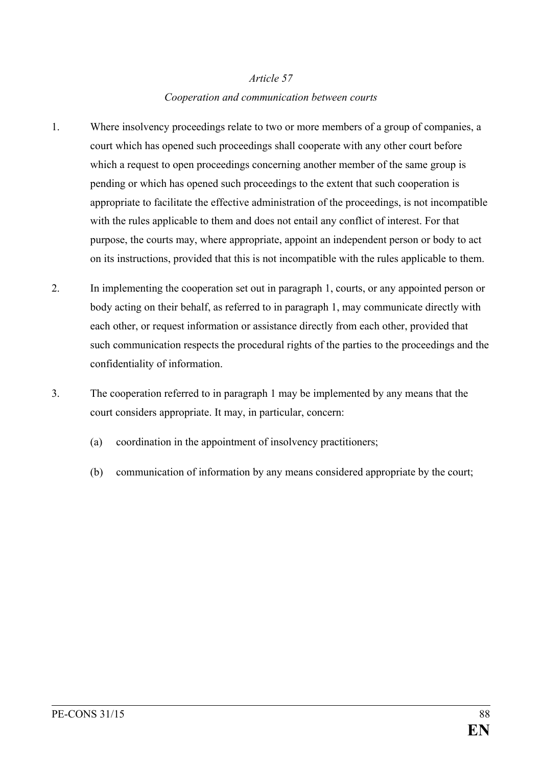#### *Cooperation and communication between courts*

- 1. Where insolvency proceedings relate to two or more members of a group of companies, a court which has opened such proceedings shall cooperate with any other court before which a request to open proceedings concerning another member of the same group is pending or which has opened such proceedings to the extent that such cooperation is appropriate to facilitate the effective administration of the proceedings, is not incompatible with the rules applicable to them and does not entail any conflict of interest. For that purpose, the courts may, where appropriate, appoint an independent person or body to act on its instructions, provided that this is not incompatible with the rules applicable to them.
- 2. In implementing the cooperation set out in paragraph 1, courts, or any appointed person or body acting on their behalf, as referred to in paragraph 1, may communicate directly with each other, or request information or assistance directly from each other, provided that such communication respects the procedural rights of the parties to the proceedings and the confidentiality of information.
- 3. The cooperation referred to in paragraph 1 may be implemented by any means that the court considers appropriate. It may, in particular, concern:
	- (a) coordination in the appointment of insolvency practitioners;
	- (b) communication of information by any means considered appropriate by the court;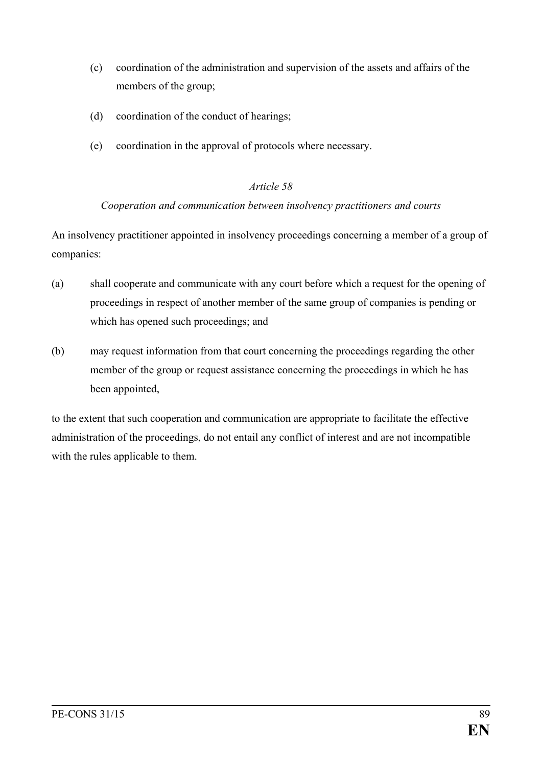- (c) coordination of the administration and supervision of the assets and affairs of the members of the group;
- (d) coordination of the conduct of hearings;
- (e) coordination in the approval of protocols where necessary.

## *Cooperation and communication between insolvency practitioners and courts*

An insolvency practitioner appointed in insolvency proceedings concerning a member of a group of companies:

- (a) shall cooperate and communicate with any court before which a request for the opening of proceedings in respect of another member of the same group of companies is pending or which has opened such proceedings; and
- (b) may request information from that court concerning the proceedings regarding the other member of the group or request assistance concerning the proceedings in which he has been appointed,

to the extent that such cooperation and communication are appropriate to facilitate the effective administration of the proceedings, do not entail any conflict of interest and are not incompatible with the rules applicable to them.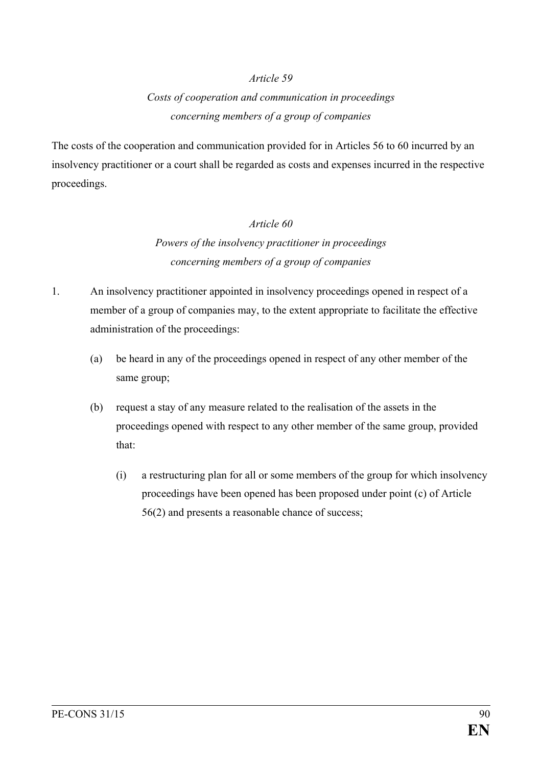# *Costs of cooperation and communication in proceedings concerning members of a group of companies*

The costs of the cooperation and communication provided for in Articles 56 to 60 incurred by an insolvency practitioner or a court shall be regarded as costs and expenses incurred in the respective proceedings.

# *Article 60 Powers of the insolvency practitioner in proceedings concerning members of a group of companies*

- 1. An insolvency practitioner appointed in insolvency proceedings opened in respect of a member of a group of companies may, to the extent appropriate to facilitate the effective administration of the proceedings:
	- (a) be heard in any of the proceedings opened in respect of any other member of the same group;
	- (b) request a stay of any measure related to the realisation of the assets in the proceedings opened with respect to any other member of the same group, provided that:
		- (i) a restructuring plan for all or some members of the group for which insolvency proceedings have been opened has been proposed under point (c) of Article 56(2) and presents a reasonable chance of success;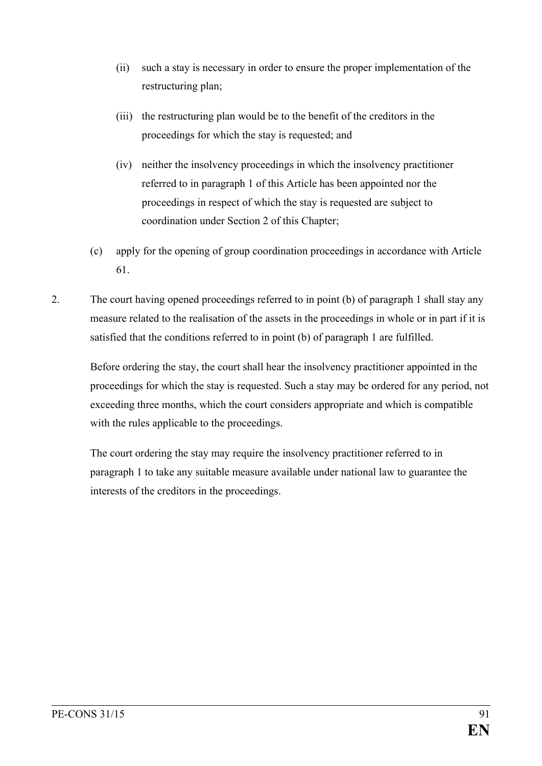- (ii) such a stay is necessary in order to ensure the proper implementation of the restructuring plan;
- (iii) the restructuring plan would be to the benefit of the creditors in the proceedings for which the stay is requested; and
- (iv) neither the insolvency proceedings in which the insolvency practitioner referred to in paragraph 1 of this Article has been appointed nor the proceedings in respect of which the stay is requested are subject to coordination under Section 2 of this Chapter;
- (c) apply for the opening of group coordination proceedings in accordance with Article 61.
- 2. The court having opened proceedings referred to in point (b) of paragraph 1 shall stay any measure related to the realisation of the assets in the proceedings in whole or in part if it is satisfied that the conditions referred to in point (b) of paragraph 1 are fulfilled.

Before ordering the stay, the court shall hear the insolvency practitioner appointed in the proceedings for which the stay is requested. Such a stay may be ordered for any period, not exceeding three months, which the court considers appropriate and which is compatible with the rules applicable to the proceedings.

The court ordering the stay may require the insolvency practitioner referred to in paragraph 1 to take any suitable measure available under national law to guarantee the interests of the creditors in the proceedings.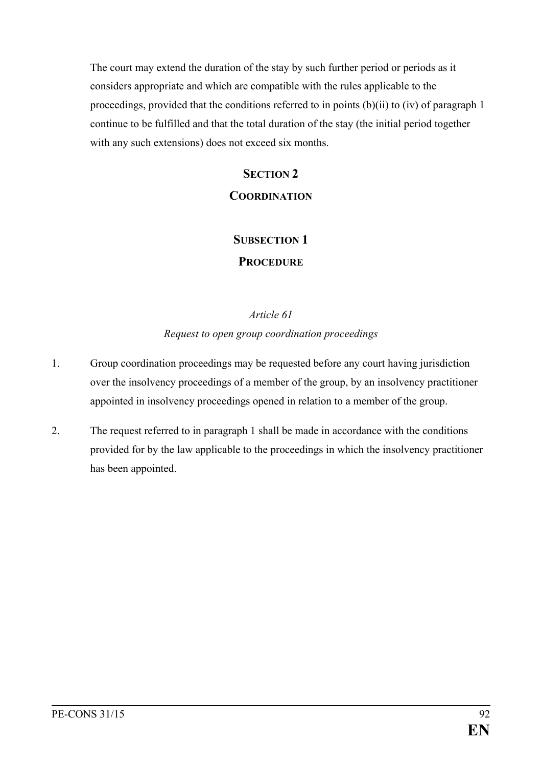The court may extend the duration of the stay by such further period or periods as it considers appropriate and which are compatible with the rules applicable to the proceedings, provided that the conditions referred to in points (b)(ii) to (iv) of paragraph 1 continue to be fulfilled and that the total duration of the stay (the initial period together with any such extensions) does not exceed six months.

# **SECTION 2 COORDINATION**

# **SUBSECTION 1**

# **PROCEDURE**

# *Article 61 Request to open group coordination proceedings*

- 1. Group coordination proceedings may be requested before any court having jurisdiction over the insolvency proceedings of a member of the group, by an insolvency practitioner appointed in insolvency proceedings opened in relation to a member of the group.
- 2. The request referred to in paragraph 1 shall be made in accordance with the conditions provided for by the law applicable to the proceedings in which the insolvency practitioner has been appointed.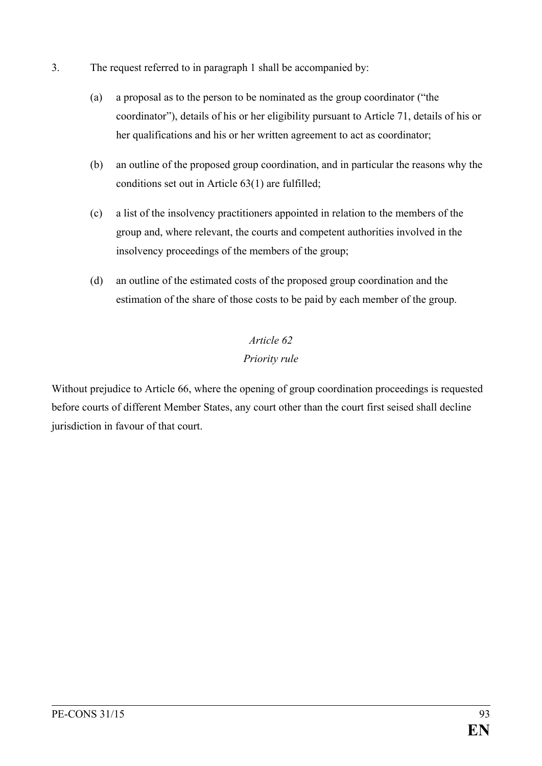- 3. The request referred to in paragraph 1 shall be accompanied by:
	- (a) a proposal as to the person to be nominated as the group coordinator ("the coordinator"), details of his or her eligibility pursuant to Article 71, details of his or her qualifications and his or her written agreement to act as coordinator;
	- (b) an outline of the proposed group coordination, and in particular the reasons why the conditions set out in Article 63(1) are fulfilled;
	- (c) a list of the insolvency practitioners appointed in relation to the members of the group and, where relevant, the courts and competent authorities involved in the insolvency proceedings of the members of the group;
	- (d) an outline of the estimated costs of the proposed group coordination and the estimation of the share of those costs to be paid by each member of the group.

# *Priority rule*

Without prejudice to Article 66, where the opening of group coordination proceedings is requested before courts of different Member States, any court other than the court first seised shall decline jurisdiction in favour of that court.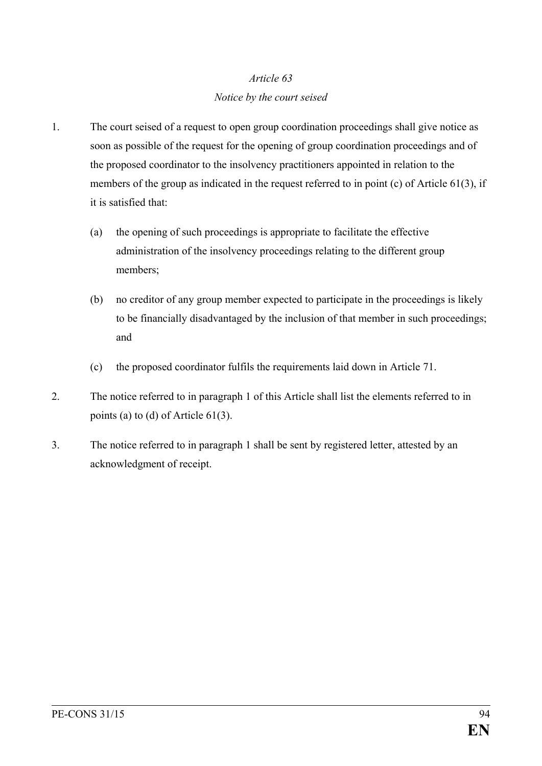## *Notice by the court seised*

- 1. The court seised of a request to open group coordination proceedings shall give notice as soon as possible of the request for the opening of group coordination proceedings and of the proposed coordinator to the insolvency practitioners appointed in relation to the members of the group as indicated in the request referred to in point (c) of Article 61(3), if it is satisfied that:
	- (a) the opening of such proceedings is appropriate to facilitate the effective administration of the insolvency proceedings relating to the different group members;
	- (b) no creditor of any group member expected to participate in the proceedings is likely to be financially disadvantaged by the inclusion of that member in such proceedings; and
	- (c) the proposed coordinator fulfils the requirements laid down in Article 71.
- 2. The notice referred to in paragraph 1 of this Article shall list the elements referred to in points (a) to (d) of Article 61(3).
- 3. The notice referred to in paragraph 1 shall be sent by registered letter, attested by an acknowledgment of receipt.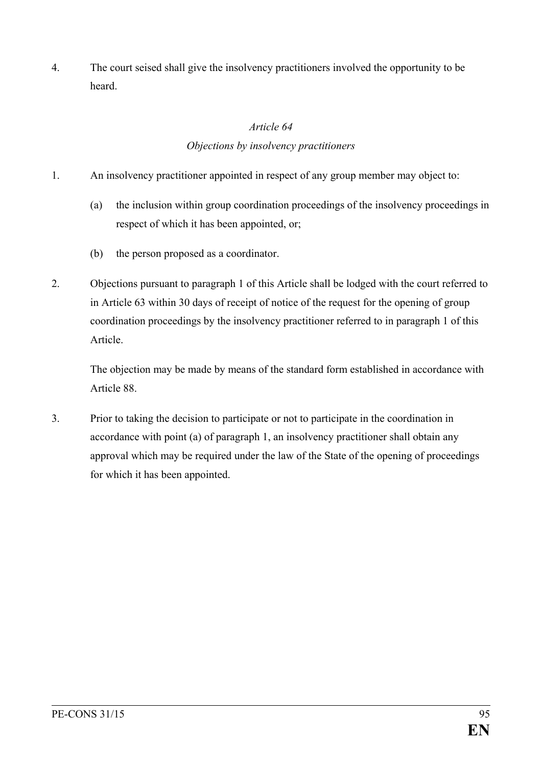4. The court seised shall give the insolvency practitioners involved the opportunity to be heard.

# *Article 64*

# *Objections by insolvency practitioners*

- 1. An insolvency practitioner appointed in respect of any group member may object to:
	- (a) the inclusion within group coordination proceedings of the insolvency proceedings in respect of which it has been appointed, or;
	- (b) the person proposed as a coordinator.
- 2. Objections pursuant to paragraph 1 of this Article shall be lodged with the court referred to in Article 63 within 30 days of receipt of notice of the request for the opening of group coordination proceedings by the insolvency practitioner referred to in paragraph 1 of this Article.

The objection may be made by means of the standard form established in accordance with Article 88.

3. Prior to taking the decision to participate or not to participate in the coordination in accordance with point (a) of paragraph 1, an insolvency practitioner shall obtain any approval which may be required under the law of the State of the opening of proceedings for which it has been appointed.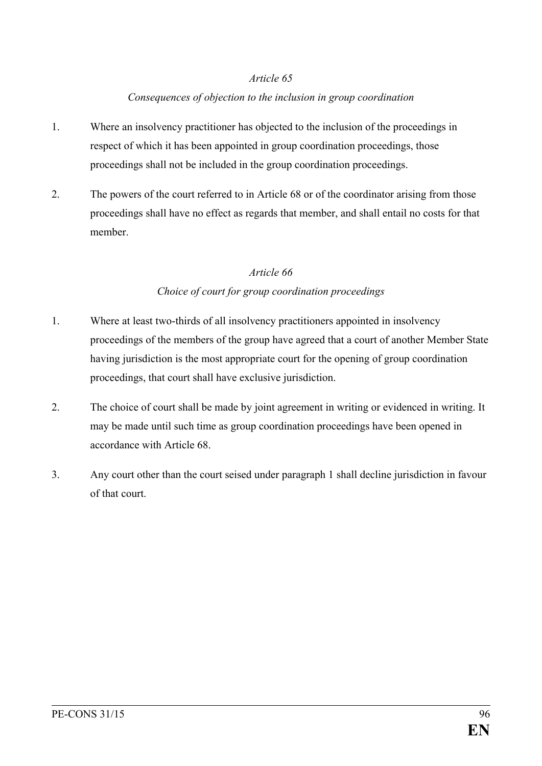## *Consequences of objection to the inclusion in group coordination*

- 1. Where an insolvency practitioner has objected to the inclusion of the proceedings in respect of which it has been appointed in group coordination proceedings, those proceedings shall not be included in the group coordination proceedings.
- 2. The powers of the court referred to in Article 68 or of the coordinator arising from those proceedings shall have no effect as regards that member, and shall entail no costs for that member.

## *Article 66*

## *Choice of court for group coordination proceedings*

- 1. Where at least two-thirds of all insolvency practitioners appointed in insolvency proceedings of the members of the group have agreed that a court of another Member State having jurisdiction is the most appropriate court for the opening of group coordination proceedings, that court shall have exclusive jurisdiction.
- 2. The choice of court shall be made by joint agreement in writing or evidenced in writing. It may be made until such time as group coordination proceedings have been opened in accordance with Article 68.
- 3. Any court other than the court seised under paragraph 1 shall decline jurisdiction in favour of that court.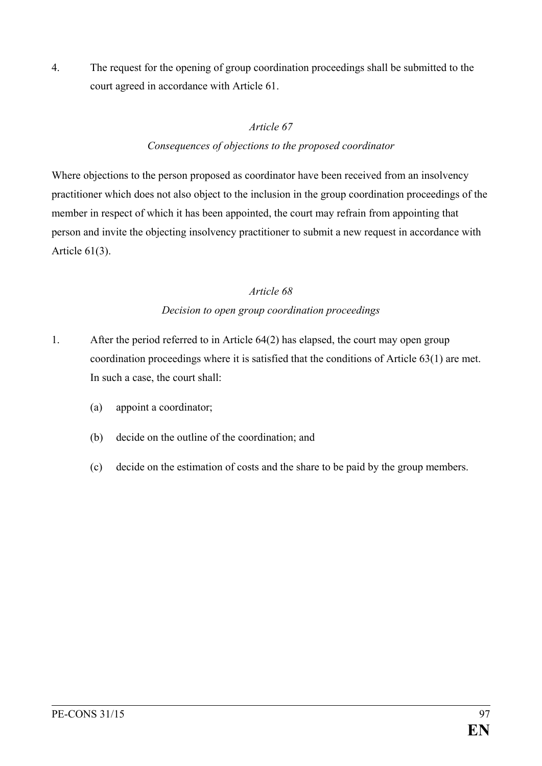4. The request for the opening of group coordination proceedings shall be submitted to the court agreed in accordance with Article 61.

#### *Article 67*

## *Consequences of objections to the proposed coordinator*

Where objections to the person proposed as coordinator have been received from an insolvency practitioner which does not also object to the inclusion in the group coordination proceedings of the member in respect of which it has been appointed, the court may refrain from appointing that person and invite the objecting insolvency practitioner to submit a new request in accordance with Article 61(3).

#### *Article 68*

### *Decision to open group coordination proceedings*

- 1. After the period referred to in Article 64(2) has elapsed, the court may open group coordination proceedings where it is satisfied that the conditions of Article 63(1) are met. In such a case, the court shall:
	- (a) appoint a coordinator;
	- (b) decide on the outline of the coordination; and
	- (c) decide on the estimation of costs and the share to be paid by the group members.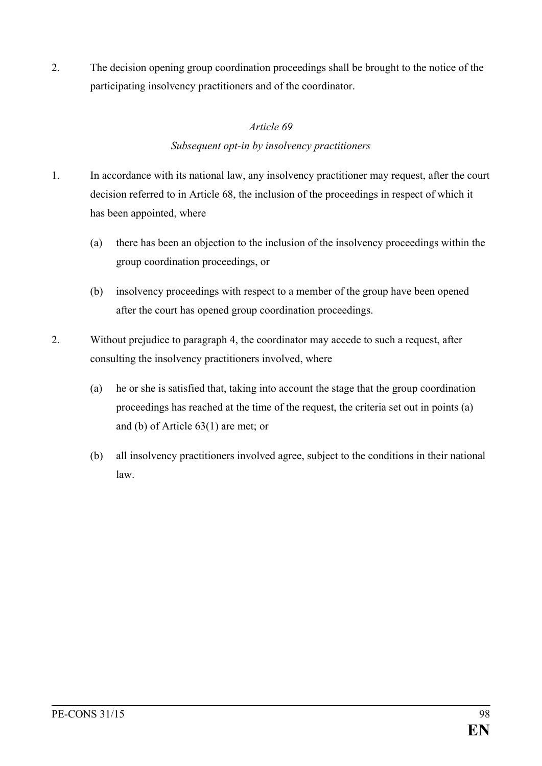2. The decision opening group coordination proceedings shall be brought to the notice of the participating insolvency practitioners and of the coordinator.

## *Article 69*

# *Subsequent opt-in by insolvency practitioners*

- 1. In accordance with its national law, any insolvency practitioner may request, after the court decision referred to in Article 68, the inclusion of the proceedings in respect of which it has been appointed, where
	- (a) there has been an objection to the inclusion of the insolvency proceedings within the group coordination proceedings, or
	- (b) insolvency proceedings with respect to a member of the group have been opened after the court has opened group coordination proceedings.
- 2. Without prejudice to paragraph 4, the coordinator may accede to such a request, after consulting the insolvency practitioners involved, where
	- (a) he or she is satisfied that, taking into account the stage that the group coordination proceedings has reached at the time of the request, the criteria set out in points (a) and (b) of Article 63(1) are met; or
	- (b) all insolvency practitioners involved agree, subject to the conditions in their national law.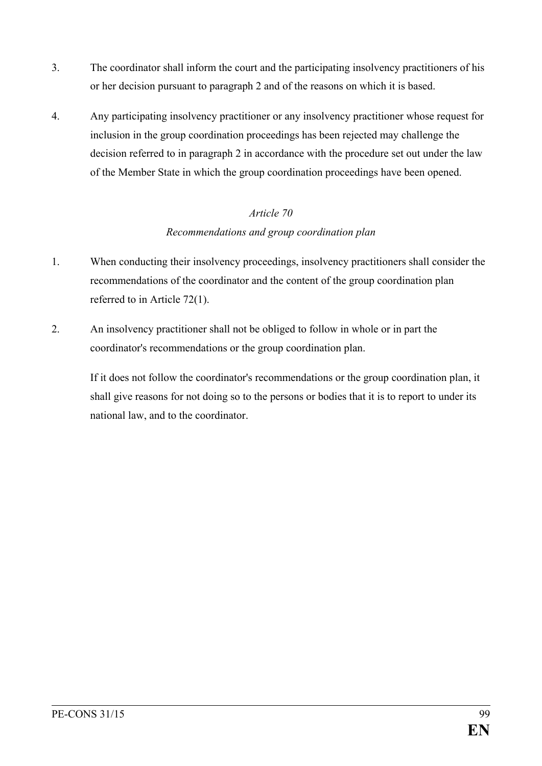- 3. The coordinator shall inform the court and the participating insolvency practitioners of his or her decision pursuant to paragraph 2 and of the reasons on which it is based.
- 4. Any participating insolvency practitioner or any insolvency practitioner whose request for inclusion in the group coordination proceedings has been rejected may challenge the decision referred to in paragraph 2 in accordance with the procedure set out under the law of the Member State in which the group coordination proceedings have been opened.

# *Article 70 Recommendations and group coordination plan*

- 1. When conducting their insolvency proceedings, insolvency practitioners shall consider the recommendations of the coordinator and the content of the group coordination plan referred to in Article 72(1).
- 2. An insolvency practitioner shall not be obliged to follow in whole or in part the coordinator's recommendations or the group coordination plan.

If it does not follow the coordinator's recommendations or the group coordination plan, it shall give reasons for not doing so to the persons or bodies that it is to report to under its national law, and to the coordinator.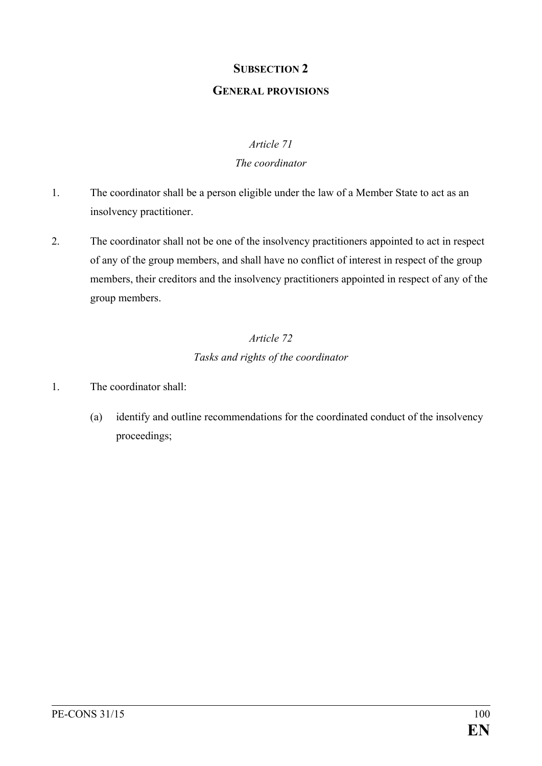## **SUBSECTION 2**

## **GENERAL PROVISIONS**

# *Article 71*

### *The coordinator*

- 1. The coordinator shall be a person eligible under the law of a Member State to act as an insolvency practitioner.
- 2. The coordinator shall not be one of the insolvency practitioners appointed to act in respect of any of the group members, and shall have no conflict of interest in respect of the group members, their creditors and the insolvency practitioners appointed in respect of any of the group members.

# *Article 72 Tasks and rights of the coordinator*

- 1. The coordinator shall:
	- (a) identify and outline recommendations for the coordinated conduct of the insolvency proceedings;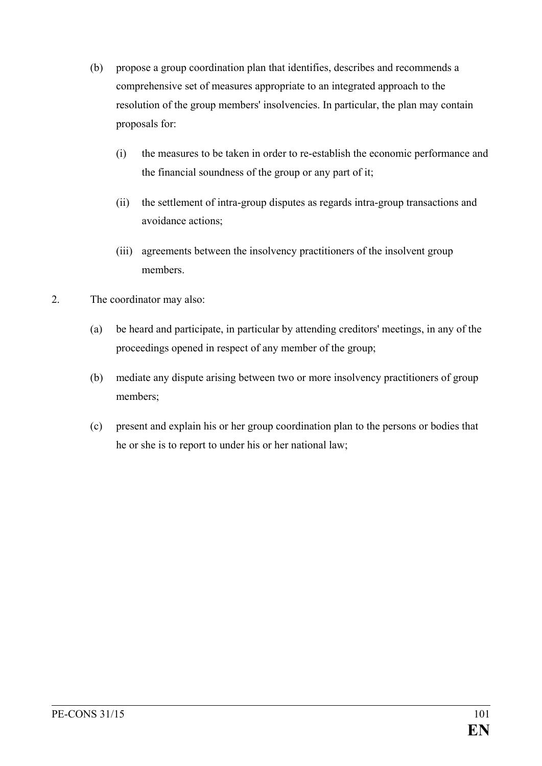- (b) propose a group coordination plan that identifies, describes and recommends a comprehensive set of measures appropriate to an integrated approach to the resolution of the group members' insolvencies. In particular, the plan may contain proposals for:
	- (i) the measures to be taken in order to re-establish the economic performance and the financial soundness of the group or any part of it;
	- (ii) the settlement of intra-group disputes as regards intra-group transactions and avoidance actions;
	- (iii) agreements between the insolvency practitioners of the insolvent group members.
- 2. The coordinator may also:
	- (a) be heard and participate, in particular by attending creditors' meetings, in any of the proceedings opened in respect of any member of the group;
	- (b) mediate any dispute arising between two or more insolvency practitioners of group members;
	- (c) present and explain his or her group coordination plan to the persons or bodies that he or she is to report to under his or her national law;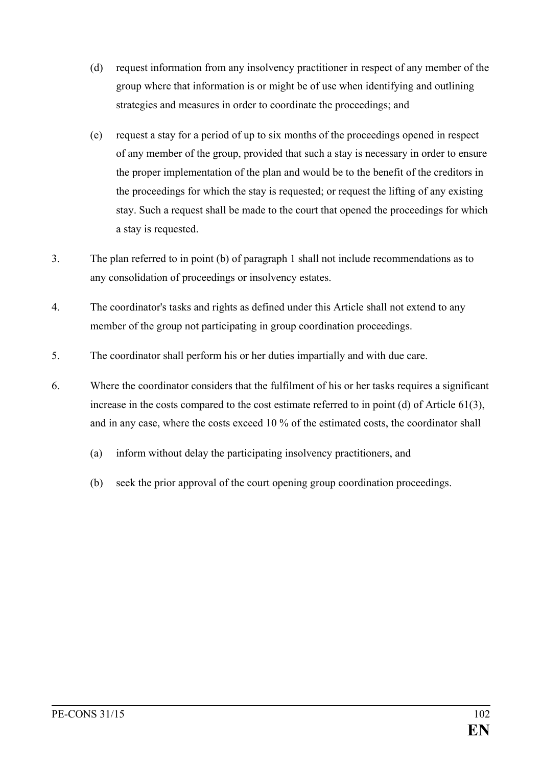- (d) request information from any insolvency practitioner in respect of any member of the group where that information is or might be of use when identifying and outlining strategies and measures in order to coordinate the proceedings; and
- (e) request a stay for a period of up to six months of the proceedings opened in respect of any member of the group, provided that such a stay is necessary in order to ensure the proper implementation of the plan and would be to the benefit of the creditors in the proceedings for which the stay is requested; or request the lifting of any existing stay. Such a request shall be made to the court that opened the proceedings for which a stay is requested.
- 3. The plan referred to in point (b) of paragraph 1 shall not include recommendations as to any consolidation of proceedings or insolvency estates.
- 4. The coordinator's tasks and rights as defined under this Article shall not extend to any member of the group not participating in group coordination proceedings.
- 5. The coordinator shall perform his or her duties impartially and with due care.
- 6. Where the coordinator considers that the fulfilment of his or her tasks requires a significant increase in the costs compared to the cost estimate referred to in point (d) of Article 61(3), and in any case, where the costs exceed 10 % of the estimated costs, the coordinator shall
	- (a) inform without delay the participating insolvency practitioners, and
	- (b) seek the prior approval of the court opening group coordination proceedings.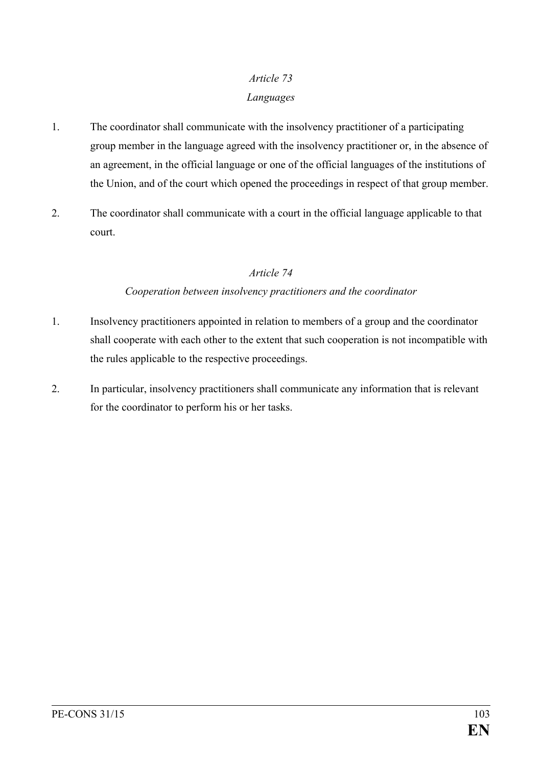# *Languages*

- 1. The coordinator shall communicate with the insolvency practitioner of a participating group member in the language agreed with the insolvency practitioner or, in the absence of an agreement, in the official language or one of the official languages of the institutions of the Union, and of the court which opened the proceedings in respect of that group member.
- 2. The coordinator shall communicate with a court in the official language applicable to that court.

# *Article 74*

# *Cooperation between insolvency practitioners and the coordinator*

- 1. Insolvency practitioners appointed in relation to members of a group and the coordinator shall cooperate with each other to the extent that such cooperation is not incompatible with the rules applicable to the respective proceedings.
- 2. In particular, insolvency practitioners shall communicate any information that is relevant for the coordinator to perform his or her tasks.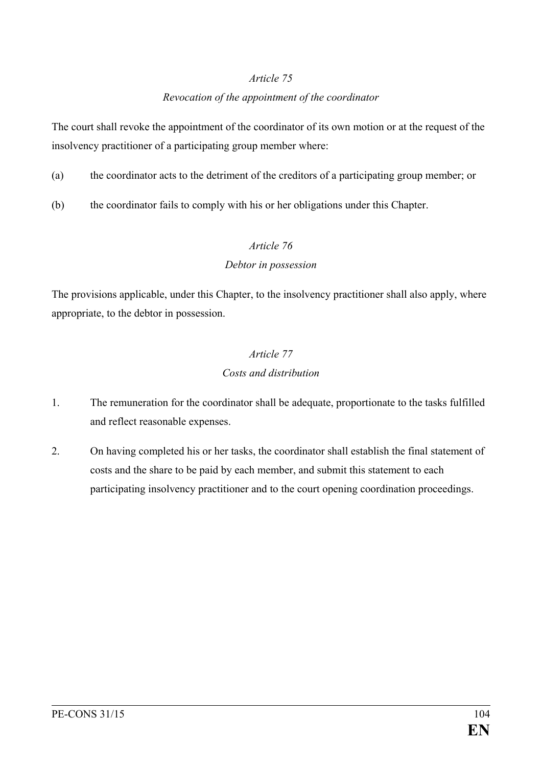#### *Revocation of the appointment of the coordinator*

The court shall revoke the appointment of the coordinator of its own motion or at the request of the insolvency practitioner of a participating group member where:

- (a) the coordinator acts to the detriment of the creditors of a participating group member; or
- (b) the coordinator fails to comply with his or her obligations under this Chapter.

#### *Article 76*

### *Debtor in possession*

The provisions applicable, under this Chapter, to the insolvency practitioner shall also apply, where appropriate, to the debtor in possession.

# *Article 77 Costs and distribution*

- 1. The remuneration for the coordinator shall be adequate, proportionate to the tasks fulfilled and reflect reasonable expenses.
- 2. On having completed his or her tasks, the coordinator shall establish the final statement of costs and the share to be paid by each member, and submit this statement to each participating insolvency practitioner and to the court opening coordination proceedings.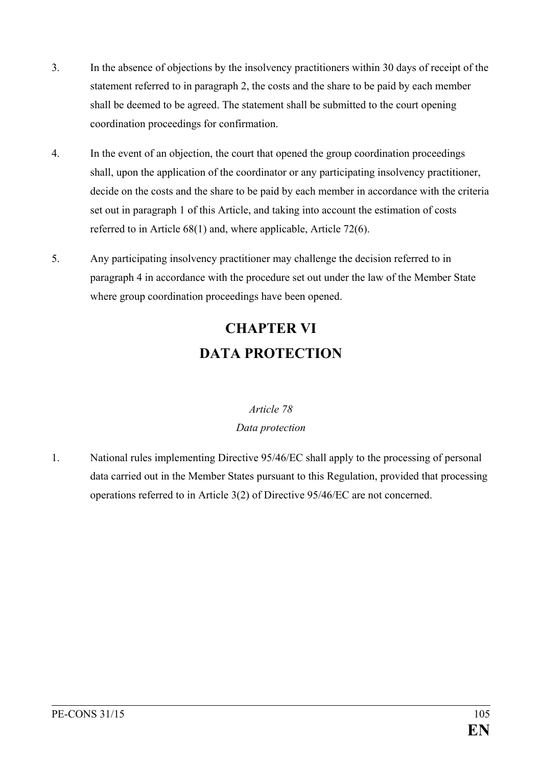- 3. In the absence of objections by the insolvency practitioners within 30 days of receipt of the statement referred to in paragraph 2, the costs and the share to be paid by each member shall be deemed to be agreed. The statement shall be submitted to the court opening coordination proceedings for confirmation.
- 4. In the event of an objection, the court that opened the group coordination proceedings shall, upon the application of the coordinator or any participating insolvency practitioner, decide on the costs and the share to be paid by each member in accordance with the criteria set out in paragraph 1 of this Article, and taking into account the estimation of costs referred to in Article 68(1) and, where applicable, Article 72(6).
- 5. Any participating insolvency practitioner may challenge the decision referred to in paragraph 4 in accordance with the procedure set out under the law of the Member State where group coordination proceedings have been opened.

# **CHAPTER VI DATA PROTECTION**

# *Article 78*

# *Data protection*

1. National rules implementing Directive 95/46/EC shall apply to the processing of personal data carried out in the Member States pursuant to this Regulation, provided that processing operations referred to in Article 3(2) of Directive 95/46/EC are not concerned.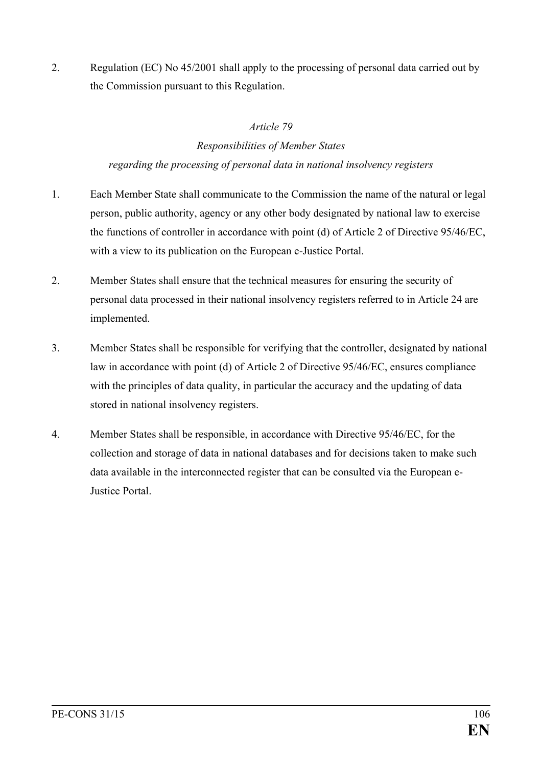2. Regulation (EC) No 45/2001 shall apply to the processing of personal data carried out by the Commission pursuant to this Regulation.

## *Article 79*

# *Responsibilities of Member States regarding the processing of personal data in national insolvency registers*

- 1. Each Member State shall communicate to the Commission the name of the natural or legal person, public authority, agency or any other body designated by national law to exercise the functions of controller in accordance with point (d) of Article 2 of Directive 95/46/EC, with a view to its publication on the European e-Justice Portal.
- 2. Member States shall ensure that the technical measures for ensuring the security of personal data processed in their national insolvency registers referred to in Article 24 are implemented.
- 3. Member States shall be responsible for verifying that the controller, designated by national law in accordance with point (d) of Article 2 of Directive 95/46/EC, ensures compliance with the principles of data quality, in particular the accuracy and the updating of data stored in national insolvency registers.
- 4. Member States shall be responsible, in accordance with Directive 95/46/EC, for the collection and storage of data in national databases and for decisions taken to make such data available in the interconnected register that can be consulted via the European e-Justice Portal.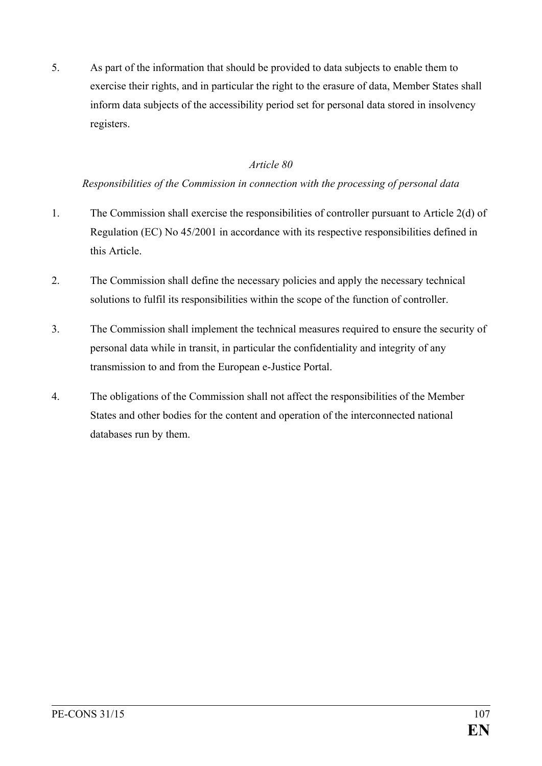5. As part of the information that should be provided to data subjects to enable them to exercise their rights, and in particular the right to the erasure of data, Member States shall inform data subjects of the accessibility period set for personal data stored in insolvency registers.

# *Article 80*

## *Responsibilities of the Commission in connection with the processing of personal data*

- 1. The Commission shall exercise the responsibilities of controller pursuant to Article 2(d) of Regulation (EC) No 45/2001 in accordance with its respective responsibilities defined in this Article.
- 2. The Commission shall define the necessary policies and apply the necessary technical solutions to fulfil its responsibilities within the scope of the function of controller.
- 3. The Commission shall implement the technical measures required to ensure the security of personal data while in transit, in particular the confidentiality and integrity of any transmission to and from the European e-Justice Portal.
- 4. The obligations of the Commission shall not affect the responsibilities of the Member States and other bodies for the content and operation of the interconnected national databases run by them.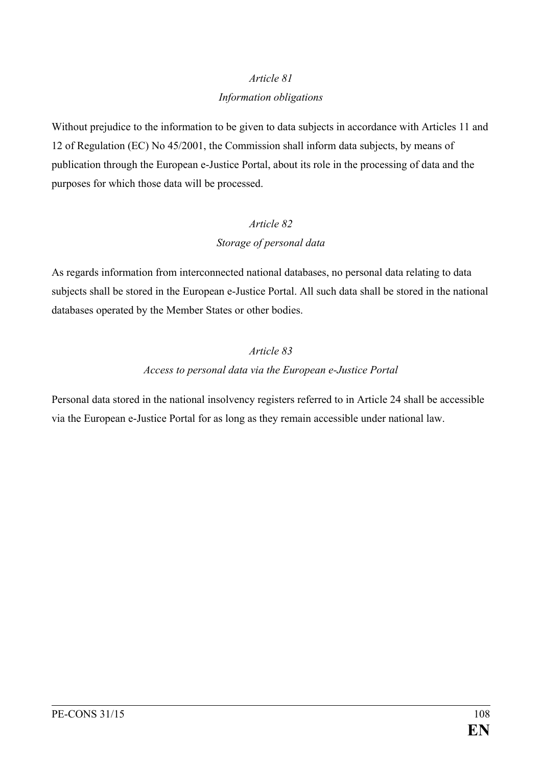### *Information obligations*

Without prejudice to the information to be given to data subjects in accordance with Articles 11 and 12 of Regulation (EC) No 45/2001, the Commission shall inform data subjects, by means of publication through the European e-Justice Portal, about its role in the processing of data and the purposes for which those data will be processed.

# *Article 82 Storage of personal data*

As regards information from interconnected national databases, no personal data relating to data subjects shall be stored in the European e-Justice Portal. All such data shall be stored in the national databases operated by the Member States or other bodies.

# *Article 83*

# *Access to personal data via the European e-Justice Portal*

Personal data stored in the national insolvency registers referred to in Article 24 shall be accessible via the European e-Justice Portal for as long as they remain accessible under national law.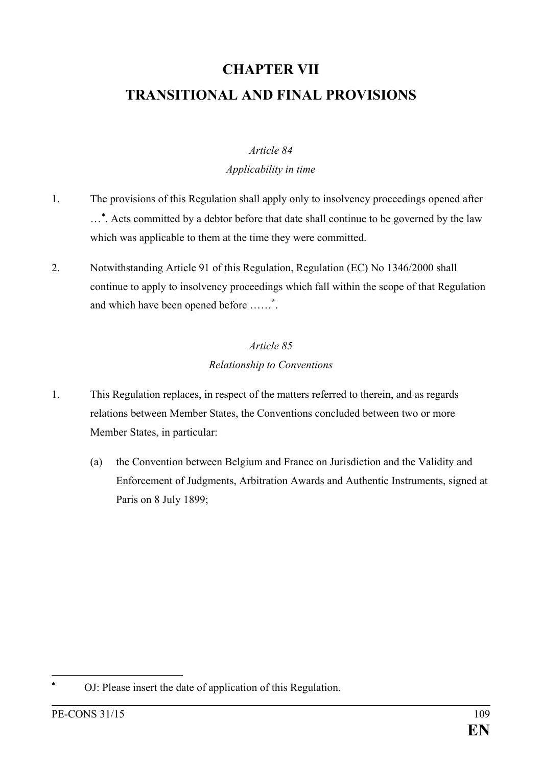# **CHAPTER VII TRANSITIONAL AND FINAL PROVISIONS**

#### *Article 84*

### *Applicability in time*

- 1. The provisions of this Regulation shall apply only to insolvency proceedings opened after …[∗](#page-109-0) . Acts committed by a debtor before that date shall continue to be governed by the law which was applicable to them at the time they were committed.
- 2. Notwithstanding Article 91 of this Regulation, Regulation (EC) No 1346/2000 shall continue to apply to insolvency proceedings which fall within the scope of that Regulation and which have been opened before ……**\*** .

# *Article 85 Relationship to Conventions*

- 1. This Regulation replaces, in respect of the matters referred to therein, and as regards relations between Member States, the Conventions concluded between two or more Member States, in particular:
	- (a) the Convention between Belgium and France on Jurisdiction and the Validity and Enforcement of Judgments, Arbitration Awards and Authentic Instruments, signed at Paris on 8 July 1899;

<span id="page-109-0"></span>OJ: Please insert the date of application of this Regulation.  $\ddot{\bullet}$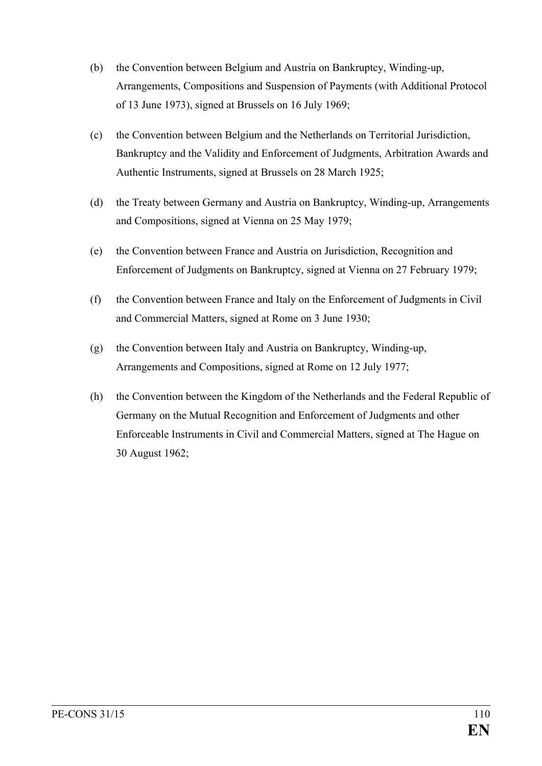- (b) the Convention between Belgium and Austria on Bankruptcy, Winding-up, Arrangements, Compositions and Suspension of Payments (with Additional Protocol of 13 June 1973), signed at Brussels on 16 July 1969;
- (c) the Convention between Belgium and the Netherlands on Territorial Jurisdiction, Bankruptcy and the Validity and Enforcement of Judgments, Arbitration Awards and Authentic Instruments, signed at Brussels on 28 March 1925;
- (d) the Treaty between Germany and Austria on Bankruptcy, Winding-up, Arrangements and Compositions, signed at Vienna on 25 May 1979;
- (e) the Convention between France and Austria on Jurisdiction, Recognition and Enforcement of Judgments on Bankruptcy, signed at Vienna on 27 February 1979;
- (f) the Convention between France and Italy on the Enforcement of Judgments in Civil and Commercial Matters, signed at Rome on 3 June 1930;
- (g) the Convention between Italy and Austria on Bankruptcy, Winding-up, Arrangements and Compositions, signed at Rome on 12 July 1977;
- (h) the Convention between the Kingdom of the Netherlands and the Federal Republic of Germany on the Mutual Recognition and Enforcement of Judgments and other Enforceable Instruments in Civil and Commercial Matters, signed at The Hague on 30 August 1962;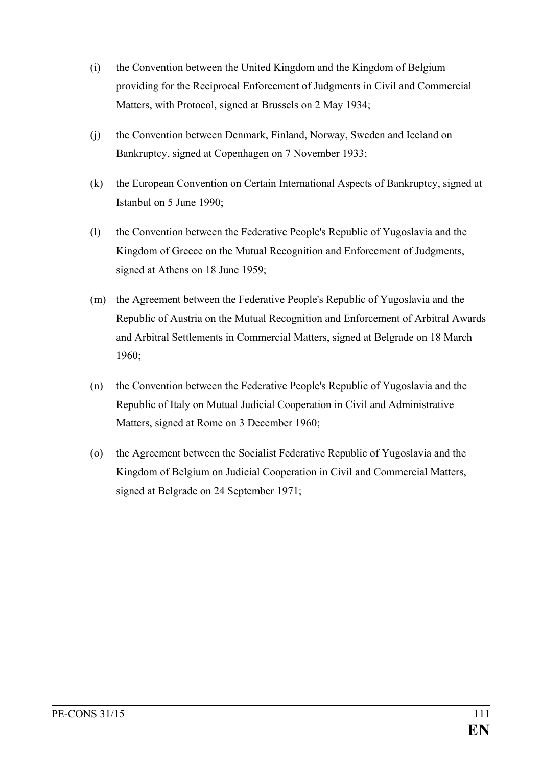- (i) the Convention between the United Kingdom and the Kingdom of Belgium providing for the Reciprocal Enforcement of Judgments in Civil and Commercial Matters, with Protocol, signed at Brussels on 2 May 1934;
- (j) the Convention between Denmark, Finland, Norway, Sweden and Iceland on Bankruptcy, signed at Copenhagen on 7 November 1933;
- (k) the European Convention on Certain International Aspects of Bankruptcy, signed at Istanbul on 5 June 1990;
- (l) the Convention between the Federative People's Republic of Yugoslavia and the Kingdom of Greece on the Mutual Recognition and Enforcement of Judgments, signed at Athens on 18 June 1959;
- (m) the Agreement between the Federative People's Republic of Yugoslavia and the Republic of Austria on the Mutual Recognition and Enforcement of Arbitral Awards and Arbitral Settlements in Commercial Matters, signed at Belgrade on 18 March 1960;
- (n) the Convention between the Federative People's Republic of Yugoslavia and the Republic of Italy on Mutual Judicial Cooperation in Civil and Administrative Matters, signed at Rome on 3 December 1960;
- (o) the Agreement between the Socialist Federative Republic of Yugoslavia and the Kingdom of Belgium on Judicial Cooperation in Civil and Commercial Matters, signed at Belgrade on 24 September 1971;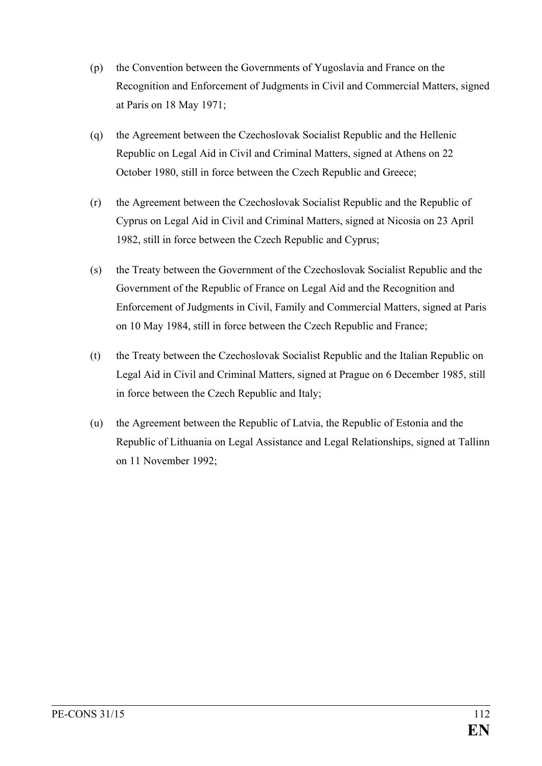- (p) the Convention between the Governments of Yugoslavia and France on the Recognition and Enforcement of Judgments in Civil and Commercial Matters, signed at Paris on 18 May 1971;
- (q) the Agreement between the Czechoslovak Socialist Republic and the Hellenic Republic on Legal Aid in Civil and Criminal Matters, signed at Athens on 22 October 1980, still in force between the Czech Republic and Greece;
- (r) the Agreement between the Czechoslovak Socialist Republic and the Republic of Cyprus on Legal Aid in Civil and Criminal Matters, signed at Nicosia on 23 April 1982, still in force between the Czech Republic and Cyprus;
- (s) the Treaty between the Government of the Czechoslovak Socialist Republic and the Government of the Republic of France on Legal Aid and the Recognition and Enforcement of Judgments in Civil, Family and Commercial Matters, signed at Paris on 10 May 1984, still in force between the Czech Republic and France;
- (t) the Treaty between the Czechoslovak Socialist Republic and the Italian Republic on Legal Aid in Civil and Criminal Matters, signed at Prague on 6 December 1985, still in force between the Czech Republic and Italy;
- (u) the Agreement between the Republic of Latvia, the Republic of Estonia and the Republic of Lithuania on Legal Assistance and Legal Relationships, signed at Tallinn on 11 November 1992;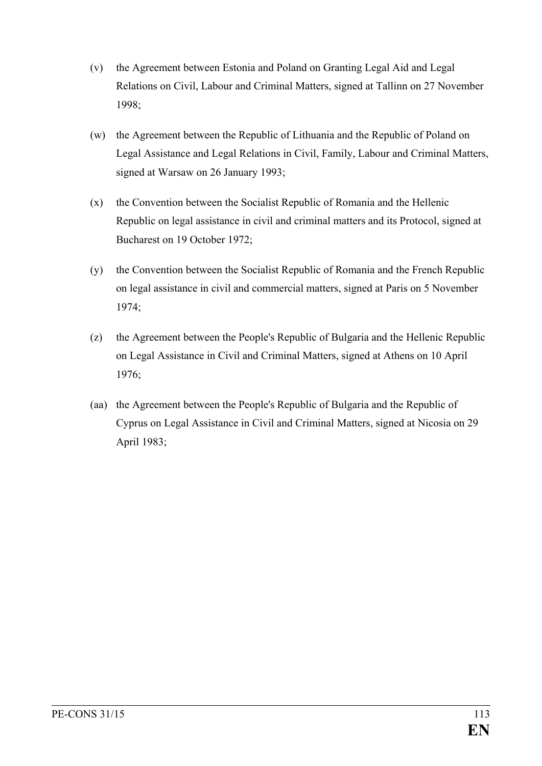- (v) the Agreement between Estonia and Poland on Granting Legal Aid and Legal Relations on Civil, Labour and Criminal Matters, signed at Tallinn on 27 November 1998;
- (w) the Agreement between the Republic of Lithuania and the Republic of Poland on Legal Assistance and Legal Relations in Civil, Family, Labour and Criminal Matters, signed at Warsaw on 26 January 1993;
- (x) the Convention between the Socialist Republic of Romania and the Hellenic Republic on legal assistance in civil and criminal matters and its Protocol, signed at Bucharest on 19 October 1972;
- (y) the Convention between the Socialist Republic of Romania and the French Republic on legal assistance in civil and commercial matters, signed at Paris on 5 November 1974;
- (z) the Agreement between the People's Republic of Bulgaria and the Hellenic Republic on Legal Assistance in Civil and Criminal Matters, signed at Athens on 10 April 1976;
- (aa) the Agreement between the People's Republic of Bulgaria and the Republic of Cyprus on Legal Assistance in Civil and Criminal Matters, signed at Nicosia on 29 April 1983;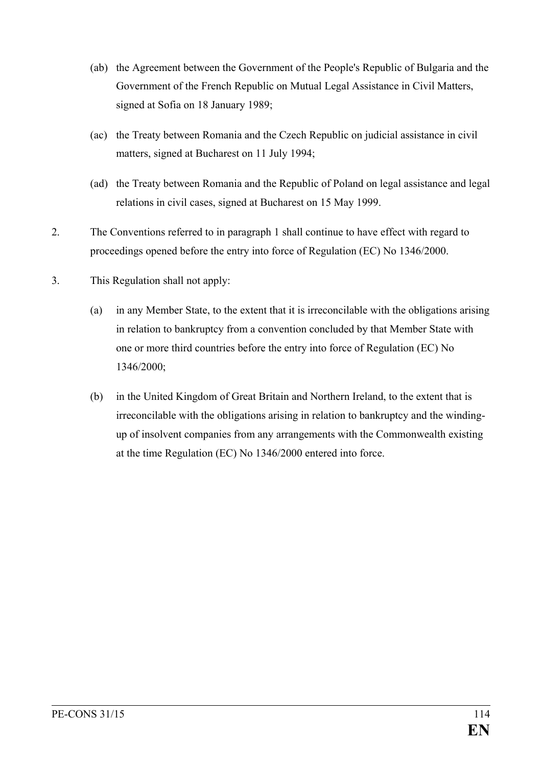- (ab) the Agreement between the Government of the People's Republic of Bulgaria and the Government of the French Republic on Mutual Legal Assistance in Civil Matters, signed at Sofia on 18 January 1989;
- (ac) the Treaty between Romania and the Czech Republic on judicial assistance in civil matters, signed at Bucharest on 11 July 1994;
- (ad) the Treaty between Romania and the Republic of Poland on legal assistance and legal relations in civil cases, signed at Bucharest on 15 May 1999.
- 2. The Conventions referred to in paragraph 1 shall continue to have effect with regard to proceedings opened before the entry into force of Regulation (EC) No 1346/2000.
- 3. This Regulation shall not apply:
	- (a) in any Member State, to the extent that it is irreconcilable with the obligations arising in relation to bankruptcy from a convention concluded by that Member State with one or more third countries before the entry into force of Regulation (EC) No 1346/2000;
	- (b) in the United Kingdom of Great Britain and Northern Ireland, to the extent that is irreconcilable with the obligations arising in relation to bankruptcy and the windingup of insolvent companies from any arrangements with the Commonwealth existing at the time Regulation (EC) No 1346/2000 entered into force.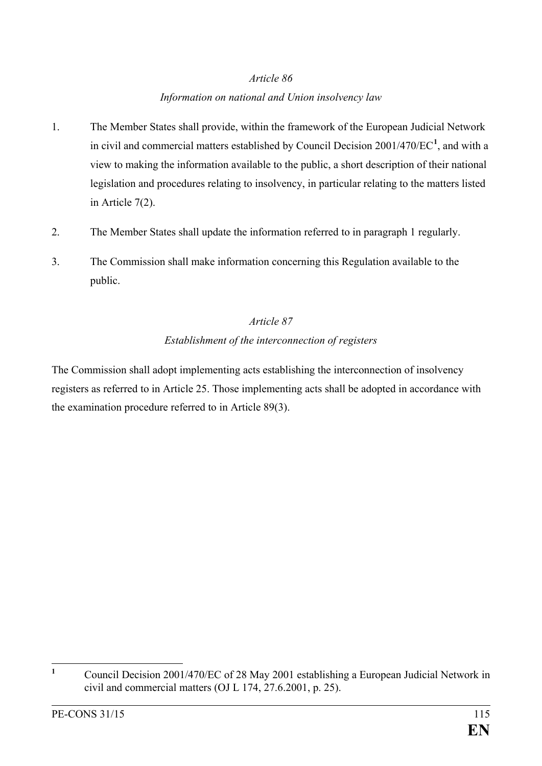# *Information on national and Union insolvency law*

- 1. The Member States shall provide, within the framework of the European Judicial Network in civil and commercial matters established by Council Decision 2001/470/EC**[1](#page-115-0)** , and with a view to making the information available to the public, a short description of their national legislation and procedures relating to insolvency, in particular relating to the matters listed in Article 7(2).
- 2. The Member States shall update the information referred to in paragraph 1 regularly.
- 3. The Commission shall make information concerning this Regulation available to the public.

# *Article 87 Establishment of the interconnection of registers*

The Commission shall adopt implementing acts establishing the interconnection of insolvency registers as referred to in Article 25. Those implementing acts shall be adopted in accordance with the examination procedure referred to in Article 89(3).

<span id="page-115-0"></span>**<sup>1</sup>** Council Decision 2001/470/EC of 28 May 2001 establishing a European Judicial Network in civil and commercial matters (OJ L 174, 27.6.2001, p. 25).  $\mathbf{1}$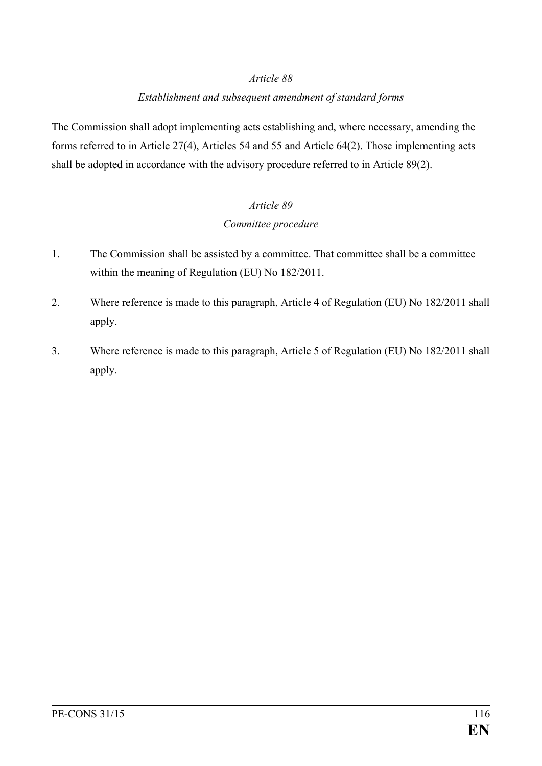#### *Establishment and subsequent amendment of standard forms*

The Commission shall adopt implementing acts establishing and, where necessary, amending the forms referred to in Article 27(4), Articles 54 and 55 and Article 64(2). Those implementing acts shall be adopted in accordance with the advisory procedure referred to in Article 89(2).

#### *Article 89*

#### *Committee procedure*

- 1. The Commission shall be assisted by a committee. That committee shall be a committee within the meaning of Regulation (EU) No 182/2011.
- 2. Where reference is made to this paragraph, Article 4 of Regulation (EU) No 182/2011 shall apply.
- 3. Where reference is made to this paragraph, Article 5 of Regulation (EU) No 182/2011 shall apply.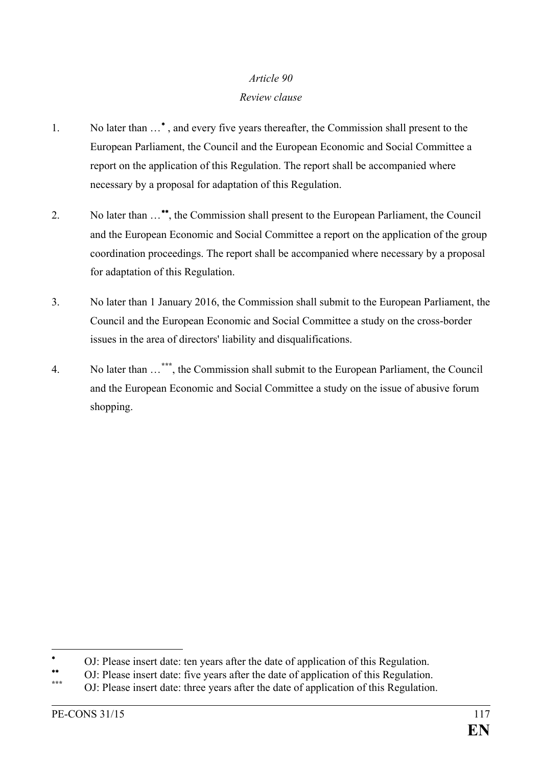#### *Review clause*

- 1. No later than …[∗](#page-117-0) , and every five years thereafter, the Commission shall present to the European Parliament, the Council and the European Economic and Social Committee a report on the application of this Regulation. The report shall be accompanied where necessary by a proposal for adaptation of this Regulation.
- 2. No later than …[∗∗](#page-117-1) , the Commission shall present to the European Parliament, the Council and the European Economic and Social Committee a report on the application of the group coordination proceedings. The report shall be accompanied where necessary by a proposal for adaptation of this Regulation.
- 3. No later than 1 January 2016, the Commission shall submit to the European Parliament, the Council and the European Economic and Social Committee a study on the cross-border issues in the area of directors' liability and disqualifications.
- 4. No later than …**[\\*\\*\\*](#page-117-2)**, the Commission shall submit to the European Parliament, the Council and the European Economic and Social Committee a study on the issue of abusive forum shopping.

 $\overline{a}$ 

<span id="page-117-1"></span><span id="page-117-0"></span><sup>\*</sup> OJ: Please insert date: ten years after the date of application of this Regulation.<br>
The OJ: Please insert date: five years after the date of application of this Regulation.<br>
OJ: Please insert date: three years after the

<span id="page-117-2"></span>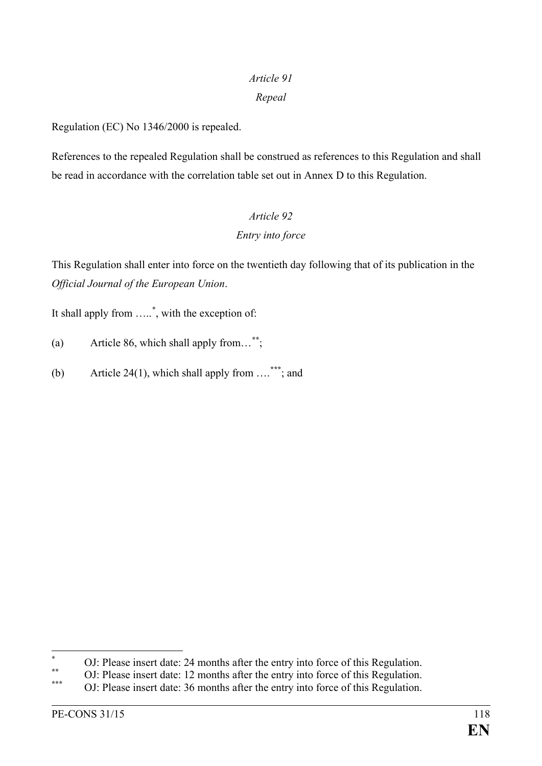# *Article 91 Repeal*

Regulation (EC) No 1346/2000 is repealed.

References to the repealed Regulation shall be construed as references to this Regulation and shall be read in accordance with the correlation table set out in Annex D to this Regulation.

# *Article 92 Entry into force*

This Regulation shall enter into force on the twentieth day following that of its publication in the *Official Journal of the European Union*.

It shall apply from …..**[\\*](#page-118-0)** , with the exception of:

- (a) Article 86, which shall apply from…**[\\*\\*](#page-118-1)**;
- (b) Article 24(1), which shall apply from ….**[\\*\\*\\*](#page-118-2)**; and

 $\overline{a}$ 

<span id="page-118-1"></span><span id="page-118-0"></span><sup>\*</sup> OJ: Please insert date: 24 months after the entry into force of this Regulation.<br>OJ: Please insert date: 12 months after the entry into force of this Regulation.<br>OJ: Please insert date: 36 months after the entry into for

<span id="page-118-2"></span>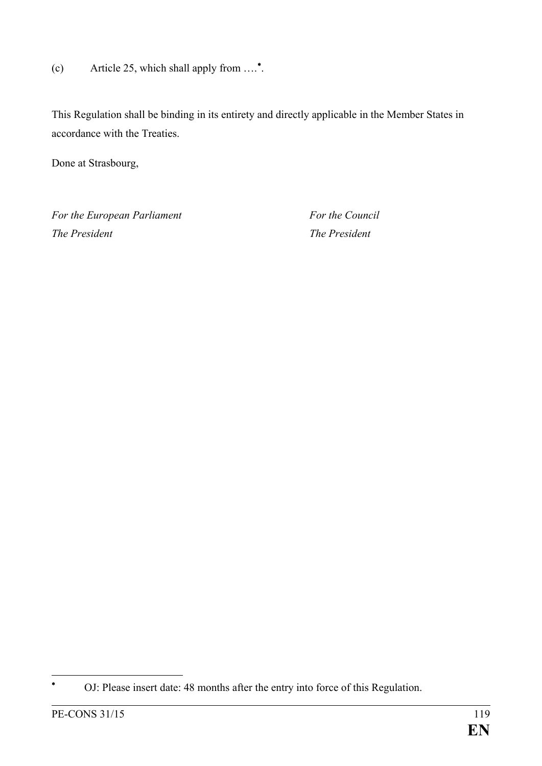(c) Article 25, which shall apply from  $\dots$ <sup>\*</sup>.

This Regulation shall be binding in its entirety and directly applicable in the Member States in accordance with the Treaties.

Done at Strasbourg,

*For the European Parliament For the Council The President The President*

<span id="page-119-0"></span>OJ: Please insert date: 48 months after the entry into force of this Regulation.  $\star$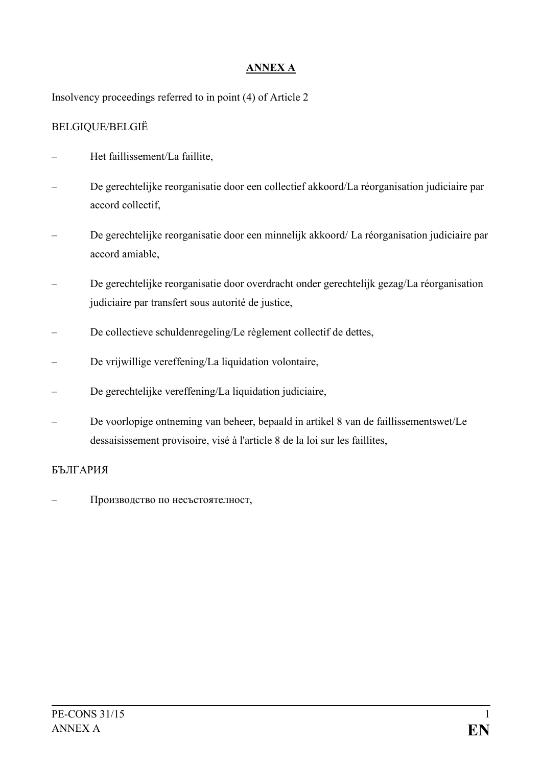# **ANNEX A**

Insolvency proceedings referred to in point (4) of Article 2

# BELGIQUE/BELGIË

- Het faillissement/La faillite,
- De gerechtelijke reorganisatie door een collectief akkoord/La réorganisation judiciaire par accord collectif,
- De gerechtelijke reorganisatie door een minnelijk akkoord/ La réorganisation judiciaire par accord amiable,
- De gerechtelijke reorganisatie door overdracht onder gerechtelijk gezag/La réorganisation judiciaire par transfert sous autorité de justice,
- De collectieve schuldenregeling/Le règlement collectif de dettes,
- De vrijwillige vereffening/La liquidation volontaire,
- De gerechtelijke vereffening/La liquidation judiciaire,
- De voorlopige ontneming van beheer, bepaald in artikel 8 van de faillissementswet/Le dessaisissement provisoire, visé à l'article 8 de la loi sur les faillites,

### БЪЛГАРИЯ

– Производство по несъстоятелност,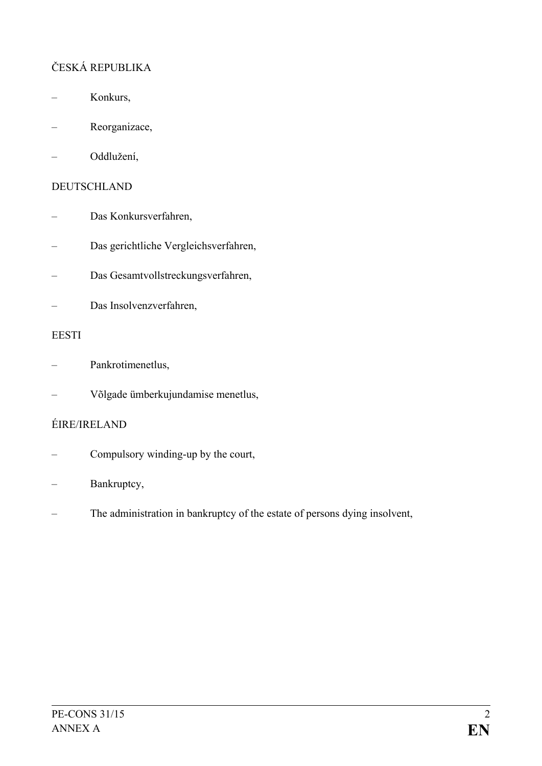# ČESKÁ REPUBLIKA

- Konkurs,
- Reorganizace,
- Oddlužení,

### DEUTSCHLAND

- Das Konkursverfahren,
- Das gerichtliche Vergleichsverfahren,
- Das Gesamtvollstreckungsverfahren,
- Das Insolvenzverfahren,

#### EESTI

- Pankrotimenetlus,
- Võlgade ümberkujundamise menetlus,

### ÉIRE/IRELAND

- Compulsory winding-up by the court,
- Bankruptcy,
- The administration in bankruptcy of the estate of persons dying insolvent,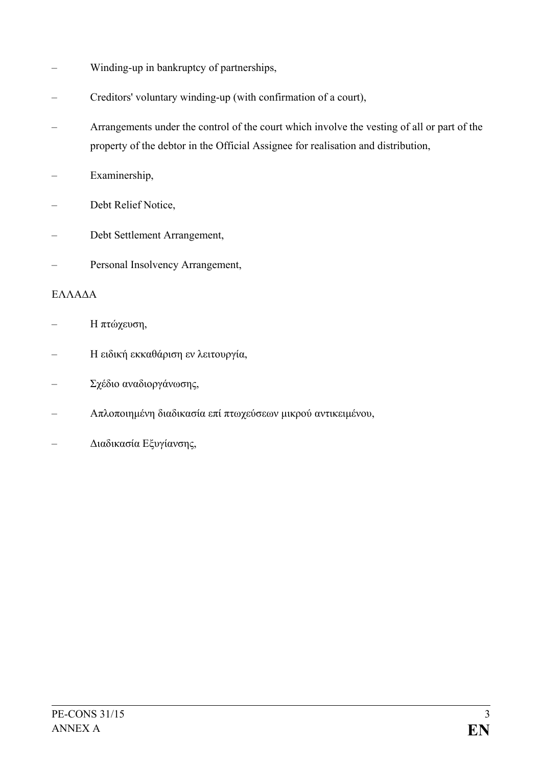- Winding-up in bankruptcy of partnerships,
- Creditors' voluntary winding-up (with confirmation of a court),
- Arrangements under the control of the court which involve the vesting of all or part of the property of the debtor in the Official Assignee for realisation and distribution,
- Examinership,
- Debt Relief Notice,
- Debt Settlement Arrangement,
- Personal Insolvency Arrangement,

# ΕΛΛΑΔΑ

- Η πτώχευση,
- Η ειδική εκκαθάριση εν λειτουργία,
- Σχέδιο αναδιοργάνωσης,
- Απλοποιημένη διαδικασία επί πτωχεύσεων μικρού αντικειμένου,
- Διαδικασία Εξυγίανσης,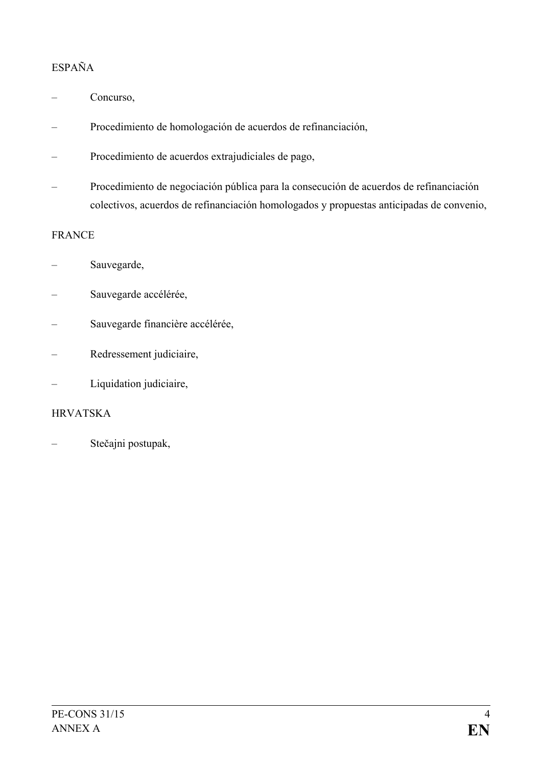# ESPAÑA

- Concurso,
- Procedimiento de homologación de acuerdos de refinanciación,
- Procedimiento de acuerdos extrajudiciales de pago,
- Procedimiento de negociación pública para la consecución de acuerdos de refinanciación colectivos, acuerdos de refinanciación homologados y propuestas anticipadas de convenio,

### FRANCE

- Sauvegarde,
- Sauvegarde accélérée,
- Sauvegarde financière accélérée,
- Redressement judiciaire,
- Liquidation judiciaire,

#### HRVATSKA

Stečajni postupak,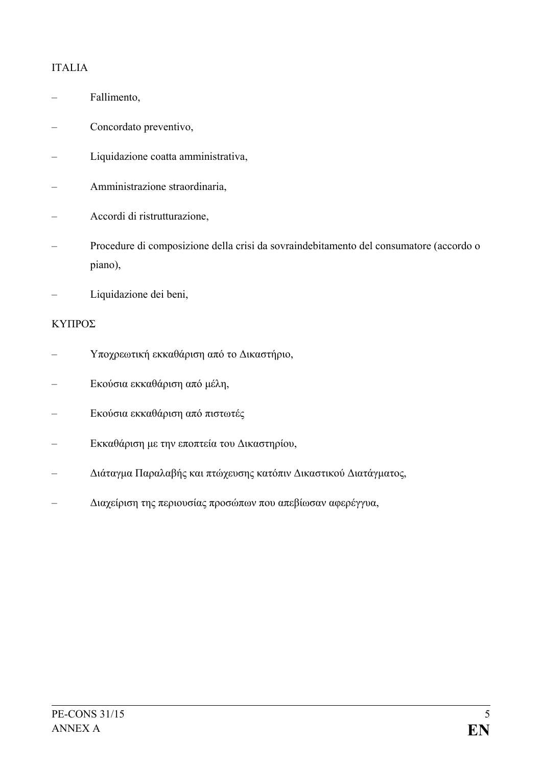#### ITALIA

| Fallimento, |  |
|-------------|--|
|-------------|--|

- Concordato preventivo,
- Liquidazione coatta amministrativa,
- Amministrazione straordinaria,
- Accordi di ristrutturazione,
- Procedure di composizione della crisi da sovraindebitamento del consumatore (accordo o piano),
- Liquidazione dei beni,

#### ΚΥΠΡΟΣ

- Υποχρεωτική εκκαθάριση από το Δικαστήριο,
- Εκούσια εκκαθάριση από μέλη,
- Εκούσια εκκαθάριση από πιστωτές
- Εκκαθάριση με την εποπτεία του Δικαστηρίου,
- Διάταγμα Παραλαβής και πτώχευσης κατόπιν Δικαστικού Διατάγματος,
- Διαχείριση της περιουσίας προσώπων που απεβίωσαν αφερέγγυα,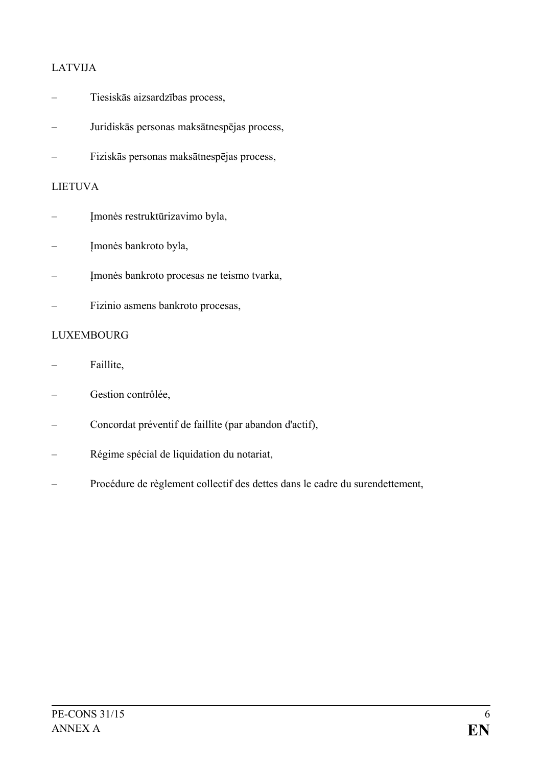# LATVIJA

- Tiesiskās aizsardzības process,
- Juridiskās personas maksātnespējas process,
- Fiziskās personas maksātnespējas process,

#### LIETUVA

- Įmonės restruktūrizavimo byla,
- Įmonės bankroto byla,
- Įmonės bankroto procesas ne teismo tvarka,
- Fizinio asmens bankroto procesas,

#### LUXEMBOURG

- Faillite,
- Gestion contrôlée,
- Concordat préventif de faillite (par abandon d'actif),
- Régime spécial de liquidation du notariat,
- Procédure de règlement collectif des dettes dans le cadre du surendettement,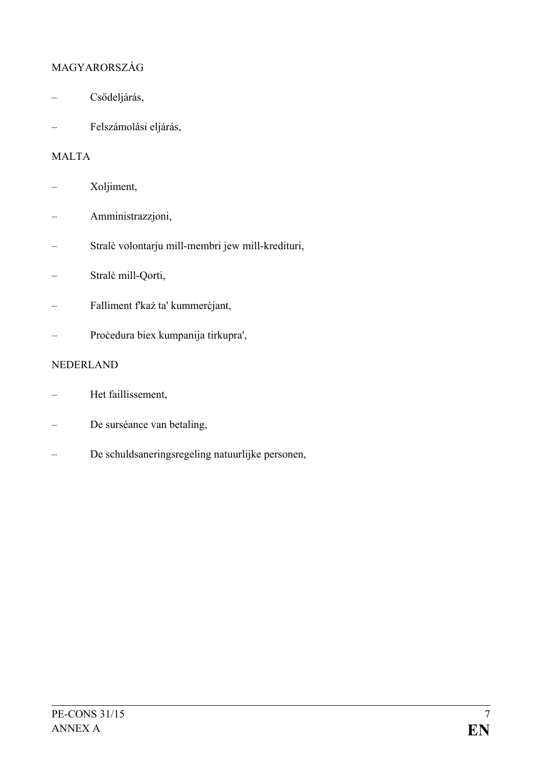# MAGYARORSZÁG

- Csődeljárás,
- Felszámolási eljárás,

# MALTA

- Xoljiment,
- Amministrazzjoni,
- Stralċ volontarju mill-membri jew mill-kredituri,
- Stralċ mill-Qorti,
- Falliment f'każ ta' kummerċjant,
- Proċedura biex kumpanija tirkupra',

# NEDERLAND

- Het faillissement,
- De surséance van betaling,
- De schuldsaneringsregeling natuurlijke personen,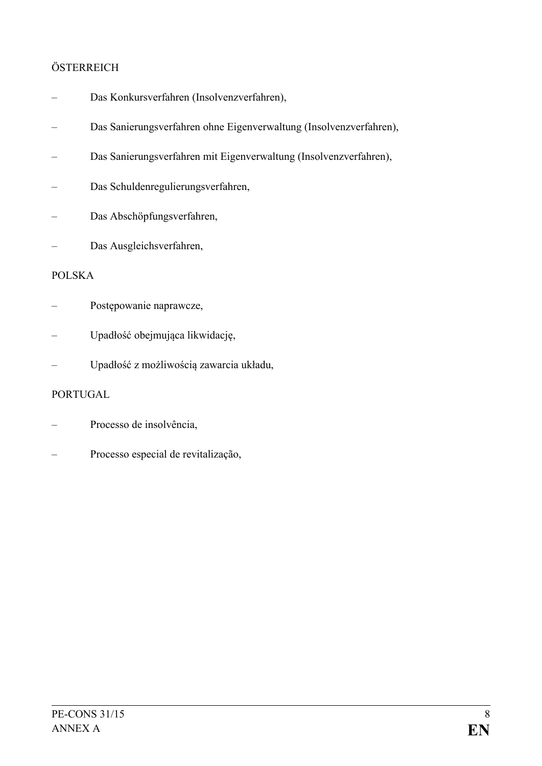# **ÖSTERREICH**

- Das Konkursverfahren (Insolvenzverfahren),
- Das Sanierungsverfahren ohne Eigenverwaltung (Insolvenzverfahren),
- Das Sanierungsverfahren mit Eigenverwaltung (Insolvenzverfahren),
- Das Schuldenregulierungsverfahren,
- Das Abschöpfungsverfahren,
- Das Ausgleichsverfahren,

#### POLSKA

- Postępowanie naprawcze,
- Upadłość obejmująca likwidację,
- Upadłość z możliwością zawarcia układu,

#### PORTUGAL

- Processo de insolvência,
- Processo especial de revitalização,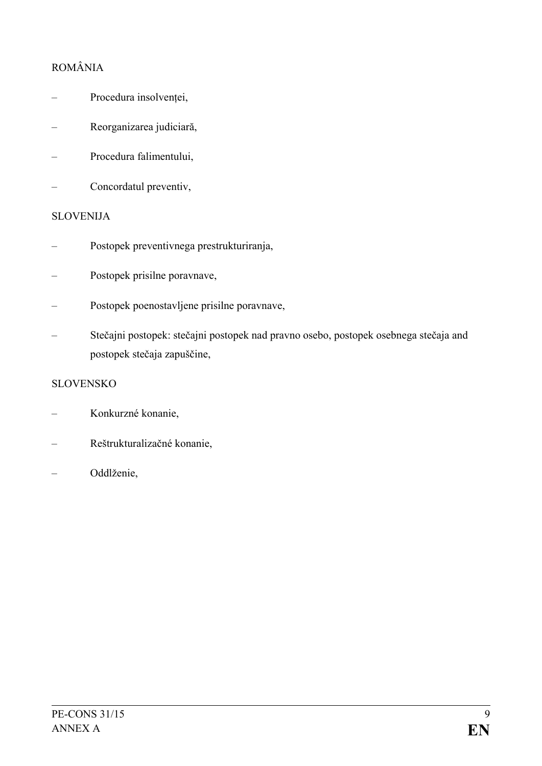# ROMÂNIA

- Procedura insolvenței,
- Reorganizarea judiciară,
- Procedura falimentului,
- Concordatul preventiv,

#### SLOVENIJA

- Postopek preventivnega prestrukturiranja,
- Postopek prisilne poravnave,
- Postopek poenostavljene prisilne poravnave,
- Stečajni postopek: stečajni postopek nad pravno osebo, postopek osebnega stečaja and postopek stečaja zapuščine,

#### SLOVENSKO

- Konkurzné konanie,
- Reštrukturalizačné konanie,
- Oddlženie,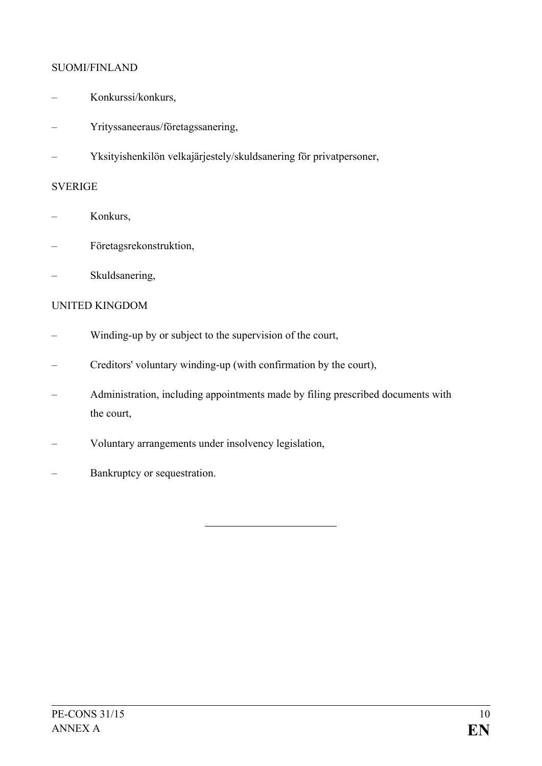#### SUOMI/FINLAND

- Konkurssi/konkurs,
- Yrityssaneeraus/företagssanering,
- Yksityishenkilön velkajärjestely/skuldsanering för privatpersoner,

#### **SVERIGE**

- Konkurs,
- Företagsrekonstruktion,
- Skuldsanering,

#### UNITED KINGDOM

- Winding-up by or subject to the supervision of the court,
- Creditors' voluntary winding-up (with confirmation by the court),
- Administration, including appointments made by filing prescribed documents with the court,
- Voluntary arrangements under insolvency legislation,
- Bankruptcy or sequestration.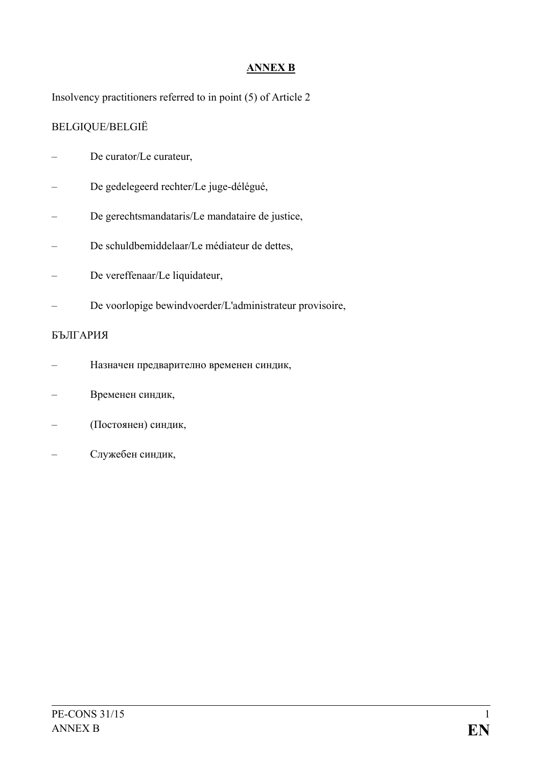# **ANNEX B**

Insolvency practitioners referred to in point (5) of Article 2

# BELGIQUE/BELGIË

- De curator/Le curateur,
- De gedelegeerd rechter/Le juge-délégué,
- De gerechtsmandataris/Le mandataire de justice,
- De schuldbemiddelaar/Le médiateur de dettes,
- De vereffenaar/Le liquidateur,
- De voorlopige bewindvoerder/L'administrateur provisoire,

#### БЪЛГАРИЯ

- Назначен предварително временен синдик,
- Временен синдик,
- (Постоянен) синдик,
- Служебен синдик,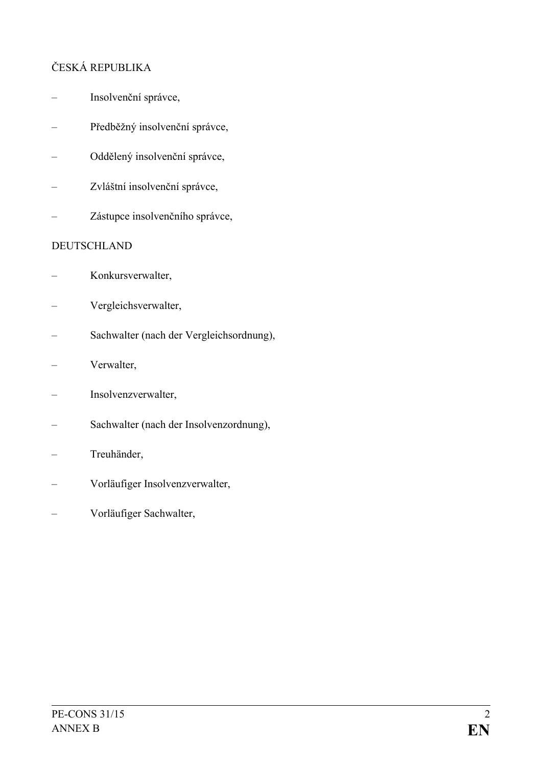# ČESKÁ REPUBLIKA

- Insolvenční správce,
- Předběžný insolvenční správce,
- Oddělený insolvenční správce,
- Zvláštní insolvenční správce,
- Zástupce insolvenčního správce,

#### DEUTSCHLAND

- Konkursverwalter,
- Vergleichsverwalter,
- Sachwalter (nach der Vergleichsordnung),
- Verwalter,
- Insolvenzverwalter,
- Sachwalter (nach der Insolvenzordnung),
- Treuhänder,
- Vorläufiger Insolvenzverwalter,
- Vorläufiger Sachwalter,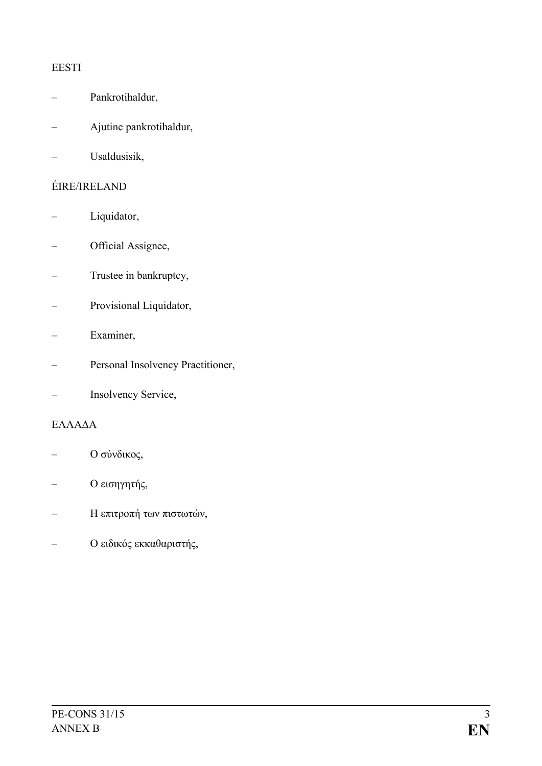#### EESTI

- Pankrotihaldur,
- Ajutine pankrotihaldur,
- Usaldusisik,

# ÉIRE/IRELAND

- Liquidator,
- Official Assignee,
- Trustee in bankruptcy,
- Provisional Liquidator,
- Examiner,
- Personal Insolvency Practitioner,
- Insolvency Service,

# ΕΛΛΑΔΑ

- Ο σύνδικος,
- Ο εισηγητής,
- Η επιτροπή των πιστωτών,
- Ο ειδικός εκκαθαριστής,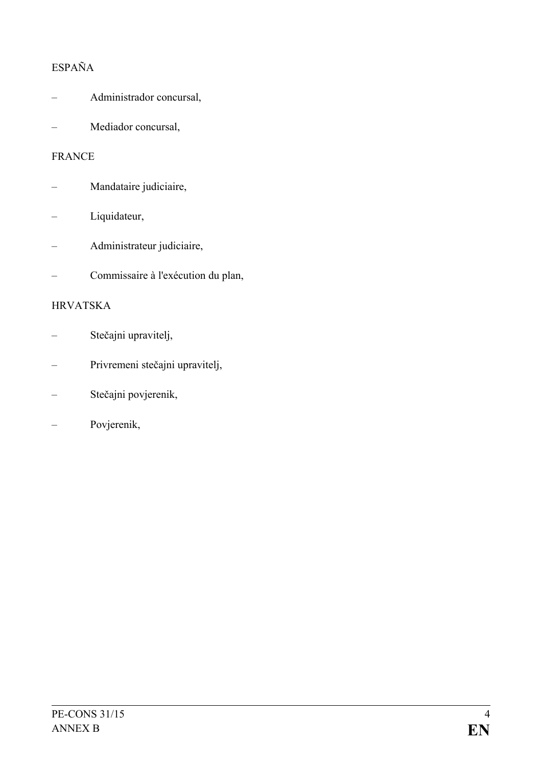# ESPAÑA

- Administrador concursal,
- Mediador concursal,

# FRANCE

- Mandataire judiciaire,
- Liquidateur,
- Administrateur judiciaire,
- Commissaire à l'exécution du plan,

# HRVATSKA

- Stečajni upravitelj,
- Privremeni stečajni upravitelj,
- Stečajni povjerenik,
- Povjerenik,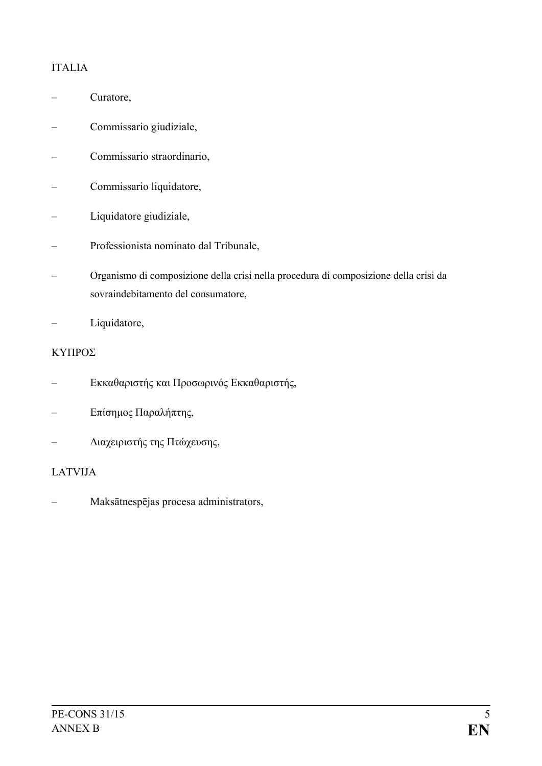#### ITALIA

- Curatore,
- Commissario giudiziale,
- Commissario straordinario,
- Commissario liquidatore,
- Liquidatore giudiziale,
- Professionista nominato dal Tribunale,
- Organismo di composizione della crisi nella procedura di composizione della crisi da sovraindebitamento del consumatore,
- Liquidatore,

#### ΚΥΠΡΟΣ

- Εκκαθαριστής και Προσωρινός Εκκαθαριστής,
- Επίσημος Παραλήπτης,
- Διαχειριστής της Πτώχευσης,

### LATVIJA

– Maksātnespējas procesa administrators,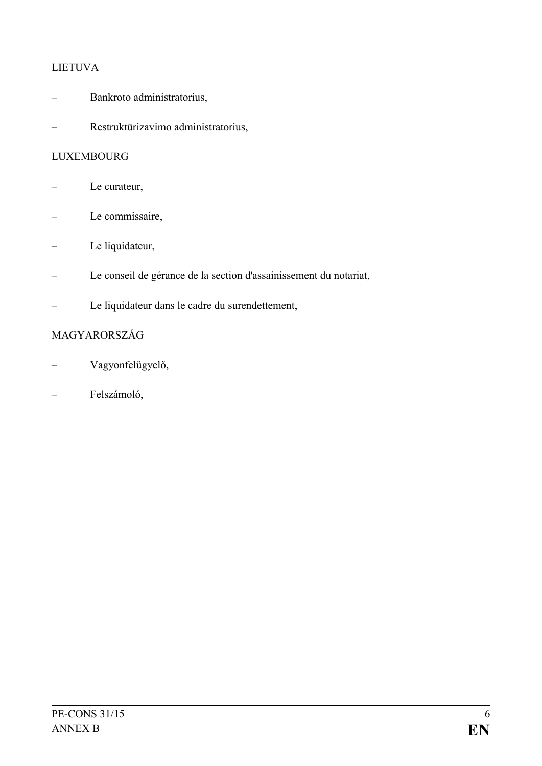# LIETUVA

- Bankroto administratorius,
- Restruktūrizavimo administratorius,

#### LUXEMBOURG

- Le curateur,
- Le commissaire,
- Le liquidateur,
- Le conseil de gérance de la section d'assainissement du notariat,
- Le liquidateur dans le cadre du surendettement,

# MAGYARORSZÁG

- Vagyonfelügyelő,
- Felszámoló,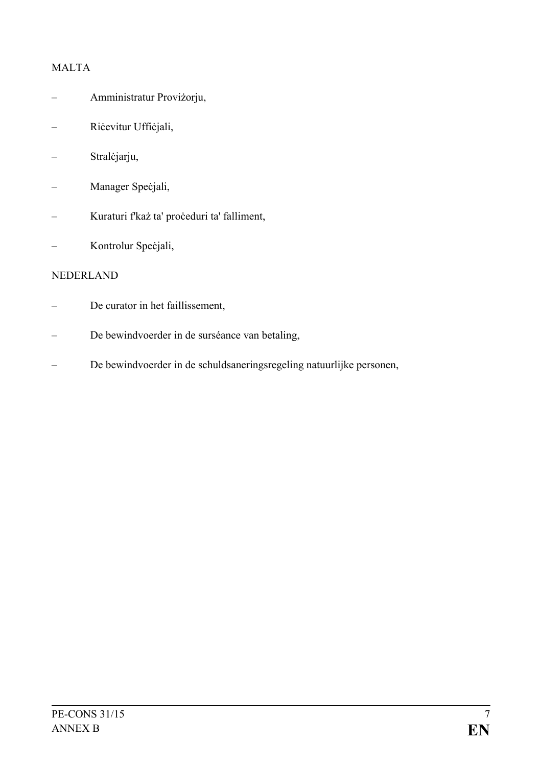### MALTA

- Amministratur Proviżorju,
- Riċevitur Uffiċjali,
- Stralċjarju,
- Manager Speċjali,
- Kuraturi f'każ ta' proċeduri ta' falliment,
- Kontrolur Speċjali,

#### NEDERLAND

- De curator in het faillissement,
- De bewindvoerder in de surséance van betaling,
- De bewindvoerder in de schuldsaneringsregeling natuurlijke personen,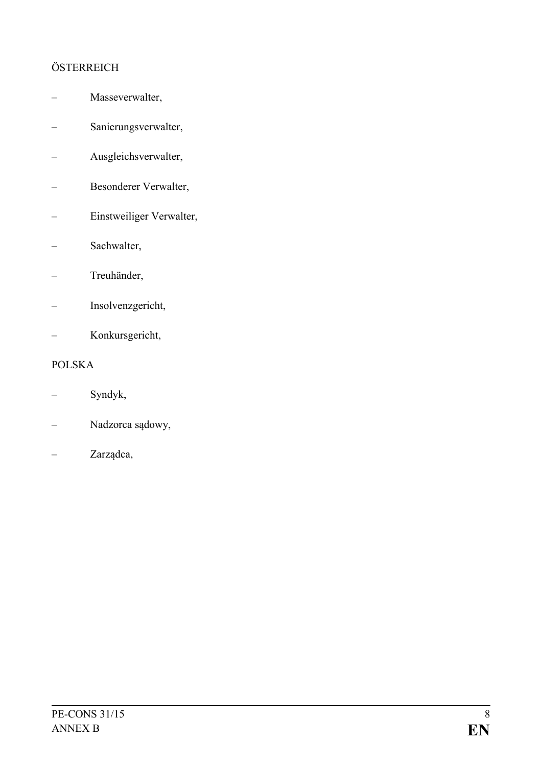# **ÖSTERREICH**

- Masseverwalter,
- Sanierungsverwalter,
- Ausgleichsverwalter,
- Besonderer Verwalter,
- Einstweiliger Verwalter,
- Sachwalter,
- Treuhänder,
- Insolvenzgericht,
- Konkursgericht,

### POLSKA

- Syndyk,
- Nadzorca sądowy,
- Zarządca,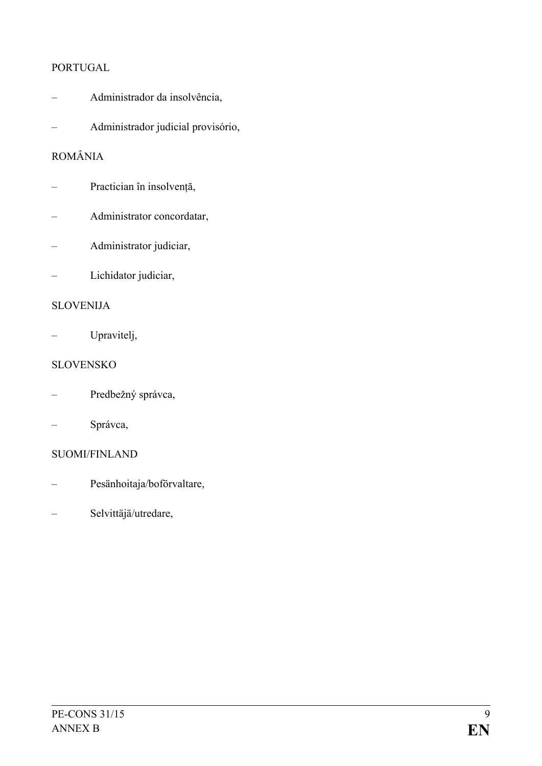### PORTUGAL

- Administrador da insolvência,
- Administrador judicial provisório,

# ROMÂNIA

- Practician în insolvență,
- Administrator concordatar,
- Administrator judiciar,
- Lichidator judiciar,

#### SLOVENIJA

– Upravitelj,

### SLOVENSKO

- Predbežný správca,
- Správca,

#### SUOMI/FINLAND

- Pesänhoitaja/boförvaltare,
- Selvittäjä/utredare,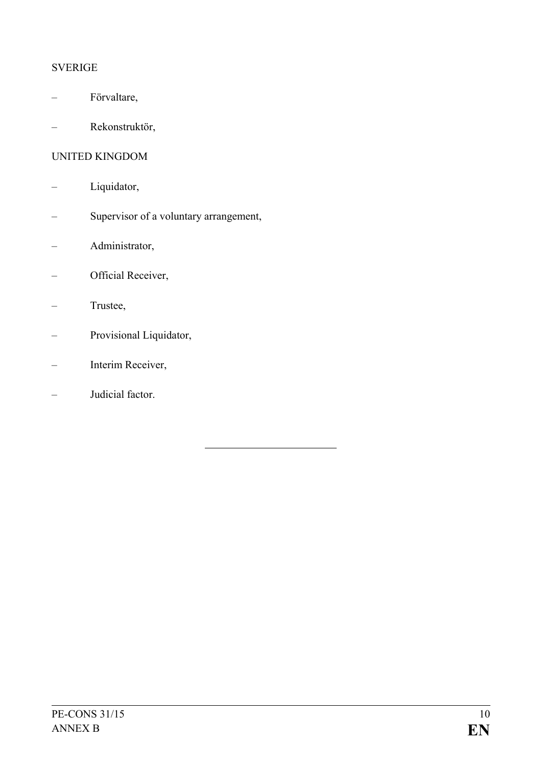### **SVERIGE**

- Förvaltare,
- Rekonstruktör,

#### UNITED KINGDOM

- Liquidator,
- Supervisor of a voluntary arrangement,
- Administrator,
- Official Receiver,
- Trustee,
- Provisional Liquidator,
- Interim Receiver,
- Judicial factor.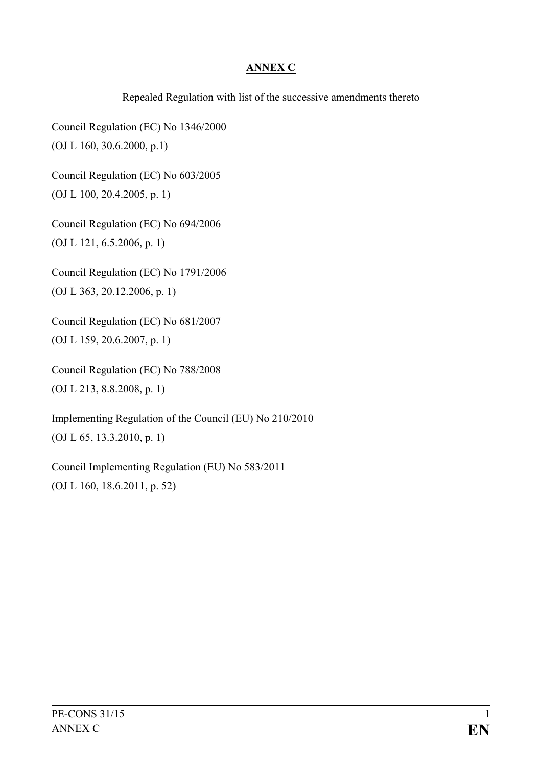# **ANNEX C**

Repealed Regulation with list of the successive amendments thereto

Council Regulation (EC) No 1346/2000 (OJ L 160, 30.6.2000, p.1)

Council Regulation (EC) No 603/2005 (OJ L 100, 20.4.2005, p. 1)

Council Regulation (EC) No 694/2006 (OJ L 121, 6.5.2006, p. 1)

Council Regulation (EC) No 1791/2006 (OJ L 363, 20.12.2006, p. 1)

Council Regulation (EC) No 681/2007 (OJ L 159, 20.6.2007, p. 1)

Council Regulation (EC) No 788/2008 (OJ L 213, 8.8.2008, p. 1)

Implementing Regulation of the Council (EU) No 210/2010 (OJ L 65, 13.3.2010, p. 1)

Council Implementing Regulation (EU) No 583/2011 (OJ L 160, 18.6.2011, p. 52)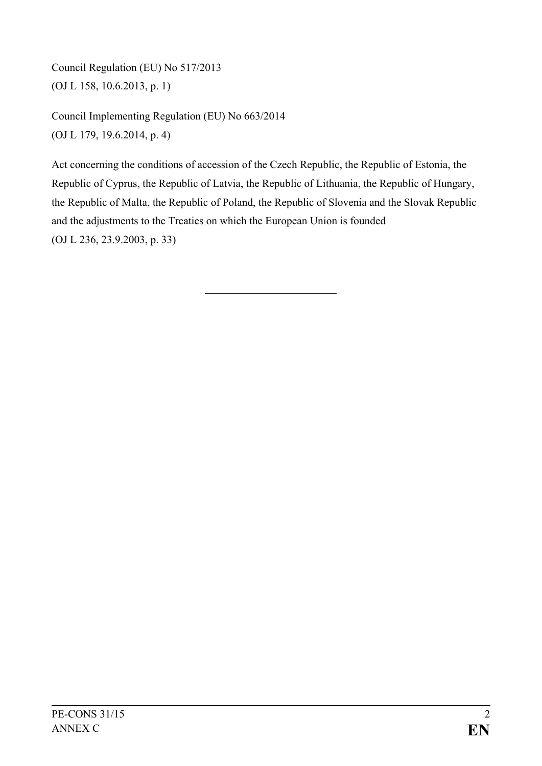Council Regulation (EU) No 517/2013 (OJ L 158, 10.6.2013, p. 1)

Council Implementing Regulation (EU) No 663/2014 (OJ L 179, 19.6.2014, p. 4)

Act concerning the conditions of accession of the Czech Republic, the Republic of Estonia, the Republic of Cyprus, the Republic of Latvia, the Republic of Lithuania, the Republic of Hungary, the Republic of Malta, the Republic of Poland, the Republic of Slovenia and the Slovak Republic and the adjustments to the Treaties on which the European Union is founded (OJ L 236, 23.9.2003, p. 33)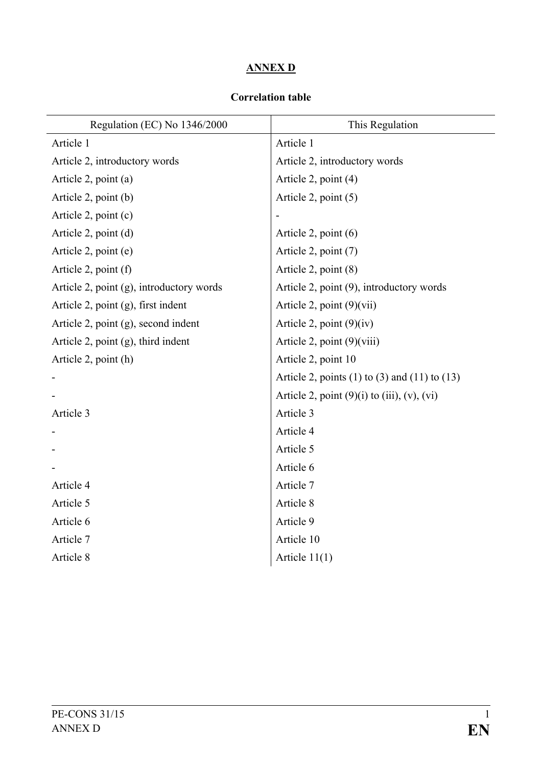# **ANNEX D**

### **Correlation table**

| Regulation (EC) No 1346/2000             | This Regulation                                       |
|------------------------------------------|-------------------------------------------------------|
| Article 1                                | Article 1                                             |
| Article 2, introductory words            | Article 2, introductory words                         |
| Article 2, point (a)                     | Article 2, point (4)                                  |
| Article 2, point (b)                     | Article 2, point (5)                                  |
| Article 2, point (c)                     |                                                       |
| Article 2, point $(d)$                   | Article 2, point (6)                                  |
| Article 2, point (e)                     | Article 2, point (7)                                  |
| Article 2, point (f)                     | Article 2, point (8)                                  |
| Article 2, point (g), introductory words | Article 2, point (9), introductory words              |
| Article 2, point $(g)$ , first indent    | Article 2, point $(9)(vii)$                           |
| Article 2, point (g), second indent      | Article 2, point $(9)(iv)$                            |
| Article 2, point (g), third indent       | Article 2, point $(9)(viii)$                          |
| Article 2, point (h)                     | Article 2, point 10                                   |
|                                          | Article 2, points $(1)$ to $(3)$ and $(11)$ to $(13)$ |
|                                          | Article 2, point $(9)(i)$ to $(iii)$ , $(v)$ , $(vi)$ |
| Article 3                                | Article 3                                             |
|                                          | Article 4                                             |
|                                          | Article 5                                             |
|                                          | Article 6                                             |
| Article 4                                | Article 7                                             |
| Article 5                                | Article 8                                             |
| Article 6                                | Article 9                                             |
| Article 7                                | Article 10                                            |
| Article 8                                | Article $11(1)$                                       |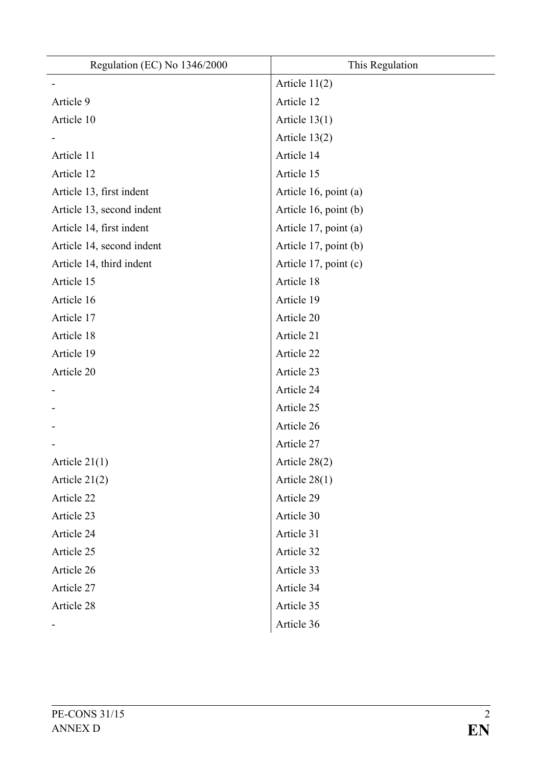| Regulation (EC) No 1346/2000 | This Regulation       |
|------------------------------|-----------------------|
|                              | Article $11(2)$       |
| Article 9                    | Article 12            |
| Article 10                   | Article $13(1)$       |
|                              | Article $13(2)$       |
| Article 11                   | Article 14            |
| Article 12                   | Article 15            |
| Article 13, first indent     | Article 16, point (a) |
| Article 13, second indent    | Article 16, point (b) |
| Article 14, first indent     | Article 17, point (a) |
| Article 14, second indent    | Article 17, point (b) |
| Article 14, third indent     | Article 17, point (c) |
| Article 15                   | Article 18            |
| Article 16                   | Article 19            |
| Article 17                   | Article 20            |
| Article 18                   | Article 21            |
| Article 19                   | Article 22            |
| Article 20                   | Article 23            |
|                              | Article 24            |
|                              | Article 25            |
|                              | Article 26            |
|                              | Article 27            |
| Article $21(1)$              | Article 28(2)         |
| Article $21(2)$              | Article $28(1)$       |
| Article 22                   | Article 29            |
| Article 23                   | Article 30            |
| Article 24                   | Article 31            |
| Article 25                   | Article 32            |
| Article 26                   | Article 33            |
| Article 27                   | Article 34            |
| Article 28                   | Article 35            |
|                              | Article 36            |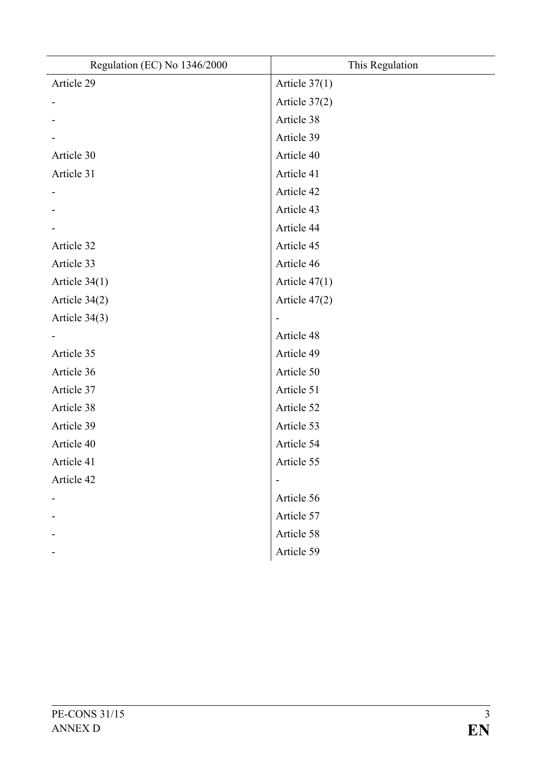| Regulation (EC) No 1346/2000 | This Regulation |
|------------------------------|-----------------|
| Article 29                   | Article $37(1)$ |
|                              | Article 37(2)   |
|                              | Article 38      |
|                              | Article 39      |
| Article 30                   | Article 40      |
| Article 31                   | Article 41      |
|                              | Article 42      |
|                              | Article 43      |
|                              | Article 44      |
| Article 32                   | Article 45      |
| Article 33                   | Article 46      |
| Article $34(1)$              | Article $47(1)$ |
| Article 34(2)                | Article $47(2)$ |
| Article 34(3)                | -               |
|                              | Article 48      |
| Article 35                   | Article 49      |
| Article 36                   | Article 50      |
| Article 37                   | Article 51      |
| Article 38                   | Article 52      |
| Article 39                   | Article 53      |
| Article 40                   | Article 54      |
| Article 41                   | Article 55      |
| Article 42                   |                 |
|                              | Article 56      |
|                              | Article 57      |
|                              | Article 58      |
|                              | Article 59      |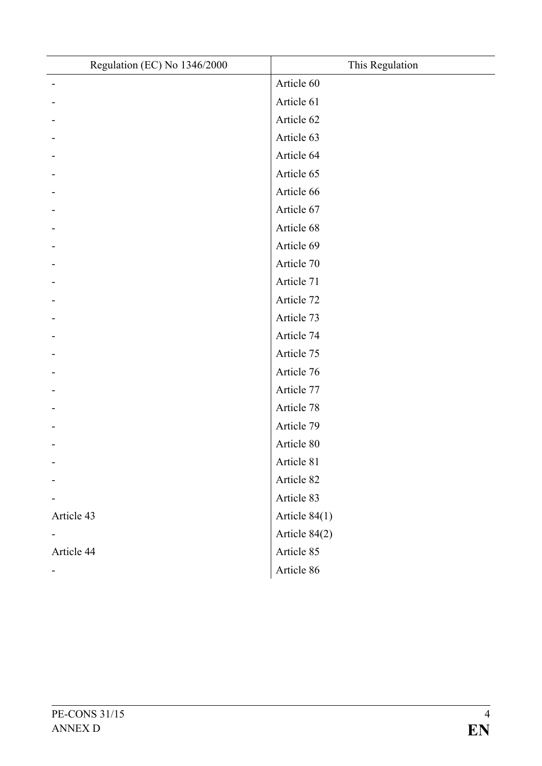| Regulation (EC) No 1346/2000 | This Regulation |
|------------------------------|-----------------|
|                              | Article 60      |
|                              | Article 61      |
|                              | Article 62      |
|                              | Article 63      |
|                              | Article 64      |
|                              | Article 65      |
|                              | Article 66      |
|                              | Article 67      |
|                              | Article 68      |
|                              | Article 69      |
|                              | Article 70      |
|                              | Article 71      |
|                              | Article 72      |
|                              | Article 73      |
|                              | Article 74      |
|                              | Article 75      |
|                              | Article 76      |
|                              | Article 77      |
|                              | Article 78      |
|                              | Article 79      |
|                              | Article 80      |
|                              | Article 81      |
|                              | Article 82      |
|                              | Article 83      |
| Article 43                   | Article 84(1)   |
|                              | Article 84(2)   |
| Article 44                   | Article 85      |
| -                            | Article 86      |